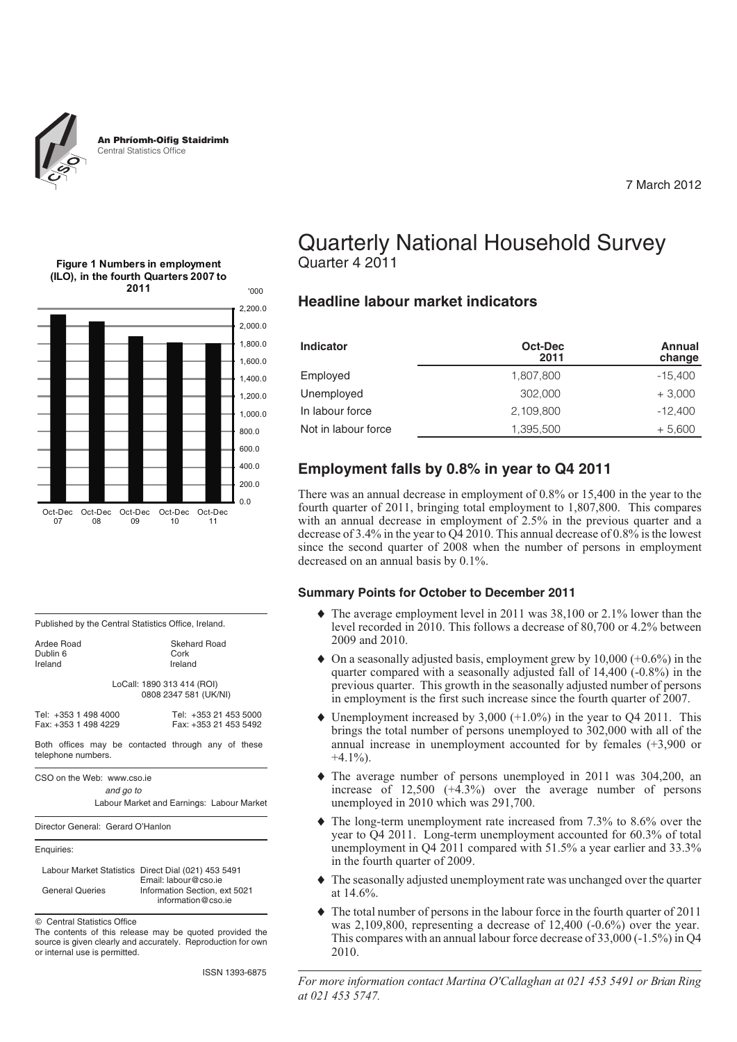

7 March 2012

#### **Figure 1 Numbers in employment (ILO), in the fourth Quarters 2007 to 2011**



#### Published by the Central Statistics Office, Ireland.

| Ardee Road | Skehard Road                                        |
|------------|-----------------------------------------------------|
| Dublin 6   | Cork                                                |
| Ireland    | Ireland                                             |
|            | LoCall: 1890 313 414 (ROI)<br>0808 2347 581 (UK/NI) |

| Tel: +353 1 498 4000 | Tel: +353 21 453 5000 |  |  |
|----------------------|-----------------------|--|--|
| Fax: +353 1 498 4229 | Fax: +353 21 453 5492 |  |  |

Both offices may be contacted through any of these telephone numbers.

CSO on the Web: www.cso.ie

*and go to*

Labour Market and Earnings: Labour Market

Director General: Gerard O'Hanlon

Enquiries:

|                        | Labour Market Statistics Direct Dial (021) 453 5491 |
|------------------------|-----------------------------------------------------|
|                        | Email: labour@cso.ie                                |
| <b>General Queries</b> | Information Section, ext 5021                       |
|                        | information@cso.ie                                  |

Central Statistics Office

The contents of this release may be quoted provided the source is given clearly and accurately. Reproduction for own or internal use is permitted.

ISSN 1393-6875

## Quarterly National Household Survey Quarter 4 2011

#### **Headline labour market indicators**

| <b>Indicator</b>    | Oct-Dec<br>2011 | Annual<br>change |
|---------------------|-----------------|------------------|
| Employed            | 1,807,800       | $-15,400$        |
| Unemployed          | 302,000         | $+3,000$         |
| In labour force     | 2,109,800       | $-12,400$        |
| Not in labour force | 1.395.500       | $+5,600$         |

#### **Employment falls by 0.8% in year to Q4 2011**

There was an annual decrease in employment of 0.8% or 15,400 in the year to the fourth quarter of 2011, bringing total employment to 1,807,800. This compares with an annual decrease in employment of 2.5% in the previous quarter and a decrease of 3.4% in the year to Q4 2010. This annual decrease of 0.8% is the lowest since the second quarter of 2008 when the number of persons in employment decreased on an annual basis by 0.1%.

#### **Summary Points for October to December 2011**

- The average employment level in 2011 was 38,100 or 2.1% lower than the level recorded in 2010. This follows a decrease of 80,700 or 4.2% between 2009 and 2010.
- ◆ On a seasonally adjusted basis, employment grew by 10,000 (+0.6%) in the quarter compared with a seasonally adjusted fall of 14,400 (-0.8%) in the previous quarter. This growth in the seasonally adjusted number of persons in employment is the first such increase since the fourth quarter of 2007.
- $\blacklozenge$  Unemployment increased by 3,000 (+1.0%) in the year to Q4 2011. This brings the total number of persons unemployed to 302,000 with all of the annual increase in unemployment accounted for by females (+3,900 or  $+4.1\%$ ).
- The average number of persons unemployed in 2011 was 304,200, an increase of 12,500 (+4.3%) over the average number of persons unemployed in 2010 which was 291,700.
- The long-term unemployment rate increased from 7.3% to 8.6% over the year to Q4 2011. Long-term unemployment accounted for 60.3% of total unemployment in Q4 2011 compared with 51.5% a year earlier and 33.3% in the fourth quarter of 2009.
- The seasonally adjusted unemployment rate was unchanged over the quarter at 14.6%.
- The total number of persons in the labour force in the fourth quarter of 2011 was 2,109,800, representing a decrease of 12,400 (-0.6%) over the year. This compares with an annual labour force decrease of 33,000 (-1.5%) in Q4 2010.

*For more information contact Martina O'Callaghan at 021 453 5491 or Brian Ring at 021 453 5747.*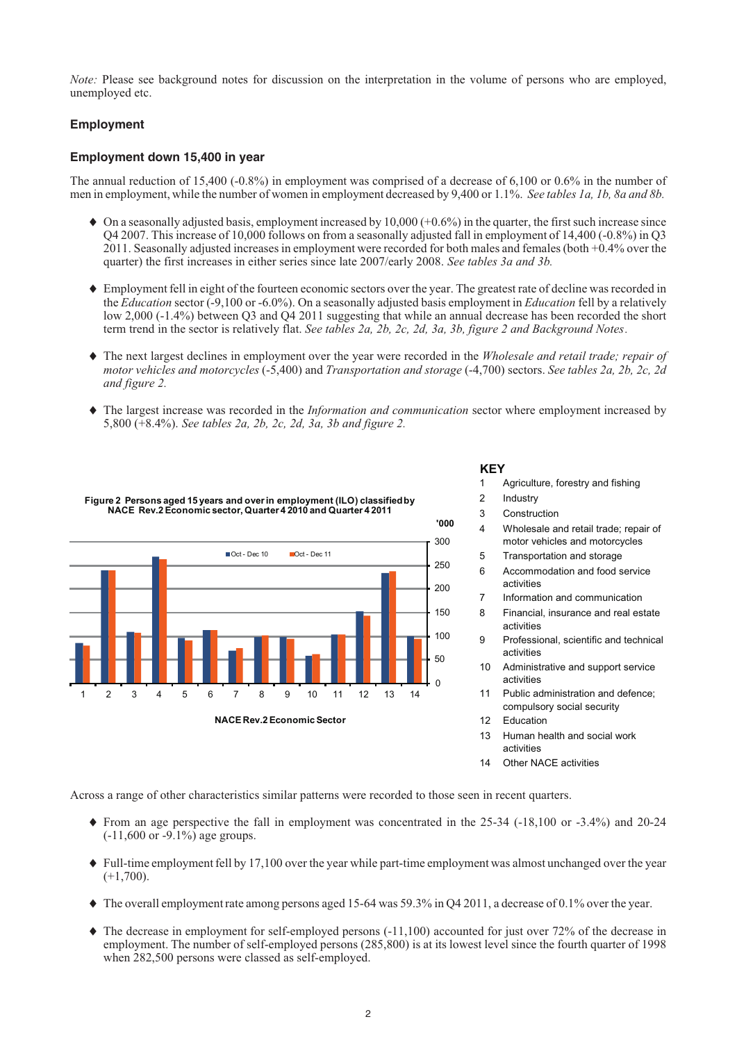*Note:* Please see background notes for discussion on the interpretation in the volume of persons who are employed, unemployed etc.

#### **Employment**

#### **Employment down 15,400 in year**

The annual reduction of 15,400 (-0.8%) in employment was comprised of a decrease of 6,100 or 0.6% in the number of men in employment, while the number of women in employment decreased by 9,400 or 1.1%. *See tables 1a, 1b, 8a and 8b.*

- On a seasonally adjusted basis, employment increased by 10,000 (+0.6%) in the quarter, the first such increase since Q4 2007. This increase of 10,000 follows on from a seasonally adjusted fall in employment of 14,400 (-0.8%) in Q3 2011. Seasonally adjusted increases in employment were recorded for both males and females (both +0.4% over the quarter) the first increases in either series since late 2007/early 2008. *See tables 3a and 3b.*
- Employment fell in eight of the fourteen economic sectors over the year. The greatest rate of decline was recorded in the *Education* sector (-9,100 or -6.0%). On a seasonally adjusted basis employment in *Education* fell by a relatively low 2,000 (-1.4%) between Q3 and Q4 2011 suggesting that while an annual decrease has been recorded the short term trend in the sector is relatively flat. *See tables 2a, 2b, 2c, 2d, 3a, 3b, figure 2 and Background Notes.*
- The next largest declines in employment over the year were recorded in the *Wholesale and retail trade; repair of motor vehicles and motorcycles* (-5,400) and *Transportation and storage* (-4,700) sectors. *See tables 2a, 2b, 2c, 2d and figure 2.*
- The largest increase was recorded in the *Information and communication* sector where employment increased by 5,800 (+8.4%). *See tables 2a, 2b, 2c, 2d, 3a, 3b and figure 2.*



**KEY**

- 1 Agriculture, forestry and fishing
- 2 Industry
- 3 Construction
- 4 Wholesale and retail trade; repair of motor vehicles and motorcycles
- 5 Transportation and storage
- 6 Accommodation and food service activities
- 7 Information and communication
- 8 Financial, insurance and real estate activities
- 9 Professional, scientific and technical activities
- 10 Administrative and support service activities
- 11 Public administration and defence; compulsory social security
- 12 Education
- 13 Human health and social work activities
- 14 Other NACE activities

Across a range of other characteristics similar patterns were recorded to those seen in recent quarters.

- From an age perspective the fall in employment was concentrated in the 25-34 (-18,100 or -3.4%) and 20-24 (-11,600 or -9.1%) age groups.
- Full-time employment fell by 17,100 over the year while part-time employment was almost unchanged over the year  $(+1,700)$ .
- The overall employment rate among persons aged 15-64 was 59.3% in Q4 2011, a decrease of 0.1% over the year.
- The decrease in employment for self-employed persons (-11,100) accounted for just over 72% of the decrease in employment. The number of self-employed persons (285,800) is at its lowest level since the fourth quarter of 1998 when 282,500 persons were classed as self-employed.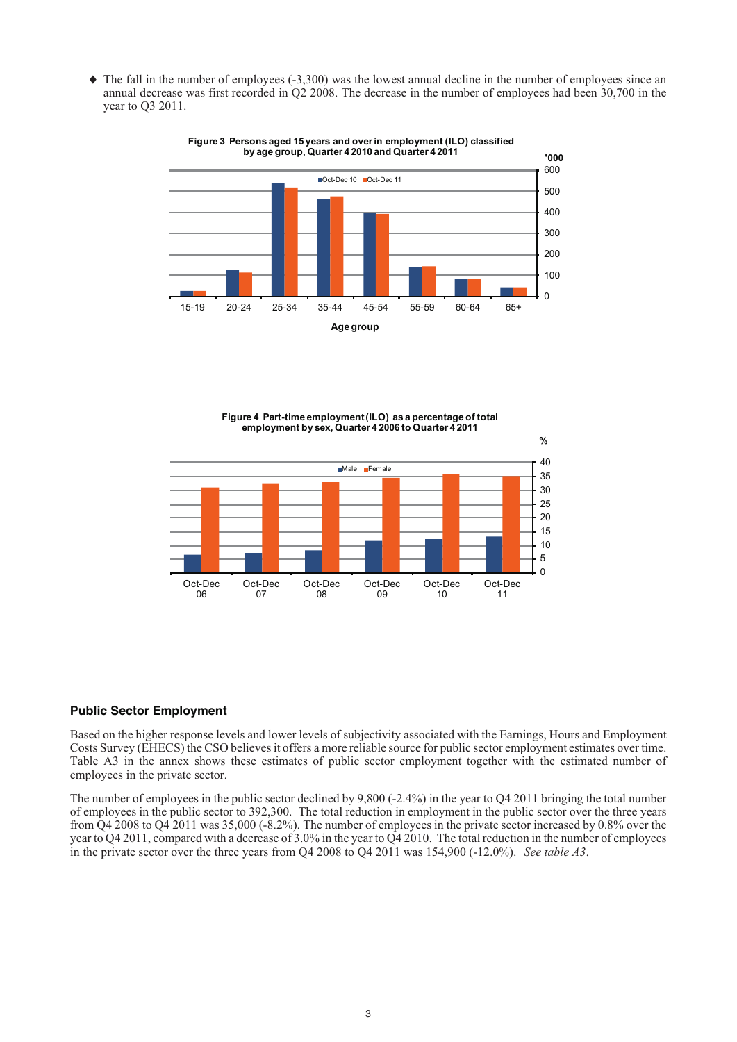- The fall in the number of employees (-3,300) was the lowest annual decline in the number of employees since an annual decrease was first recorded in Q2 2008. The decrease in the number of employees had been 30,700 in the year to Q3 2011.



**Figure 3 Persons aged 15 years and over in employment (ILO) classified by age group, Quarter 4 2010 and Quarter 4 2011**

**Figure 4 Part-time employment(ILO) as a percentage of total employment by sex, Quarter 4 2006 to Quarter 4 2011**



#### **Public Sector Employment**

Based on the higher response levels and lower levels of subjectivity associated with the Earnings, Hours and Employment Costs Survey (EHECS) the CSO believes it offers a more reliable source for public sector employment estimates over time. Table A3 in the annex shows these estimates of public sector employment together with the estimated number of employees in the private sector.

The number of employees in the public sector declined by 9,800 (-2.4%) in the year to Q4 2011 bringing the total number of employees in the public sector to 392,300. The total reduction in employment in the public sector over the three years from Q4 2008 to Q4 2011 was 35,000 (-8.2%). The number of employees in the private sector increased by 0.8% over the year to Q4 2011, compared with a decrease of 3.0% in the year to Q4 2010. The total reduction in the number of employees in the private sector over the three years from Q4 2008 to Q4 2011 was 154,900 (-12.0%). *See table A3*.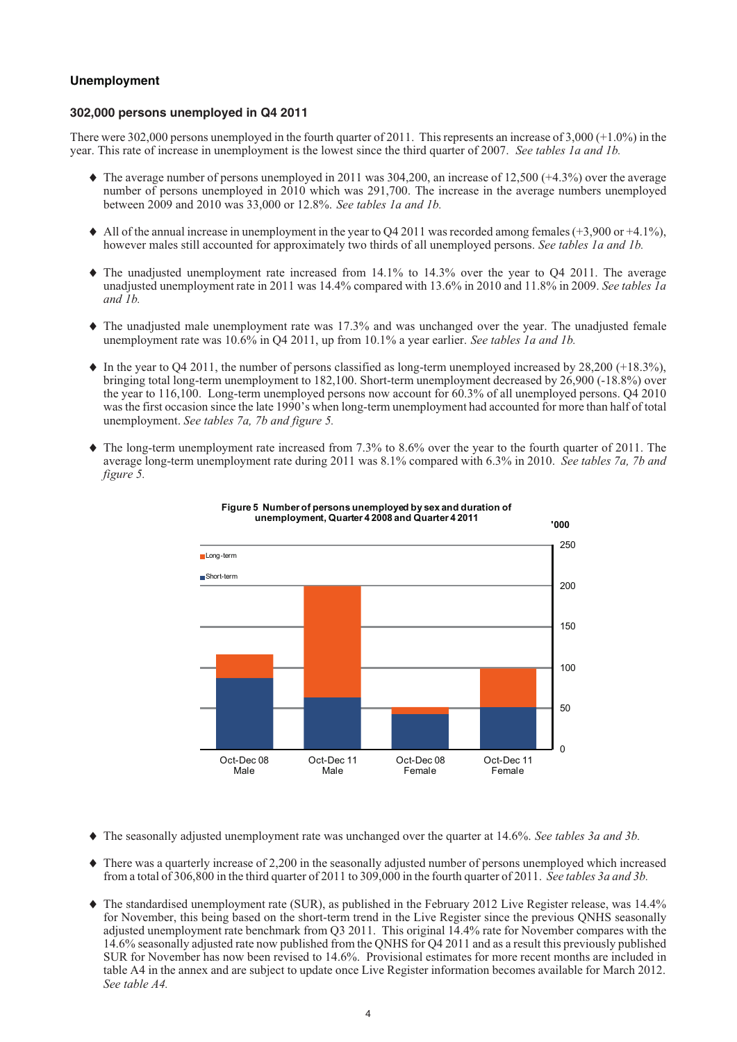#### **Unemployment**

#### **302,000 persons unemployed in Q4 2011**

There were 302,000 persons unemployed in the fourth quarter of 2011. This represents an increase of 3,000 (+1.0%) in the year. This rate of increase in unemployment is the lowest since the third quarter of 2007. *See tables 1a and 1b.*

- The average number of persons unemployed in 2011 was 304,200, an increase of 12,500 (+4.3%) over the average number of persons unemployed in 2010 which was 291,700. The increase in the average numbers unemployed between 2009 and 2010 was 33,000 or 12.8%. *See tables 1a and 1b.*
- All of the annual increase in unemployment in the year to Q4 2011 was recorded among females (+3,900 or +4.1%), however males still accounted for approximately two thirds of all unemployed persons. *See tables 1a and 1b.*
- The unadjusted unemployment rate increased from 14.1% to 14.3% over the year to Q4 2011. The average unadjusted unemployment rate in 2011 was 14.4% compared with 13.6% in 2010 and 11.8% in 2009. *See tables 1a and 1b.*
- The unadjusted male unemployment rate was 17.3% and was unchanged over the year. The unadjusted female unemployment rate was 10.6% in Q4 2011, up from 10.1% a year earlier. *See tables 1a and 1b.*
- In the year to Q4 2011, the number of persons classified as long-term unemployed increased by 28,200 (+18.3%), bringing total long-term unemployment to 182,100. Short-term unemployment decreased by 26,900 (-18.8%) over the year to 116,100. Long-term unemployed persons now account for 60.3% of all unemployed persons. Q4 2010 was the first occasion since the late 1990's when long-term unemployment had accounted for more than half of total unemployment. *See tables 7a, 7b and figure 5.*
- $\blacklozenge$  The long-term unemployment rate increased from 7.3% to 8.6% over the year to the fourth quarter of 2011. The average long-term unemployment rate during 2011 was 8.1% compared with 6.3% in 2010. *See tables 7a, 7b and figure 5.*





- The seasonally adjusted unemployment rate was unchanged over the quarter at 14.6%. *See tables 3a and 3b.*
- There was a quarterly increase of 2,200 in the seasonally adjusted number of persons unemployed which increased from a total of 306,800 in the third quarter of 2011 to 309,000 in the fourth quarter of 2011. *See tables 3a and 3b.*
- The standardised unemployment rate (SUR), as published in the February 2012 Live Register release, was 14.4% for November, this being based on the short-term trend in the Live Register since the previous QNHS seasonally adjusted unemployment rate benchmark from Q3 2011. This original 14.4% rate for November compares with the 14.6% seasonally adjusted rate now published from the QNHS for Q4 2011 and as a result this previously published SUR for November has now been revised to 14.6%. Provisional estimates for more recent months are included in table A4 in the annex and are subject to update once Live Register information becomes available for March 2012. *See table A4.*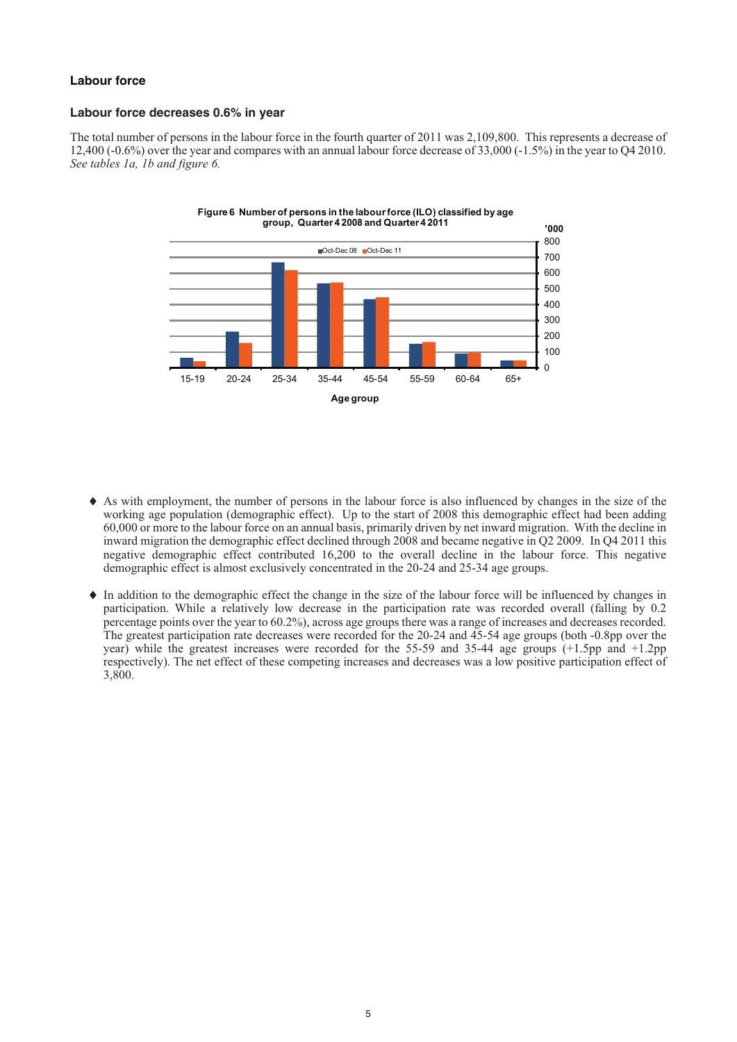#### **Labour force**

#### **Labour force decreases 0.6% in year**

The total number of persons in the labour force in the fourth quarter of 2011 was 2,109,800. This represents a decrease of 12,400 (-0.6%) over the year and compares with an annual labour force decrease of 33,000 (-1.5%) in the year to Q4 2010. *See tables 1a, 1b and figure 6.*



- As with employment, the number of persons in the labour force is also influenced by changes in the size of the working age population (demographic effect). Up to the start of 2008 this demographic effect had been adding 60,000 or more to the labour force on an annual basis, primarily driven by net inward migration. With the decline in inward migration the demographic effect declined through 2008 and became negative in Q2 2009. In Q4 2011 this negative demographic effect contributed 16,200 to the overall decline in the labour force. This negative demographic effect is almost exclusively concentrated in the 20-24 and 25-34 age groups.

- In addition to the demographic effect the change in the size of the labour force will be influenced by changes in participation. While a relatively low decrease in the participation rate was recorded overall (falling by 0.2 percentage points over the year to 60.2%), across age groups there was a range of increases and decreases recorded. The greatest participation rate decreases were recorded for the 20-24 and 45-54 age groups (both -0.8pp over the year) while the greatest increases were recorded for the 55-59 and 35-44 age groups (+1.5pp and +1.2pp respectively). The net effect of these competing increases and decreases was a low positive participation effect of 3,800.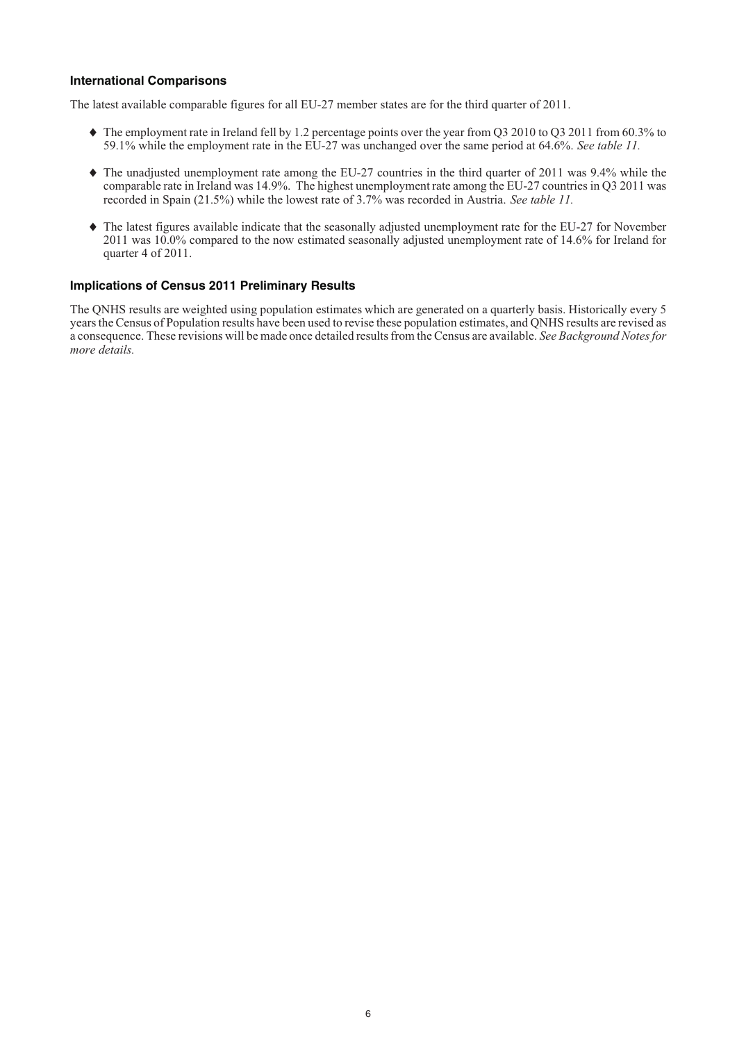#### **International Comparisons**

The latest available comparable figures for all EU-27 member states are for the third quarter of 2011.

- The employment rate in Ireland fell by 1.2 percentage points over the year from Q3 2010 to Q3 2011 from 60.3% to 59.1% while the employment rate in the EU-27 was unchanged over the same period at 64.6%. *See table 11.*
- The unadjusted unemployment rate among the EU-27 countries in the third quarter of 2011 was 9.4% while the comparable rate in Ireland was 14.9%. The highest unemployment rate among the EU-27 countries in Q3 2011 was recorded in Spain (21.5%) while the lowest rate of 3.7% was recorded in Austria. *See table 11.*
- The latest figures available indicate that the seasonally adjusted unemployment rate for the EU-27 for November 2011 was 10.0% compared to the now estimated seasonally adjusted unemployment rate of 14.6% for Ireland for quarter 4 of 2011.

#### **Implications of Census 2011 Preliminary Results**

The QNHS results are weighted using population estimates which are generated on a quarterly basis. Historically every 5 years the Census of Population results have been used to revise these population estimates, and QNHS results are revised as a consequence. These revisions will be made once detailed results from the Census are available. *See Background Notes for more details.*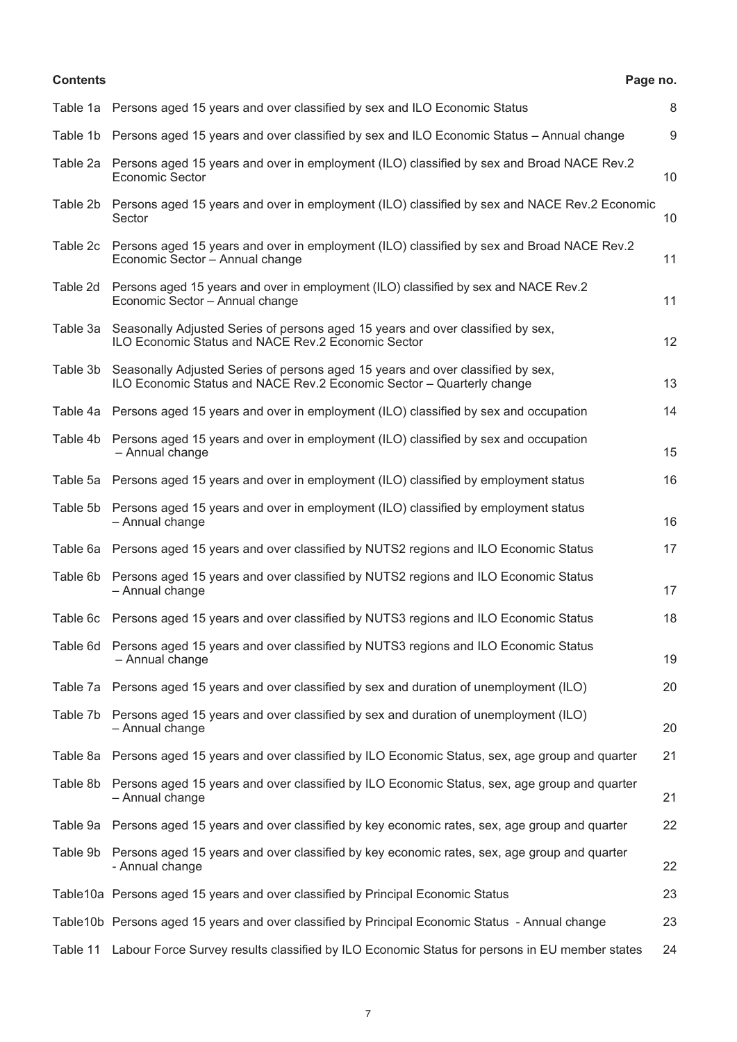#### **Contents Page no.**

|          | Table 1a Persons aged 15 years and over classified by sex and ILO Economic Status                                                                        | 8  |
|----------|----------------------------------------------------------------------------------------------------------------------------------------------------------|----|
|          | Table 1b Persons aged 15 years and over classified by sex and ILO Economic Status - Annual change                                                        | 9  |
|          | Table 2a Persons aged 15 years and over in employment (ILO) classified by sex and Broad NACE Rev.2<br><b>Economic Sector</b>                             | 10 |
|          | Table 2b Persons aged 15 years and over in employment (ILO) classified by sex and NACE Rev.2 Economic<br>Sector                                          | 10 |
|          | Table 2c Persons aged 15 years and over in employment (ILO) classified by sex and Broad NACE Rev.2<br>Economic Sector - Annual change                    | 11 |
| Table 2d | Persons aged 15 years and over in employment (ILO) classified by sex and NACE Rev.2<br>Economic Sector - Annual change                                   | 11 |
| Table 3a | Seasonally Adjusted Series of persons aged 15 years and over classified by sex,<br>ILO Economic Status and NACE Rev.2 Economic Sector                    | 12 |
| Table 3b | Seasonally Adjusted Series of persons aged 15 years and over classified by sex,<br>ILO Economic Status and NACE Rev.2 Economic Sector - Quarterly change | 13 |
|          | Table 4a Persons aged 15 years and over in employment (ILO) classified by sex and occupation                                                             | 14 |
|          | Table 4b Persons aged 15 years and over in employment (ILO) classified by sex and occupation<br>- Annual change                                          | 15 |
|          | Table 5a Persons aged 15 years and over in employment (ILO) classified by employment status                                                              | 16 |
|          | Table 5b Persons aged 15 years and over in employment (ILO) classified by employment status<br>- Annual change                                           | 16 |
|          | Table 6a Persons aged 15 years and over classified by NUTS2 regions and ILO Economic Status                                                              | 17 |
|          | Table 6b Persons aged 15 years and over classified by NUTS2 regions and ILO Economic Status<br>- Annual change                                           | 17 |
|          | Table 6c Persons aged 15 years and over classified by NUTS3 regions and ILO Economic Status                                                              | 18 |
|          | Table 6d Persons aged 15 years and over classified by NUTS3 regions and ILO Economic Status<br>- Annual change                                           | 19 |
|          | Table 7a Persons aged 15 years and over classified by sex and duration of unemployment (ILO)                                                             | 20 |
|          | Table 7b Persons aged 15 years and over classified by sex and duration of unemployment (ILO)<br>- Annual change                                          | 20 |
|          | Table 8a Persons aged 15 years and over classified by ILO Economic Status, sex, age group and quarter                                                    | 21 |
|          | Table 8b Persons aged 15 years and over classified by ILO Economic Status, sex, age group and quarter<br>- Annual change                                 | 21 |
|          | Table 9a Persons aged 15 years and over classified by key economic rates, sex, age group and quarter                                                     | 22 |
|          | Table 9b Persons aged 15 years and over classified by key economic rates, sex, age group and quarter<br>- Annual change                                  | 22 |
|          | Table 10a Persons aged 15 years and over classified by Principal Economic Status                                                                         | 23 |
|          | Table10b Persons aged 15 years and over classified by Principal Economic Status - Annual change                                                          | 23 |
|          | Table 11 Labour Force Survey results classified by ILO Economic Status for persons in EU member states                                                   | 24 |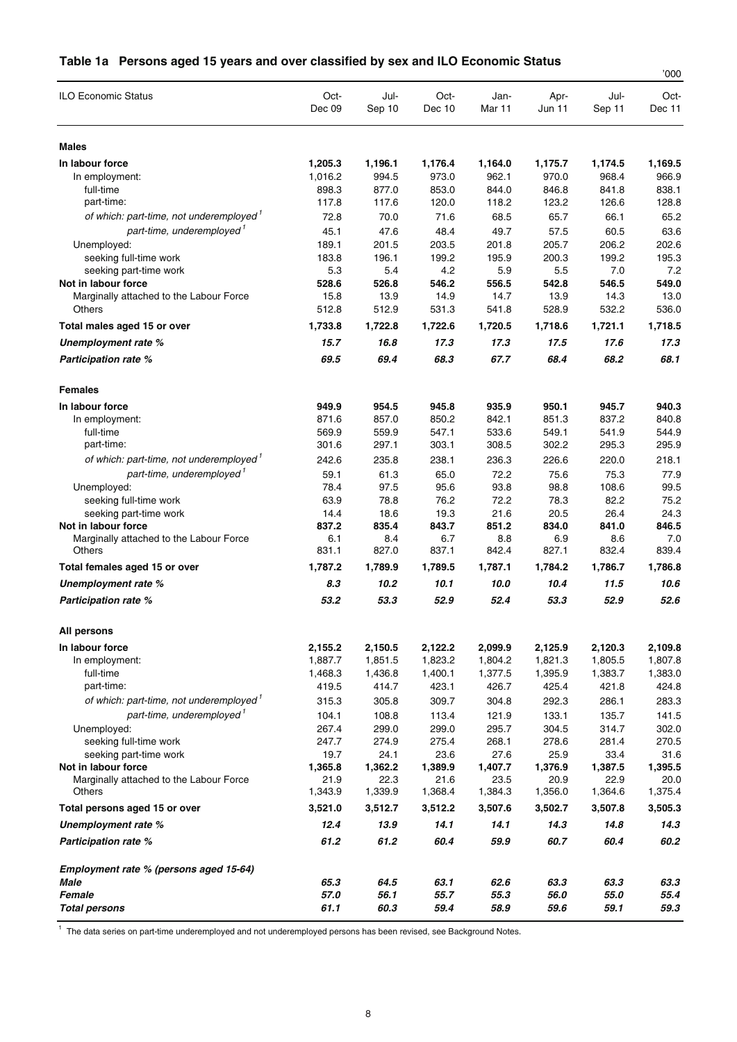#### **Table 1a Persons aged 15 years and over classified by sex and ILO Economic Status**

|                                                                                              |                 |                 |                 |                 |                 |                 | '000            |
|----------------------------------------------------------------------------------------------|-----------------|-----------------|-----------------|-----------------|-----------------|-----------------|-----------------|
| <b>ILO Economic Status</b>                                                                   | Oct-<br>Dec 09  | Jul-<br>Sep 10  | Oct-<br>Dec 10  | Jan-<br>Mar 11  | Apr-<br>Jun 11  | Jul-<br>Sep 11  | Oct-<br>Dec 11  |
| <b>Males</b>                                                                                 |                 |                 |                 |                 |                 |                 |                 |
| In labour force                                                                              | 1,205.3         | 1,196.1         | 1,176.4         | 1,164.0         | 1,175.7         | 1,174.5         | 1,169.5         |
| In employment:                                                                               | 1,016.2         | 994.5           | 973.0           | 962.1           | 970.0           | 968.4           | 966.9           |
| full-time                                                                                    | 898.3           | 877.0           | 853.0           | 844.0           | 846.8           | 841.8           | 838.1           |
| part-time:                                                                                   | 117.8           | 117.6           | 120.0           | 118.2           | 123.2           | 126.6           | 128.8           |
| of which: part-time, not underemployed <sup>1</sup>                                          | 72.8            | 70.0            | 71.6            | 68.5            | 65.7            | 66.1            | 65.2            |
| part-time, underemployed <sup>1</sup>                                                        | 45.1            | 47.6            | 48.4            | 49.7            | 57.5            | 60.5            | 63.6            |
| Unemployed:                                                                                  | 189.1           | 201.5           | 203.5           | 201.8           | 205.7           | 206.2           | 202.6           |
| seeking full-time work<br>seeking part-time work                                             | 183.8<br>5.3    | 196.1<br>5.4    | 199.2<br>4.2    | 195.9<br>5.9    | 200.3<br>5.5    | 199.2<br>7.0    | 195.3<br>7.2    |
| Not in labour force                                                                          | 528.6           | 526.8           | 546.2           | 556.5           | 542.8           | 546.5           | 549.0           |
| Marginally attached to the Labour Force                                                      | 15.8            | 13.9            | 14.9            | 14.7            | 13.9            | 14.3            | 13.0            |
| Others                                                                                       | 512.8           | 512.9           | 531.3           | 541.8           | 528.9           | 532.2           | 536.0           |
| Total males aged 15 or over                                                                  | 1,733.8         | 1,722.8         | 1,722.6         | 1,720.5         | 1,718.6         | 1,721.1         | 1,718.5         |
| Unemployment rate %                                                                          | 15.7            | 16.8            | 17.3            | 17.3            | 17.5            | 17.6            | 17.3            |
| <b>Participation rate %</b>                                                                  | 69.5            | 69.4            | 68.3            | 67.7            | 68.4            | 68.2            | 68.1            |
| <b>Females</b>                                                                               |                 |                 |                 |                 |                 |                 |                 |
| In labour force                                                                              | 949.9           | 954.5           | 945.8           | 935.9           | 950.1           | 945.7           | 940.3           |
| In employment:                                                                               | 871.6           | 857.0           | 850.2           | 842.1           | 851.3           | 837.2           | 840.8           |
| full-time                                                                                    | 569.9           | 559.9           | 547.1           | 533.6           | 549.1           | 541.9           | 544.9           |
| part-time:                                                                                   | 301.6           | 297.1           | 303.1           | 308.5           | 302.2           | 295.3           | 295.9           |
| of which: part-time, not underemployed <sup>1</sup>                                          | 242.6           | 235.8           | 238.1           | 236.3           | 226.6           | 220.0           | 218.1           |
| part-time, underemployed'                                                                    | 59.1            | 61.3            | 65.0            | 72.2            | 75.6            | 75.3            | 77.9            |
| Unemployed:                                                                                  | 78.4            | 97.5            | 95.6            | 93.8            | 98.8            | 108.6           | 99.5            |
| seeking full-time work                                                                       | 63.9            | 78.8            | 76.2            | 72.2            | 78.3            | 82.2            | 75.2            |
| seeking part-time work<br>Not in labour force                                                | 14.4<br>837.2   | 18.6<br>835.4   | 19.3<br>843.7   | 21.6<br>851.2   | 20.5<br>834.0   | 26.4<br>841.0   | 24.3<br>846.5   |
| Marginally attached to the Labour Force                                                      | 6.1             | 8.4             | 6.7             | 8.8             | 6.9             | 8.6             | 7.0             |
| Others                                                                                       | 831.1           | 827.0           | 837.1           | 842.4           | 827.1           | 832.4           | 839.4           |
| Total females aged 15 or over                                                                | 1,787.2         | 1,789.9         | 1,789.5         | 1,787.1         | 1,784.2         | 1,786.7         | 1,786.8         |
| Unemployment rate %                                                                          | 8.3             | 10.2            | 10.1            | 10.0            | 10.4            | 11.5            | 10.6            |
| <b>Participation rate %</b>                                                                  | 53.2            | 53.3            | 52.9            | 52.4            | 53.3            | 52.9            | 52.6            |
| All persons                                                                                  |                 |                 |                 |                 |                 |                 |                 |
| In labour force                                                                              | 2,155.2         | 2,150.5         | 2,122.2         | 2,099.9         | 2,125.9         | 2,120.3         | 2,109.8         |
| In employment:                                                                               | 1,887.7         | 1,851.5         | 1,823.2         | 1,804.2         | 1,821.3         | 1,805.5         | 1,807.8         |
| full-time                                                                                    | 1,468.3         | 1,436.8         | 1,400.1         | 1,377.5         | 1,395.9         | 1,383.7         | 1,383.0         |
| part-time:                                                                                   | 419.5           | 414.7           | 423.1           | 426.7           | 425.4           | 421.8           | 424.8           |
| of which: part-time, not underemployed <sup>1</sup><br>part-time, underemployed <sup>1</sup> | 315.3           | 305.8           | 309.7           | 304.8           | 292.3           | 286.1           | 283.3           |
| Unemployed:                                                                                  | 104.1<br>267.4  | 108.8<br>299.0  | 113.4<br>299.0  | 121.9<br>295.7  | 133.1<br>304.5  | 135.7<br>314.7  | 141.5<br>302.0  |
| seeking full-time work                                                                       | 247.7           | 274.9           | 275.4           | 268.1           | 278.6           | 281.4           | 270.5           |
| seeking part-time work                                                                       | 19.7            | 24.1            | 23.6            | 27.6            | 25.9            | 33.4            | 31.6            |
| Not in labour force                                                                          | 1,365.8         | 1,362.2         | 1,389.9         | 1,407.7         | 1,376.9         | 1,387.5         | 1,395.5         |
| Marginally attached to the Labour Force<br>Others                                            | 21.9<br>1,343.9 | 22.3<br>1,339.9 | 21.6<br>1,368.4 | 23.5<br>1,384.3 | 20.9<br>1,356.0 | 22.9<br>1,364.6 | 20.0<br>1,375.4 |
| Total persons aged 15 or over                                                                | 3,521.0         | 3,512.7         | 3,512.2         | 3,507.6         | 3,502.7         | 3,507.8         | 3,505.3         |
| Unemployment rate %                                                                          | 12.4            | 13.9            | 14.1            | 14.1            | 14.3            | 14.8            | 14.3            |
| <b>Participation rate %</b>                                                                  | 61.2            | 61.2            | 60.4            | 59.9            | 60.7            | 60.4            | 60.2            |
| Employment rate % (persons aged 15-64)                                                       |                 |                 |                 |                 |                 |                 |                 |
| Male                                                                                         | 65.3            | 64.5            | 63.1            | 62.6            | 63.3            | 63.3            | 63.3            |
| Female<br><b>Total persons</b>                                                               | 57.0<br>61.1    | 56.1<br>60.3    | 55.7<br>59.4    | 55.3<br>58.9    | 56.0<br>59.6    | 55.0<br>59.1    | 55.4<br>59.3    |

1 The data series on part-time underemployed and not underemployed persons has been revised, see Background Notes.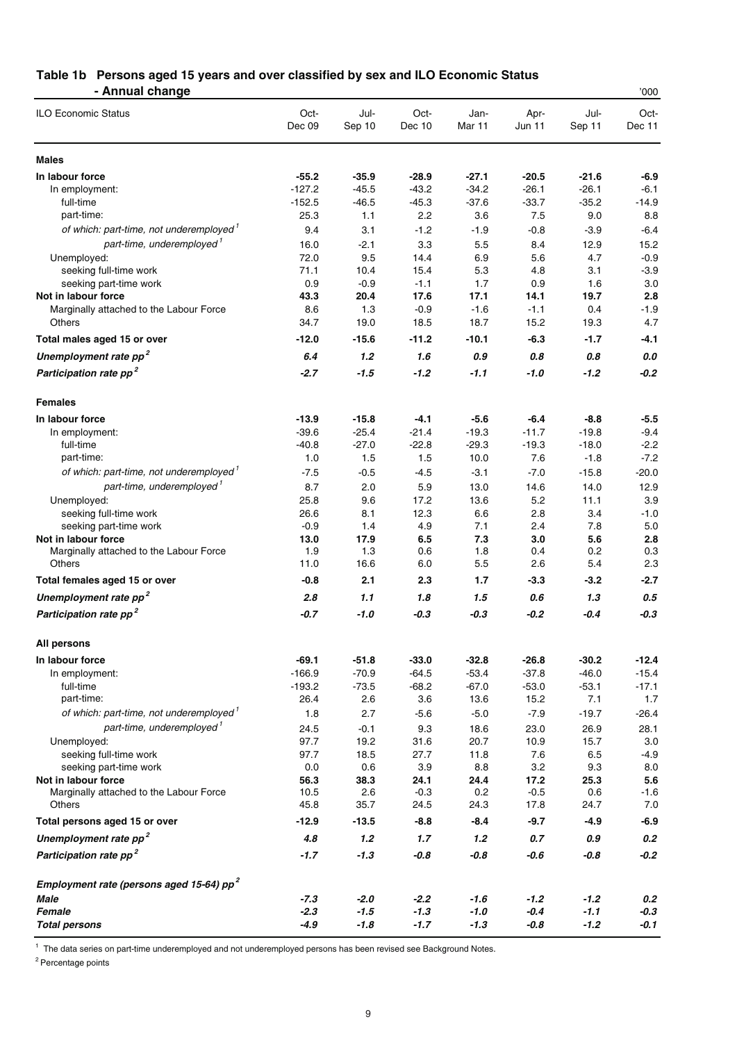#### **Table 1b Persons aged 15 years and over classified by sex and ILO Economic Status - Annual change** '000

| <b>ILO Economic Status</b>                                              | Oct-<br>Dec 09 | Jul-<br>Sep 10 | Oct-<br>Dec 10 | Jan-<br>Mar 11 | Apr-<br><b>Jun 11</b> | Jul-<br>Sep 11 | Oct-<br>Dec 11 |
|-------------------------------------------------------------------------|----------------|----------------|----------------|----------------|-----------------------|----------------|----------------|
| <b>Males</b>                                                            |                |                |                |                |                       |                |                |
| In labour force                                                         | $-55.2$        | $-35.9$        | $-28.9$        | $-27.1$        | $-20.5$               | $-21.6$        | -6.9           |
| In employment:                                                          | $-127.2$       | $-45.5$        | $-43.2$        | $-34.2$        | $-26.1$               | $-26.1$        | $-6.1$         |
| full-time                                                               | $-152.5$       | $-46.5$        | $-45.3$        | $-37.6$        | $-33.7$               | $-35.2$        | $-14.9$        |
| part-time:                                                              | 25.3           | 1.1            | 2.2            | 3.6            | 7.5                   | 9.0            | 8.8            |
| of which: part-time, not underemployed <sup>1</sup>                     | 9.4            | 3.1            | $-1.2$         | $-1.9$         | $-0.8$                | $-3.9$         | $-6.4$         |
| part-time, underemployed <sup>1</sup>                                   | 16.0           | $-2.1$         | 3.3            | 5.5            | 8.4                   | 12.9           | 15.2           |
| Unemployed:                                                             | 72.0           | 9.5            | 14.4           | 6.9            | 5.6                   | 4.7            | $-0.9$         |
| seeking full-time work                                                  | 71.1           | 10.4           | 15.4           | 5.3            | 4.8                   | 3.1            | $-3.9$         |
| seeking part-time work                                                  | 0.9            | $-0.9$         | $-1.1$         | 1.7            | 0.9                   | 1.6            | 3.0            |
| Not in labour force                                                     | 43.3           | 20.4           | 17.6           | 17.1           | 14.1                  | 19.7           | 2.8            |
| Marginally attached to the Labour Force                                 | 8.6            | 1.3            | $-0.9$         | $-1.6$         | $-1.1$                | 0.4            | $-1.9$         |
| Others                                                                  | 34.7           | 19.0           | 18.5           | 18.7           | 15.2                  | 19.3           | 4.7            |
| Total males aged 15 or over                                             | $-12.0$        | $-15.6$        | $-11.2$        | $-10.1$        | $-6.3$                | $-1.7$         | $-4.1$         |
| Unemployment rate pp <sup>2</sup>                                       | 6.4            | 1.2            | 1.6            | 0.9            | 0.8                   | 0.8            | 0.0            |
| Participation rate pp <sup>2</sup>                                      | $-2.7$         | $-1.5$         | $-1.2$         | -1.1           | $-1.0$                | $-1.2$         | $-0.2$         |
| <b>Females</b>                                                          |                |                |                |                |                       |                |                |
| In labour force                                                         | $-13.9$        | $-15.8$        | $-4.1$         | $-5.6$         | $-6.4$                | $-8.8$         | -5.5           |
| In employment:                                                          | $-39.6$        | $-25.4$        | $-21.4$        | $-19.3$        | $-11.7$               | $-19.8$        | $-9.4$         |
| full-time                                                               | $-40.8$        | $-27.0$        | $-22.8$        | $-29.3$        | $-19.3$               | $-18.0$        | $-2.2$         |
| part-time:                                                              | 1.0            | 1.5            | 1.5            | 10.0           | 7.6                   | $-1.8$         | $-7.2$         |
| of which: part-time, not underemployed <sup>1</sup>                     | $-7.5$         | $-0.5$         | $-4.5$         | $-3.1$         | $-7.0$                | $-15.8$        | $-20.0$        |
| part-time, underemployed <sup>1</sup>                                   | 8.7            | 2.0            | 5.9            | 13.0           | 14.6                  | 14.0           | 12.9           |
| Unemployed:                                                             | 25.8           | 9.6            | 17.2           | 13.6           | 5.2                   | 11.1           | 3.9            |
| seeking full-time work                                                  | 26.6           | 8.1            | 12.3           | 6.6            | 2.8                   | 3.4            | $-1.0$         |
| seeking part-time work                                                  | $-0.9$         | 1.4            | 4.9            | 7.1            | 2.4                   | 7.8            | 5.0            |
| Not in labour force                                                     | 13.0           | 17.9           | 6.5            | 7.3            | 3.0                   | 5.6            | 2.8            |
| Marginally attached to the Labour Force                                 | 1.9            | 1.3            | 0.6            | 1.8            | 0.4                   | 0.2            | 0.3            |
| Others                                                                  | 11.0           | 16.6           | 6.0            | 5.5            | 2.6                   | 5.4            | 2.3            |
| Total females aged 15 or over                                           | $-0.8$         | 2.1            | 2.3            | 1.7            | $-3.3$                | $-3.2$         | -2.7           |
| Unemployment rate pp <sup>2</sup>                                       | 2.8            | 1.1            | 1.8            | 1.5            | 0.6                   | 1.3            | 0.5            |
| Participation rate pp <sup>2</sup>                                      | -0.7           | $-1.0$         | $-0.3$         | -0.3           | $-0.2$                | $-0.4$         | $-0.3$         |
| All persons                                                             |                |                |                |                |                       |                |                |
| In labour force                                                         | $-69.1$        | $-51.8$        | $-33.0$        | $-32.8$        | $-26.8$               | $-30.2$        | $-12.4$        |
| In employment:                                                          | $-166.9$       | $-70.9$        | $-64.5$        | $-53.4$        | $-37.8$               | $-46.0$        | $-15.4$        |
| full-time                                                               | $-193.2$       | $-73.5$        | $-68.2$        | $-67.0$        | $-53.0$               | $-53.1$        | $-17.1$        |
| part-time:                                                              | 26.4           | 2.6            | 3.6            | 13.6           | 15.2                  | 7.1            | 1.7            |
| of which: part-time, not underemployed <sup>1</sup>                     | 1.8            | 2.7            | $-5.6$         | $-5.0$         | $-7.9$                | $-19.7$        | $-26.4$        |
| part-time, underemployed <sup>1</sup>                                   | 24.5           | $-0.1$         | 9.3            | 18.6           | 23.0                  | 26.9           | 28.1           |
| Unemployed:                                                             | 97.7           | 19.2           | 31.6           | 20.7           | 10.9                  | 15.7           | 3.0            |
| seeking full-time work                                                  | 97.7           | 18.5           | 27.7           | 11.8           | 7.6                   | 6.5            | $-4.9$         |
| seeking part-time work                                                  | 0.0            | 0.6            | 3.9            | 8.8            | 3.2                   | 9.3            | 8.0            |
| Not in labour force                                                     | 56.3           | 38.3           | 24.1           | 24.4           | 17.2                  | 25.3           | 5.6            |
| Marginally attached to the Labour Force                                 | 10.5           | 2.6            | $-0.3$         | 0.2            | $-0.5$                | 0.6            | $-1.6$         |
| Others                                                                  | 45.8           | 35.7           | 24.5           | 24.3           | 17.8                  | 24.7           | 7.0            |
| Total persons aged 15 or over                                           | $-12.9$        | $-13.5$        | $-8.8$         | $-8.4$         | $-9.7$                | $-4.9$         | $-6.9$         |
| Unemployment rate pp <sup>2</sup><br>Participation rate pp <sup>2</sup> | 4.8<br>$-1.7$  | 1.2<br>$-1.3$  | 1.7<br>$-0.8$  | 1.2<br>$-0.8$  | 0.7<br>$-0.6$         | 0.9<br>$-0.8$  | 0.2<br>$-0.2$  |
|                                                                         |                |                |                |                |                       |                |                |
| Employment rate (persons aged 15-64) pp <sup>2</sup>                    |                |                |                |                |                       |                |                |
| Male                                                                    | $-7.3$         | $-2.0$         | $-2.2$         | $-1.6$         | $-1.2$                | $-1.2$         | 0.2            |
| Female                                                                  | $-2.3$         | $-1.5$         | $-1.3$         | $-1.0$         | $-0.4$                | $-1.1$         | $-0.3$         |
| <b>Total persons</b>                                                    | $-4.9$         | $-1.8$         | $-1.7$         | $-1.3$         | $-0.8$                | $-1.2$         | $-0.1$         |

<sup>1</sup> The data series on part-time underemployed and not underemployed persons has been revised see Background Notes.

<sup>2</sup> Percentage points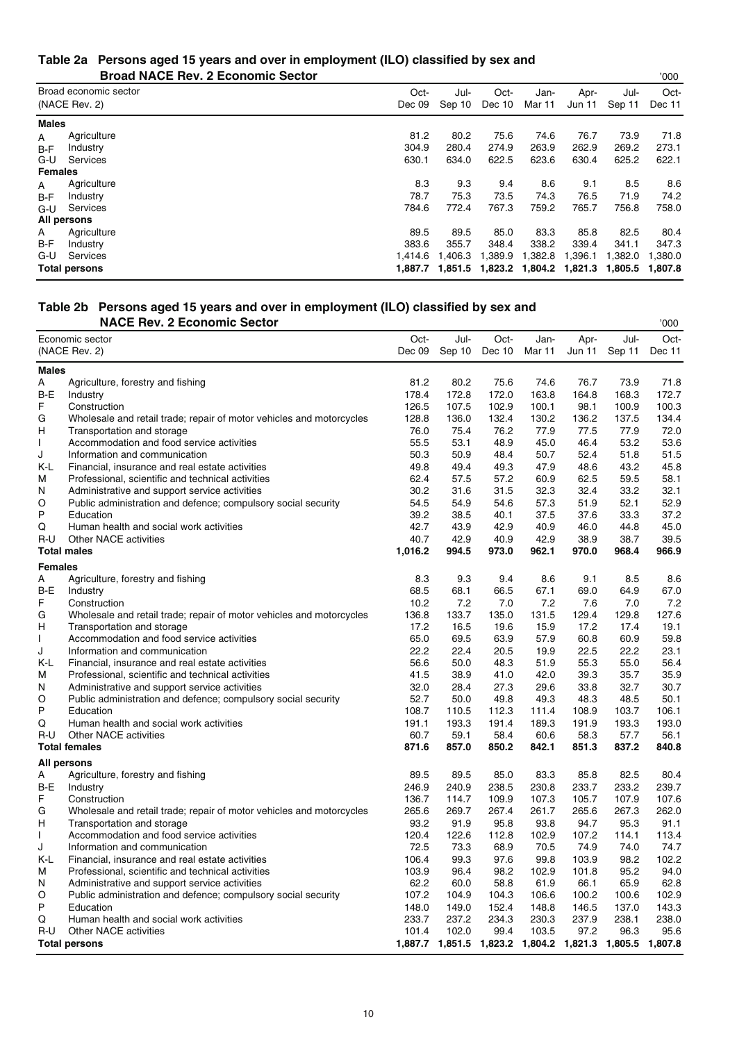#### **Table 2a Persons aged 15 years and over in employment (ILO) classified by sex and Broad NACE Rev. 2 Economic Sector** '000

|                | DIVAY INAUL REV. Z LUVIIVIIIIU JEULUI  |                |                |                |                                 |                |                | <u>vvv</u>     |
|----------------|----------------------------------------|----------------|----------------|----------------|---------------------------------|----------------|----------------|----------------|
|                | Broad economic sector<br>(NACE Rev. 2) | Oct-<br>Dec 09 | Jul-<br>Sep 10 | Oct-<br>Dec 10 | Jan-<br>Mar 11                  | Apr-<br>Jun 11 | Jul-<br>Sep 11 | Oct-<br>Dec 11 |
| <b>Males</b>   |                                        |                |                |                |                                 |                |                |                |
| A              | Agriculture                            | 81.2           | 80.2           | 75.6           | 74.6                            | 76.7           | 73.9           | 71.8           |
| $B-F$          | Industry                               | 304.9          | 280.4          | 274.9          | 263.9                           | 262.9          | 269.2          | 273.1          |
| G-U            | Services                               | 630.1          | 634.0          | 622.5          | 623.6                           | 630.4          | 625.2          | 622.1          |
| <b>Females</b> |                                        |                |                |                |                                 |                |                |                |
| A              | Agriculture                            | 8.3            | 9.3            | 9.4            | 8.6                             | 9.1            | 8.5            | 8.6            |
| B-F            | Industry                               | 78.7           | 75.3           | 73.5           | 74.3                            | 76.5           | 71.9           | 74.2           |
| $G-U$          | Services                               | 784.6          | 772.4          | 767.3          | 759.2                           | 765.7          | 756.8          | 758.0          |
|                | All persons                            |                |                |                |                                 |                |                |                |
| A              | Agriculture                            | 89.5           | 89.5           | 85.0           | 83.3                            | 85.8           | 82.5           | 80.4           |
| B-F            | Industry                               | 383.6          | 355.7          | 348.4          | 338.2                           | 339.4          | 341.1          | 347.3          |
| G-U            | Services                               | 1.414.6        | 1.406.3        | 1,389.9        | 1,382.8                         | 1,396.1        | 1,382.0        | 1,380.0        |
|                | <b>Total persons</b>                   | 1.887.7        |                |                | 1,851.5 1,823.2 1,804.2 1,821.3 |                | 1,805.5        | 1,807.8        |

### **Table 2b Persons aged 15 years and over in employment (ILO) classified by sex and**

|                | <b>NACE Rev. 2 Economic Sector</b>                                         |                |                |                |                |                                                 |                | '000           |
|----------------|----------------------------------------------------------------------------|----------------|----------------|----------------|----------------|-------------------------------------------------|----------------|----------------|
|                | Economic sector                                                            | Oct-           | Jul-           | Oct-           | Jan-           | Apr-                                            | Jul-           | Oct-           |
|                | (NACE Rev. 2)                                                              | Dec 09         | Sep 10         | Dec 10         | Mar 11         | Jun 11                                          | Sep 11         | Dec 11         |
| Males          |                                                                            |                |                |                |                |                                                 |                |                |
| А              | Agriculture, forestry and fishing                                          | 81.2           | 80.2           | 75.6           | 74.6           | 76.7                                            | 73.9           | 71.8           |
| B-E            | Industry                                                                   | 178.4          | 172.8          | 172.0          | 163.8          | 164.8                                           | 168.3          | 172.7          |
| F              | Construction                                                               | 126.5          | 107.5          | 102.9          | 100.1          | 98.1                                            | 100.9          | 100.3          |
| G              | Wholesale and retail trade; repair of motor vehicles and motorcycles       | 128.8          | 136.0          | 132.4          | 130.2          | 136.2                                           | 137.5          | 134.4          |
| н              | Transportation and storage                                                 | 76.0           | 75.4           | 76.2           | 77.9           | 77.5                                            | 77.9           | 72.0           |
| $\mathsf{I}$   | Accommodation and food service activities                                  | 55.5           | 53.1           | 48.9           | 45.0           | 46.4                                            | 53.2           | 53.6           |
| J              | Information and communication                                              | 50.3           | 50.9           | 48.4           | 50.7           | 52.4                                            | 51.8           | 51.5           |
| K-L            | Financial, insurance and real estate activities                            | 49.8           | 49.4           | 49.3           | 47.9           | 48.6                                            | 43.2           | 45.8           |
| М              | Professional, scientific and technical activities                          | 62.4           | 57.5           | 57.2           | 60.9           | 62.5                                            | 59.5           | 58.1           |
| N              | Administrative and support service activities                              | 30.2           | 31.6           | 31.5           | 32.3           | 32.4                                            | 33.2           | 32.1           |
| O              | Public administration and defence; compulsory social security              | 54.5           | 54.9           | 54.6           | 57.3           | 51.9                                            | 52.1           | 52.9           |
| P              | Education                                                                  | 39.2           | 38.5           | 40.1           | 37.5           | 37.6                                            | 33.3           | 37.2           |
| Q              | Human health and social work activities                                    | 42.7           | 43.9           | 42.9           | 40.9           | 46.0                                            | 44.8           | 45.0           |
| $R-U$          | Other NACE activities                                                      | 40.7           | 42.9           | 40.9           | 42.9           | 38.9                                            | 38.7           | 39.5           |
|                | <b>Total males</b>                                                         | 1,016.2        | 994.5          | 973.0          | 962.1          | 970.0                                           | 968.4          | 966.9          |
| <b>Females</b> |                                                                            |                |                |                |                |                                                 |                |                |
| A              | Agriculture, forestry and fishing                                          | 8.3            | 9.3            | 9.4            | 8.6            | 9.1                                             | 8.5            | 8.6            |
| B-E            | Industry                                                                   | 68.5           | 68.1           | 66.5           | 67.1           | 69.0                                            | 64.9           | 67.0           |
| F              | Construction                                                               | 10.2           | 7.2            | 7.0            | 7.2            | 7.6                                             | 7.0            | 7.2            |
| G              | Wholesale and retail trade; repair of motor vehicles and motorcycles       | 136.8          | 133.7          | 135.0          | 131.5          | 129.4                                           | 129.8          | 127.6          |
| н              | Transportation and storage                                                 | 17.2           | 16.5           | 19.6           | 15.9           | 17.2                                            | 17.4           | 19.1           |
|                | Accommodation and food service activities                                  | 65.0           | 69.5           | 63.9           | 57.9           | 60.8                                            | 60.9           | 59.8           |
| J              | Information and communication                                              | 22.2           | 22.4           | 20.5           | 19.9           | 22.5                                            | 22.2           | 23.1           |
| K-L            | Financial, insurance and real estate activities                            | 56.6           | 50.0           | 48.3           | 51.9           | 55.3                                            | 55.0           | 56.4           |
| М              | Professional, scientific and technical activities                          | 41.5           | 38.9           | 41.0           | 42.0           | 39.3                                            | 35.7           | 35.9           |
| N              | Administrative and support service activities                              | 32.0           | 28.4           | 27.3           | 29.6           | 33.8                                            | 32.7           | 30.7           |
| O              | Public administration and defence; compulsory social security              | 52.7           | 50.0           | 49.8           | 49.3           | 48.3                                            | 48.5           | 50.1           |
| P              | Education                                                                  | 108.7          | 110.5          | 112.3          | 111.4          | 108.9                                           | 103.7          | 106.1          |
| Q              | Human health and social work activities                                    | 191.1          | 193.3          | 191.4          | 189.3          | 191.9                                           | 193.3          | 193.0          |
| R-U            | <b>Other NACE activities</b>                                               | 60.7           | 59.1           | 58.4           | 60.6           | 58.3                                            | 57.7           | 56.1           |
|                | <b>Total females</b>                                                       | 871.6          | 857.0          | 850.2          | 842.1          | 851.3                                           | 837.2          | 840.8          |
|                | All persons                                                                |                |                |                |                |                                                 |                |                |
| А              | Agriculture, forestry and fishing                                          | 89.5           | 89.5           | 85.0           | 83.3           | 85.8                                            | 82.5           | 80.4           |
| B-E            | Industry                                                                   | 246.9          | 240.9          | 238.5          | 230.8          | 233.7                                           | 233.2          | 239.7          |
| F              | Construction                                                               | 136.7          | 114.7          | 109.9          | 107.3          | 105.7                                           | 107.9          | 107.6          |
| G              | Wholesale and retail trade; repair of motor vehicles and motorcycles       | 265.6          | 269.7          | 267.4          | 261.7          | 265.6                                           | 267.3          | 262.0          |
| н              | Transportation and storage                                                 | 93.2           | 91.9           | 95.8           | 93.8           | 94.7                                            | 95.3           | 91.1           |
| $\mathsf{I}$   | Accommodation and food service activities                                  | 120.4          | 122.6          | 112.8          | 102.9          | 107.2                                           | 114.1          | 113.4          |
| J              | Information and communication                                              | 72.5           | 73.3           | 68.9           | 70.5           | 74.9                                            | 74.0           | 74.7           |
| K-L            | Financial, insurance and real estate activities                            | 106.4          | 99.3           | 97.6           | 99.8           | 103.9                                           | 98.2           | 102.2          |
| М              | Professional, scientific and technical activities                          | 103.9          | 96.4           | 98.2           | 102.9          | 101.8                                           | 95.2           | 94.0           |
| N              | Administrative and support service activities                              | 62.2           | 60.0           | 58.8           | 61.9           | 66.1                                            | 65.9           | 62.8           |
| O<br>P         | Public administration and defence; compulsory social security<br>Education | 107.2<br>148.0 | 104.9<br>149.0 | 104.3<br>152.4 | 106.6<br>148.8 | 100.2                                           | 100.6<br>137.0 | 102.9<br>143.3 |
| Q              | Human health and social work activities                                    | 233.7          | 237.2          | 234.3          | 230.3          | 146.5<br>237.9                                  | 238.1          | 238.0          |
| $R-U$          | <b>Other NACE activities</b>                                               | 101.4          | 102.0          | 99.4           | 103.5          | 97.2                                            | 96.3           | 95.6           |
|                | <b>Total persons</b>                                                       |                |                |                |                | 1,887.7 1,851.5 1,823.2 1,804.2 1,821.3 1,805.5 |                | 1,807.8        |
|                |                                                                            |                |                |                |                |                                                 |                |                |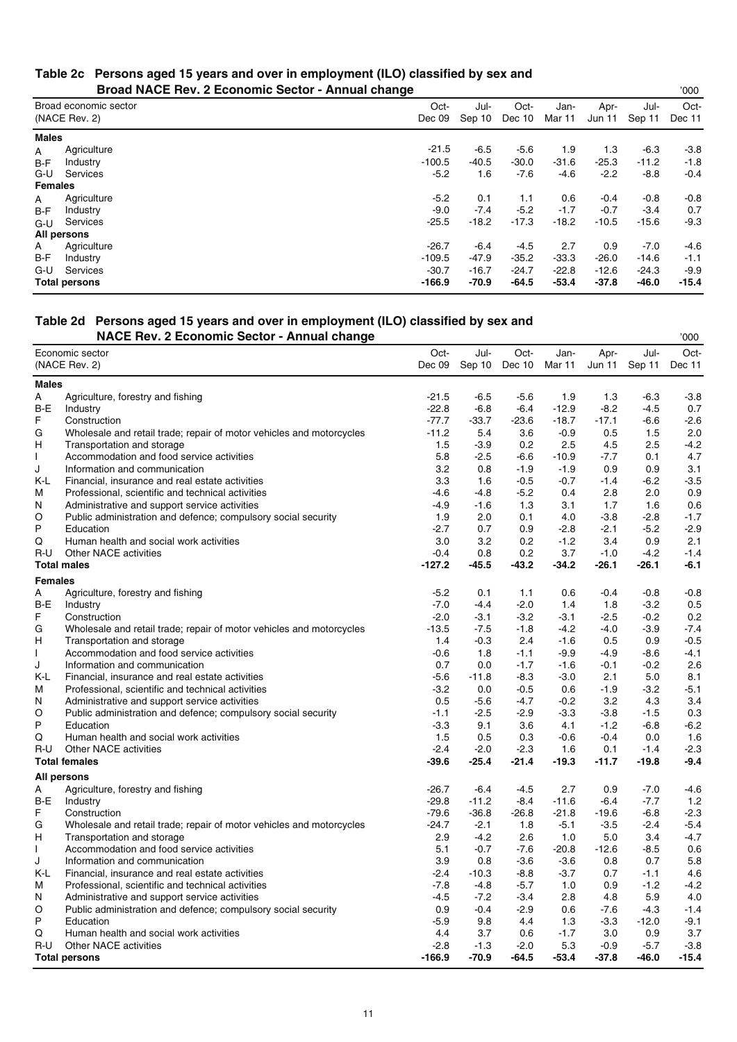#### **Table 2c Persons aged 15 years and over in employment (ILO) classified by sex and Broad NACE Rev. 2 Economic Sector - Annual change**

|                | <b>PIOGU INAVE TIGY. 2 LOUIDING OCCIDE</b> | $-$ Annual Vilangu |                |                |                |                |                | vvv            |
|----------------|--------------------------------------------|--------------------|----------------|----------------|----------------|----------------|----------------|----------------|
|                | Broad economic sector<br>(NACE Rev. 2)     | Oct-<br>Dec 09     | Jul-<br>Sep 10 | Oct-<br>Dec 10 | Jan-<br>Mar 11 | Apr-<br>Jun 11 | Jul-<br>Sep 11 | Oct-<br>Dec 11 |
| <b>Males</b>   |                                            |                    |                |                |                |                |                |                |
| A              | Agriculture                                | $-21.5$            | -6.5           | $-5.6$         | 1.9            | 1.3            | -6.3           | $-3.8$         |
| $B-F$          | Industry                                   | $-100.5$           | $-40.5$        | $-30.0$        | $-31.6$        | $-25.3$        | $-11.2$        | $-1.8$         |
| $G-U$          | Services                                   | $-5.2$             | 1.6            | $-7.6$         | $-4.6$         | $-2.2$         | $-8.8$         | $-0.4$         |
| <b>Females</b> |                                            |                    |                |                |                |                |                |                |
| A              | Agriculture                                | $-5.2$             | 0.1            | 1.1            | 0.6            | $-0.4$         | $-0.8$         | $-0.8$         |
| $B-F$          | Industry                                   | $-9.0$             | $-7.4$         | $-5.2$         | $-1.7$         | $-0.7$         | $-3.4$         | 0.7            |
| $G-U$          | Services                                   | $-25.5$            | $-18.2$        | $-17.3$        | $-18.2$        | $-10.5$        | $-15.6$        | $-9.3$         |
|                | All persons                                |                    |                |                |                |                |                |                |
| A              | Agriculture                                | $-26.7$            | -6.4           | -4.5           | 2.7            | 0.9            | $-7.0$         | $-4.6$         |
| B-F            | Industry                                   | $-109.5$           | $-47.9$        | $-35.2$        | $-33.3$        | $-26.0$        | $-14.6$        | $-1.1$         |
| G-U            | Services                                   | $-30.7$            | $-16.7$        | $-24.7$        | $-22.8$        | $-12.6$        | $-24.3$        | $-9.9$         |
|                | <b>Total persons</b>                       | $-166.9$           | -70.9          | $-64.5$        | $-53.4$        | $-37.8$        | $-46.0$        | $-15.4$        |

### **Table 2d Persons aged 15 years and over in employment (ILO) classified by sex and**

|                | <b>NACE Rev. 2 Economic Sector - Annual change</b>                   |          |                      |         |         |         |               | '000    |
|----------------|----------------------------------------------------------------------|----------|----------------------|---------|---------|---------|---------------|---------|
|                | Economic sector                                                      | Oct-     | Jul-                 | Oct-    | Jan-    | Apr-    | Jul-          | Oct-    |
|                | (NACE Rev. 2)                                                        |          | Dec 09 Sep 10 Dec 10 |         | Mar 11  |         | Jun 11 Sep 11 | Dec 11  |
| <b>Males</b>   |                                                                      |          |                      |         |         |         |               |         |
| А              | Agriculture, forestry and fishing                                    | $-21.5$  | $-6.5$               | $-5.6$  | 1.9     | 1.3     | $-6.3$        | $-3.8$  |
| B-E            | Industry                                                             | $-22.8$  | $-6.8$               | $-6.4$  | $-12.9$ | $-8.2$  | $-4.5$        | 0.7     |
| F              | Construction                                                         | $-77.7$  | $-33.7$              | $-23.6$ | $-18.7$ | $-17.1$ | $-6.6$        | $-2.6$  |
| G              | Wholesale and retail trade; repair of motor vehicles and motorcycles | $-11.2$  | 5.4                  | 3.6     | $-0.9$  | 0.5     | 1.5           | 2.0     |
| н              | Transportation and storage                                           | 1.5      | $-3.9$               | 0.2     | 2.5     | 4.5     | 2.5           | $-4.2$  |
| $\mathbf{I}$   | Accommodation and food service activities                            | 5.8      | $-2.5$               | -6.6    | $-10.9$ | $-7.7$  | 0.1           | 4.7     |
| J              | Information and communication                                        | 3.2      | 0.8                  | $-1.9$  | $-1.9$  | 0.9     | 0.9           | 3.1     |
| K-L            | Financial, insurance and real estate activities                      | 3.3      | 1.6                  | $-0.5$  | $-0.7$  | $-1.4$  | $-6.2$        | $-3.5$  |
| М              | Professional, scientific and technical activities                    | $-4.6$   | $-4.8$               | $-5.2$  | 0.4     | 2.8     | 2.0           | 0.9     |
| N              | Administrative and support service activities                        | $-4.9$   | $-1.6$               | 1.3     | 3.1     | 1.7     | 1.6           | 0.6     |
| O              | Public administration and defence; compulsory social security        | 1.9      | 2.0                  | 0.1     | 4.0     | $-3.8$  | $-2.8$        | $-1.7$  |
| P              | Education                                                            | $-2.7$   | 0.7                  | 0.9     | $-2.8$  | $-2.1$  | $-5.2$        | $-2.9$  |
| Q              | Human health and social work activities                              | 3.0      | 3.2                  | 0.2     | $-1.2$  | 3.4     | 0.9           | 2.1     |
| R-U            | Other NACE activities                                                | $-0.4$   | 0.8                  | 0.2     | 3.7     | $-1.0$  | $-4.2$        | $-1.4$  |
|                | <b>Total males</b>                                                   | $-127.2$ | $-45.5$              | $-43.2$ | $-34.2$ | $-26.1$ | $-26.1$       | $-6.1$  |
| <b>Females</b> |                                                                      |          |                      |         |         |         |               |         |
| А              | Agriculture, forestry and fishing                                    | $-5.2$   | 0.1                  | 1.1     | 0.6     | $-0.4$  | $-0.8$        | $-0.8$  |
| $B-E$          | Industry                                                             | $-7.0$   | $-4.4$               | $-2.0$  | 1.4     | 1.8     | $-3.2$        | 0.5     |
| F              | Construction                                                         | $-2.0$   | $-3.1$               | $-3.2$  | $-3.1$  | $-2.5$  | $-0.2$        | 0.2     |
| G              | Wholesale and retail trade; repair of motor vehicles and motorcycles | $-13.5$  | $-7.5$               | $-1.8$  | $-4.2$  | $-4.0$  | $-3.9$        | $-7.4$  |
| н              | Transportation and storage                                           | 1.4      | $-0.3$               | 2.4     | $-1.6$  | 0.5     | 0.9           | $-0.5$  |
|                | Accommodation and food service activities                            | $-0.6$   | 1.8                  | $-1.1$  | $-9.9$  | $-4.9$  | $-8.6$        | $-4.1$  |
| J              | Information and communication                                        | 0.7      | 0.0                  | $-1.7$  | $-1.6$  | $-0.1$  | $-0.2$        | 2.6     |
| K-L            | Financial, insurance and real estate activities                      | $-5.6$   | $-11.8$              | -8.3    | $-3.0$  | 2.1     | 5.0           | 8.1     |
| М              | Professional, scientific and technical activities                    | $-3.2$   | 0.0                  | $-0.5$  | 0.6     | $-1.9$  | $-3.2$        | $-5.1$  |
| N              | Administrative and support service activities                        | 0.5      | $-5.6$               | $-4.7$  | $-0.2$  | 3.2     | 4.3           | 3.4     |
| O              | Public administration and defence; compulsory social security        | $-1.1$   | $-2.5$               | $-2.9$  | $-3.3$  | $-3.8$  | $-1.5$        | 0.3     |
| P              | Education                                                            | $-3.3$   | 9.1                  | 3.6     | 4.1     | $-1.2$  | $-6.8$        | $-6.2$  |
| Q              | Human health and social work activities                              | 1.5      | 0.5                  | 0.3     | $-0.6$  | $-0.4$  | 0.0           | 1.6     |
| R-U            | <b>Other NACE activities</b>                                         | $-2.4$   | $-2.0$               | $-2.3$  | 1.6     | 0.1     | $-1.4$        | $-2.3$  |
|                | <b>Total females</b>                                                 | $-39.6$  | $-25.4$              | $-21.4$ | $-19.3$ | $-11.7$ | $-19.8$       | $-9.4$  |
|                | All persons                                                          |          |                      |         |         |         |               |         |
| A              | Agriculture, forestry and fishing                                    | $-26.7$  | $-6.4$               | $-4.5$  | 2.7     | 0.9     | $-7.0$        | $-4.6$  |
| B-E            | Industry                                                             | $-29.8$  | $-11.2$              | $-8.4$  | $-11.6$ | $-6.4$  | $-7.7$        | 1.2     |
| F              | Construction                                                         | $-79.6$  | $-36.8$              | $-26.8$ | $-21.8$ | $-19.6$ | $-6.8$        | $-2.3$  |
| G              | Wholesale and retail trade; repair of motor vehicles and motorcycles | $-24.7$  | $-2.1$               | 1.8     | $-5.1$  | $-3.5$  | $-2.4$        | $-5.4$  |
| н              | Transportation and storage                                           | 2.9      | $-4.2$               | 2.6     | 1.0     | 5.0     | 3.4           | $-4.7$  |
|                | Accommodation and food service activities                            | 5.1      | $-0.7$               | -7.6    | $-20.8$ | $-12.6$ | $-8.5$        | 0.6     |
| J              | Information and communication                                        | 3.9      | 0.8                  | $-3.6$  | $-3.6$  | 0.8     | 0.7           | 5.8     |
| K-L            | Financial, insurance and real estate activities                      | $-2.4$   | $-10.3$              | $-8.8$  | $-3.7$  | 0.7     | $-1.1$        | 4.6     |
| M              | Professional, scientific and technical activities                    | $-7.8$   | $-4.8$               | $-5.7$  | 1.0     | 0.9     | $-1.2$        | $-4.2$  |
| N              | Administrative and support service activities                        | $-4.5$   | $-7.2$               | $-3.4$  | 2.8     | 4.8     | 5.9           | 4.0     |
| O              | Public administration and defence; compulsory social security        | 0.9      | $-0.4$               | $-2.9$  | 0.6     | $-7.6$  | -4.3          | $-1.4$  |
| P              | Education                                                            | $-5.9$   | 9.8                  | 4.4     | 1.3     | $-3.3$  | $-12.0$       | $-9.1$  |
| Q              | Human health and social work activities                              | 4.4      | 3.7                  | 0.6     | $-1.7$  | 3.0     | 0.9           | 3.7     |
| R-U            | <b>Other NACE activities</b>                                         | $-2.8$   | $-1.3$               | $-2.0$  | 5.3     | $-0.9$  | $-5.7$        | $-3.8$  |
|                | <b>Total persons</b>                                                 | $-166.9$ | -70.9                | $-64.5$ | $-53.4$ | $-37.8$ | -46.0         | $-15.4$ |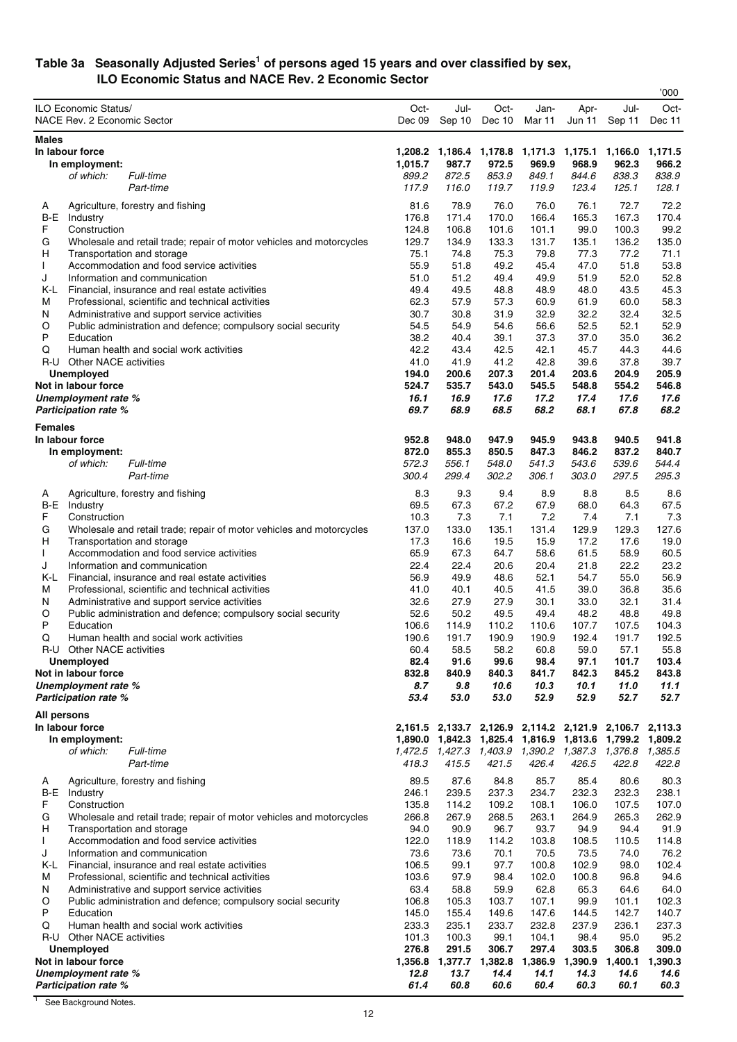#### **Table 3a Seasonally Adjusted Series1 of persons aged 15 years and over classified by sex, ILO Economic Status and NACE Rev. 2 Economic Sector**

|                |                                                                                                    |                |                                                 |                                 |                           |                |                | '000           |
|----------------|----------------------------------------------------------------------------------------------------|----------------|-------------------------------------------------|---------------------------------|---------------------------|----------------|----------------|----------------|
|                | ILO Economic Status/                                                                               | Oct-           | Jul-                                            | Oct-                            | Jan-                      | Apr-           | Jul-           | Oct-           |
|                | NACE Rev. 2 Economic Sector                                                                        | Dec 09         | Sep 10                                          | Dec 10                          | Mar 11                    | Jun 11         | Sep 11         | Dec 11         |
| <b>Males</b>   |                                                                                                    |                |                                                 |                                 |                           |                |                |                |
|                | In labour force                                                                                    | 1,208.2        |                                                 | 1,186.4 1,178.8 1,171.3 1,175.1 |                           |                | 1,166.0        | 1,171.5        |
|                | In employment:                                                                                     | 1,015.7        | 987.7                                           | 972.5                           | 969.9                     | 968.9          | 962.3          | 966.2          |
|                | Full-time<br>of which:                                                                             | 899.2          | 872.5                                           | 853.9                           | 849.1                     | 844.6          | 838.3          | 838.9          |
|                | Part-time                                                                                          | 117.9          | 116.0                                           | 119.7                           | 119.9                     | 123.4          | 125.1          | 128.1          |
|                |                                                                                                    | 81.6           | 78.9                                            | 76.0                            | 76.0                      | 76.1           | 72.7           | 72.2           |
| A<br>B-E       | Agriculture, forestry and fishing<br>Industry                                                      | 176.8          | 171.4                                           | 170.0                           | 166.4                     | 165.3          | 167.3          | 170.4          |
| F              | Construction                                                                                       | 124.8          | 106.8                                           | 101.6                           | 101.1                     | 99.0           | 100.3          | 99.2           |
| G              | Wholesale and retail trade; repair of motor vehicles and motorcycles                               | 129.7          | 134.9                                           | 133.3                           | 131.7                     | 135.1          | 136.2          | 135.0          |
| н              | Transportation and storage                                                                         | 75.1           | 74.8                                            | 75.3                            | 79.8                      | 77.3           | 77.2           | 71.1           |
| L              | Accommodation and food service activities                                                          | 55.9           | 51.8                                            | 49.2                            | 45.4                      | 47.0           | 51.8           | 53.8           |
| J              | Information and communication                                                                      | 51.0           | 51.2                                            | 49.4                            | 49.9                      | 51.9           | 52.0           | 52.8           |
| K-L            | Financial, insurance and real estate activities                                                    | 49.4           | 49.5                                            | 48.8                            | 48.9                      | 48.0           | 43.5           | 45.3           |
| M              | Professional, scientific and technical activities                                                  | 62.3           | 57.9                                            | 57.3                            | 60.9                      | 61.9           | 60.0           | 58.3           |
| N              | Administrative and support service activities                                                      | 30.7           | 30.8                                            | 31.9                            | 32.9                      | 32.2           | 32.4           | 32.5           |
| O              | Public administration and defence; compulsory social security                                      | 54.5           | 54.9                                            | 54.6                            | 56.6                      | 52.5           | 52.1           | 52.9           |
| P              | Education                                                                                          | 38.2           | 40.4                                            | 39.1                            | 37.3                      | 37.0           | 35.0           | 36.2           |
| Q              | Human health and social work activities                                                            | 42.2           | 43.4                                            | 42.5                            | 42.1                      | 45.7           | 44.3           | 44.6           |
|                | R-U Other NACE activities                                                                          | 41.0           | 41.9                                            | 41.2                            | 42.8                      | 39.6           | 37.8           | 39.7           |
|                | <b>Unemployed</b>                                                                                  | 194.0          | 200.6                                           | 207.3                           | 201.4                     | 203.6          | 204.9          | 205.9<br>546.8 |
|                | Not in labour force<br>Unemployment rate %                                                         | 524.7<br>16.1  | 535.7<br>16.9                                   | 543.0<br>17.6                   | 545.5<br>17.2             | 548.8<br>17.4  | 554.2<br>17.6  | 17.6           |
|                | <b>Participation rate %</b>                                                                        | 69.7           | 68.9                                            | 68.5                            | 68.2                      | 68.1           | 67.8           | 68.2           |
|                |                                                                                                    |                |                                                 |                                 |                           |                |                |                |
| <b>Females</b> |                                                                                                    |                |                                                 |                                 |                           |                |                |                |
|                | In labour force                                                                                    | 952.8          | 948.0                                           | 947.9                           | 945.9                     | 943.8          | 940.5          | 941.8          |
|                | In employment:<br>Full-time                                                                        | 872.0<br>572.3 | 855.3<br>556.1                                  | 850.5<br>548.0                  | 847.3<br>541.3            | 846.2<br>543.6 | 837.2<br>539.6 | 840.7<br>544.4 |
|                | of which:<br>Part-time                                                                             | 300.4          | 299.4                                           | 302.2                           | 306.1                     | 303.0          | 297.5          | 295.3          |
|                |                                                                                                    |                |                                                 |                                 |                           |                |                |                |
| A              | Agriculture, forestry and fishing                                                                  | 8.3            | 9.3                                             | 9.4                             | 8.9                       | 8.8            | 8.5            | 8.6            |
| B-E            | Industry                                                                                           | 69.5           | 67.3                                            | 67.2                            | 67.9                      | 68.0           | 64.3           | 67.5           |
| F              | Construction                                                                                       | 10.3           | 7.3                                             | 7.1                             | 7.2                       | 7.4            | 7.1            | 7.3            |
| G              | Wholesale and retail trade; repair of motor vehicles and motorcycles                               | 137.0          | 133.0                                           | 135.1                           | 131.4                     | 129.9          | 129.3          | 127.6          |
| н              | Transportation and storage                                                                         | 17.3           | 16.6                                            | 19.5                            | 15.9                      | 17.2           | 17.6           | 19.0           |
| L<br>J         | Accommodation and food service activities<br>Information and communication                         | 65.9<br>22.4   | 67.3<br>22.4                                    | 64.7<br>20.6                    | 58.6<br>20.4              | 61.5<br>21.8   | 58.9<br>22.2   | 60.5<br>23.2   |
| K-L            | Financial, insurance and real estate activities                                                    | 56.9           | 49.9                                            | 48.6                            | 52.1                      | 54.7           | 55.0           | 56.9           |
| M              | Professional, scientific and technical activities                                                  | 41.0           | 40.1                                            | 40.5                            | 41.5                      | 39.0           | 36.8           | 35.6           |
| N              | Administrative and support service activities                                                      | 32.6           | 27.9                                            | 27.9                            | 30.1                      | 33.0           | 32.1           | 31.4           |
| O              | Public administration and defence; compulsory social security                                      | 52.6           | 50.2                                            | 49.5                            | 49.4                      | 48.2           | 48.8           | 49.8           |
| P              | Education                                                                                          | 106.6          | 114.9                                           | 110.2                           | 110.6                     | 107.7          | 107.5          | 104.3          |
| Q              | Human health and social work activities                                                            | 190.6          | 191.7                                           | 190.9                           | 190.9                     | 192.4          | 191.7          | 192.5          |
|                | R-U Other NACE activities                                                                          | 60.4           | 58.5                                            | 58.2                            | 60.8                      | 59.0           | 57.1           | 55.8           |
|                | Unemployed                                                                                         | 82.4           | 91.6                                            | 99.6                            | 98.4                      | 97.1           | 101.7          | 103.4          |
|                | Not in labour force                                                                                | 832.8          | 840.9                                           | 840.3                           | 841.7                     | 842.3          | 845.2          | 843.8          |
|                | Unemployment rate %                                                                                | 8.7            | 9.8                                             | 10.6                            | 10.3                      | 10.1           | 11.0           | 11.1           |
|                | <b>Participation rate %</b>                                                                        | 53.4           | 53.0                                            | 53.0                            | 52.9                      | 52.9           | 52.7           | 52.7           |
| All persons    |                                                                                                    |                |                                                 |                                 |                           |                |                |                |
|                | In labour force                                                                                    |                | 2,161.5 2,133.7 2,126.9 2,114.2 2,121.9 2,106.7 |                                 |                           |                |                | 2,113.3        |
|                | In employment:                                                                                     | 1,890.0        | 1,842.3 1,825.4 1,816.9 1,813.6                 |                                 |                           |                | 1,799.2        | 1,809.2        |
|                | Full-time<br>of which:                                                                             |                | 1,472.5 1,427.3                                 |                                 | 1,403.9  1,390.2  1,387.3 |                | 1,376.8        | 1,385.5        |
|                | Part-time                                                                                          | 418.3          | 415.5                                           | 421.5                           | 426.4                     | 426.5          | 422.8          | 422.8          |
| A              | Agriculture, forestry and fishing                                                                  | 89.5           | 87.6                                            | 84.8                            | 85.7                      | 85.4           | 80.6           | 80.3           |
| B-E            | Industry                                                                                           | 246.1          | 239.5                                           | 237.3                           | 234.7                     | 232.3          | 232.3          | 238.1          |
| F              | Construction                                                                                       | 135.8          | 114.2                                           | 109.2                           | 108.1                     | 106.0          | 107.5          | 107.0          |
| G              | Wholesale and retail trade; repair of motor vehicles and motorcycles                               | 266.8          | 267.9                                           | 268.5                           | 263.1                     | 264.9          | 265.3          | 262.9          |
| H              | Transportation and storage                                                                         | 94.0           | 90.9                                            | 96.7                            | 93.7                      | 94.9           | 94.4           | 91.9           |
| L              | Accommodation and food service activities                                                          | 122.0          | 118.9                                           | 114.2                           | 103.8                     | 108.5          | 110.5          | 114.8          |
| J              | Information and communication                                                                      | 73.6           | 73.6                                            | 70.1                            | 70.5                      | 73.5           | 74.0           | 76.2           |
| K-L            | Financial, insurance and real estate activities                                                    | 106.5          | 99.1<br>97.9                                    | 97.7                            | 100.8                     | 102.9          | 98.0           | 102.4<br>94.6  |
| м<br>N         | Professional, scientific and technical activities<br>Administrative and support service activities | 103.6<br>63.4  | 58.8                                            | 98.4<br>59.9                    | 102.0<br>62.8             | 100.8<br>65.3  | 96.8<br>64.6   | 64.0           |
| O              | Public administration and defence; compulsory social security                                      | 106.8          | 105.3                                           | 103.7                           | 107.1                     | 99.9           | 101.1          | 102.3          |
| P              | Education                                                                                          | 145.0          | 155.4                                           | 149.6                           | 147.6                     | 144.5          | 142.7          | 140.7          |
| Q              | Human health and social work activities                                                            | 233.3          | 235.1                                           | 233.7                           | 232.8                     | 237.9          | 236.1          | 237.3          |
|                | R-U Other NACE activities                                                                          | 101.3          | 100.3                                           | 99.1                            | 104.1                     | 98.4           | 95.0           | 95.2           |
|                | Unemployed                                                                                         | 276.8          | 291.5                                           | 306.7                           | 297.4                     | 303.5          | 306.8          | 309.0          |
|                | Not in labour force                                                                                | 1,356.8        | 1,377.7                                         | 1,382.8                         | 1,386.9                   | 1,390.9        | 1,400.1        | 1,390.3        |
|                | Unemployment rate %                                                                                | 12.8           | 13.7                                            | 14.4                            | 14.1                      | 14.3           | 14.6           | 14.6           |
|                | <b>Participation rate %</b>                                                                        | 61.4           | 60.8                                            | 60.6                            | 60.4                      | 60.3           | 60.1           | 60.3           |

<sup>&</sup>lt;sup>1</sup> See Background Notes.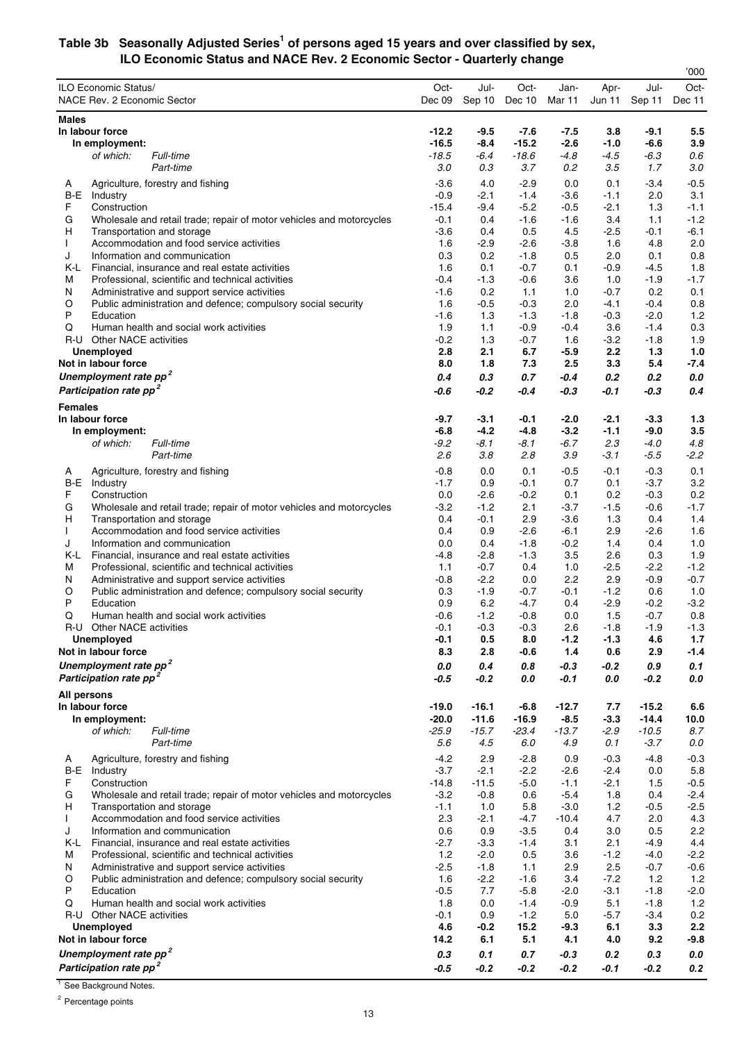#### **Table 3b Seasonally Adjusted Series1 of persons aged 15 years and over classified by sex, ILO Economic Status and NACE Rev. 2 Economic Sector - Quarterly change**

|                                                                                                                  |                   |                  |                  |                  |                  |                  | '000          |
|------------------------------------------------------------------------------------------------------------------|-------------------|------------------|------------------|------------------|------------------|------------------|---------------|
| ILO Economic Status/                                                                                             | Oct-              | Jul-             | Oct-             | Jan-             | Apr-             | Jul-             | Oct-          |
| NACE Rev. 2 Economic Sector                                                                                      | Dec 09            | Sep 10           | Dec 10           | Mar 11           | <b>Jun 11</b>    | Sep 11           | Dec 11        |
| <b>Males</b>                                                                                                     |                   |                  |                  |                  |                  |                  |               |
| In labour force                                                                                                  | $-12.2$           | -9.5             | $-7.6$           | -7.5             | 3.8              | $-9.1$           | 5.5           |
| In employment:                                                                                                   | -16.5             | -8.4             | $-15.2$          | $-2.6$           | $-1.0$           | $-6.6$           | 3.9           |
| Full-time<br>of which:                                                                                           | $-18.5$           | -6.4             | $-18.6$          | -4.8             | $-4.5$           | $-6.3$           | 0.6           |
| Part-time                                                                                                        | 3.0               | 0.3              | 3.7              | 0.2              | 3.5              | 1.7              | 3.0           |
| Agriculture, forestry and fishing<br>A<br>Industry                                                               | $-3.6$            | 4.0              | $-2.9$           | 0.0              | 0.1              | $-3.4$           | $-0.5$        |
| B-E<br>F<br>Construction                                                                                         | $-0.9$<br>$-15.4$ | -2.1<br>$-9.4$   | $-1.4$<br>$-5.2$ | $-3.6$<br>$-0.5$ | $-1.1$<br>$-2.1$ | 2.0<br>1.3       | 3.1<br>$-1.1$ |
| Wholesale and retail trade; repair of motor vehicles and motorcycles<br>G                                        | $-0.1$            | 0.4              | $-1.6$           | $-1.6$           | 3.4              | 1.1              | $-1.2$        |
| н<br>Transportation and storage                                                                                  | $-3.6$            | 0.4              | 0.5              | 4.5              | $-2.5$           | $-0.1$           | -6.1          |
| Accommodation and food service activities<br>L                                                                   | 1.6               | -2.9             | $-2.6$           | $-3.8$           | 1.6              | 4.8              | 2.0           |
| J<br>Information and communication                                                                               | 0.3               | 0.2              | $-1.8$           | 0.5              | 2.0              | 0.1              | 0.8           |
| K-L<br>Financial, insurance and real estate activities<br>М<br>Professional, scientific and technical activities | 1.6<br>$-0.4$     | 0.1<br>$-1.3$    | $-0.7$<br>$-0.6$ | 0.1<br>3.6       | $-0.9$<br>1.0    | $-4.5$<br>$-1.9$ | 1.8<br>$-1.7$ |
| N<br>Administrative and support service activities                                                               | -1.6              | 0.2              | 1.1              | 1.0              | $-0.7$           | 0.2              | 0.1           |
| O<br>Public administration and defence; compulsory social security                                               | 1.6               | -0.5             | $-0.3$           | 2.0              | $-4.1$           | $-0.4$           | 0.8           |
| P<br>Education                                                                                                   | -1.6              | 1.3              | $-1.3$           | $-1.8$           | $-0.3$           | $-2.0$           | 1.2           |
| Human health and social work activities<br>Q                                                                     | 1.9               | 1.1              | $-0.9$           | $-0.4$           | 3.6              | $-1.4$           | 0.3           |
| R-U Other NACE activities<br><b>Unemployed</b>                                                                   | $-0.2$<br>2.8     | 1.3<br>2.1       | $-0.7$<br>6.7    | 1.6<br>$-5.9$    | $-3.2$<br>2.2    | $-1.8$<br>1.3    | 1.9<br>1.0    |
| Not in labour force                                                                                              | 8.0               | 1.8              | 7.3              | 2.5              | 3.3              | 5.4              | $-7.4$        |
| Unemployment rate pp <sup>2</sup>                                                                                | 0.4               | 0.3              | 0.7              | -0.4             | 0.2              | 0.2              | 0.0           |
| Participation rate pp <sup>2</sup>                                                                               | -0.6              | $-0.2$           | -0.4             | -0.3             | $-0.1$           | $-0.3$           | 0.4           |
| <b>Females</b>                                                                                                   |                   |                  |                  |                  |                  |                  |               |
| In labour force                                                                                                  | -9.7              | -3.1             | -0.1             | $-2.0$           | $-2.1$           | $-3.3$           | 1.3           |
| In employment:                                                                                                   | $-6.8$            | $-4.2$           | $-4.8$           | $-3.2$           | $-1.1$           | $-9.0$           | 3.5           |
| Full-time<br>of which:                                                                                           | $-9.2$            | $-8.1$           | $-8.1$           | -6.7             | 2.3              | $-4.0$           | 4.8           |
| Part-time                                                                                                        | 2.6               | 3.8              | 2.8              | 3.9              | -3.1             | $-5.5$           | $-2.2$        |
| Agriculture, forestry and fishing<br>A                                                                           | $-0.8$            | 0.0              | 0.1              | $-0.5$           | $-0.1$           | $-0.3$           | 0.1           |
| <b>B-E</b> Industry<br>F<br>Construction                                                                         | $-1.7$<br>0.0     | 0.9<br>$-2.6$    | $-0.1$<br>$-0.2$ | 0.7<br>0.1       | 0.1<br>0.2       | $-3.7$<br>$-0.3$ | 3.2<br>0.2    |
| Wholesale and retail trade; repair of motor vehicles and motorcycles<br>G                                        | $-3.2$            | -1.2             | 2.1              | $-3.7$           | $-1.5$           | $-0.6$           | $-1.7$        |
| н<br>Transportation and storage                                                                                  | 0.4               | -0.1             | 2.9              | $-3.6$           | 1.3              | 0.4              | 1.4           |
| Accommodation and food service activities<br>L                                                                   | 0.4               | 0.9              | $-2.6$           | $-6.1$           | 2.9              | $-2.6$           | 1.6           |
| J<br>Information and communication                                                                               | 0.0               | 0.4              | $-1.8$           | $-0.2$           | 1.4              | 0.4              | 1.0           |
| K-L<br>Financial, insurance and real estate activities<br>Professional, scientific and technical activities<br>М | -4.8<br>1.1       | $-2.8$<br>$-0.7$ | $-1.3$<br>0.4    | 3.5<br>1.0       | 2.6<br>$-2.5$    | 0.3<br>$-2.2$    | 1.9<br>$-1.2$ |
| N<br>Administrative and support service activities                                                               | $-0.8$            | $-2.2$           | 0.0              | 2.2              | 2.9              | $-0.9$           | $-0.7$        |
| O<br>Public administration and defence; compulsory social security                                               | 0.3               | $-1.9$           | $-0.7$           | $-0.1$           | $-1.2$           | 0.6              | 1.0           |
| P<br>Education                                                                                                   | 0.9               | 6.2              | $-4.7$           | 0.4              | $-2.9$           | $-0.2$           | $-3.2$        |
| Q<br>Human health and social work activities                                                                     | $-0.6$            | $-1.2$           | $-0.8$           | 0.0              | 1.5              | $-0.7$           | 0.8           |
| R-U Other NACE activities<br>Unemployed                                                                          | $-0.1$<br>-0.1    | $-0.3$<br>0.5    | $-0.3$<br>8.0    | 2.6<br>$-1.2$    | $-1.8$<br>$-1.3$ | $-1.9$<br>4.6    | $-1.3$<br>1.7 |
| Not in labour force                                                                                              | 8.3               | 2.8              | $-0.6$           | 1.4              | 0.6              | 2.9              | $-1.4$        |
| Unemployment rate pp <sup>2</sup>                                                                                | 0.0               | 0.4              | 0.8              | -0.3             | -0.2             | 0.9              | 0.1           |
| Participation rate pp <sup>2</sup>                                                                               | $-0.5$            | $-0.2$           | 0.0              | $-0.1$           | $0.0\,$          | $-0.2$           | 0.0           |
| All persons                                                                                                      |                   |                  |                  |                  |                  |                  |               |
| In labour force                                                                                                  | $-19.0$           | -16.1            | $-6.8$           | $-12.7$          | 7.7              | $-15.2$          | 6.6           |
| In employment:                                                                                                   | $-20.0$           | $-11.6$          | $-16.9$          | $-8.5$           | $-3.3$           | $-14.4$          | 10.0          |
| Full-time<br>of which:                                                                                           | $-25.9$           | $-15.7$          | $-23.4$          | $-13.7$          | $-2.9$           | $-10.5$          | 8.7           |
| Part-time                                                                                                        | 5.6               | 4.5              | 6.0              | 4.9              | 0.1              | $-3.7$           | 0.0           |
| Agriculture, forestry and fishing<br>A                                                                           | $-4.2$            | 2.9              | $-2.8$           | 0.9              | $-0.3$           | -4.8             | $-0.3$        |
| B-E<br>Industry<br>F<br>Construction                                                                             | $-3.7$<br>$-14.8$ | -2.1<br>$-11.5$  | $-2.2$<br>$-5.0$ | $-2.6$<br>$-1.1$ | $-2.4$<br>$-2.1$ | 0.0<br>1.5       | 5.8<br>$-0.5$ |
| Wholesale and retail trade; repair of motor vehicles and motorcycles<br>G                                        | $-3.2$            | $-0.8$           | 0.6              | $-5.4$           | 1.8              | 0.4              | $-2.4$        |
| н<br>Transportation and storage                                                                                  | $-1.1$            | 1.0              | 5.8              | $-3.0$           | 1.2              | $-0.5$           | $-2.5$        |
| Accommodation and food service activities                                                                        | 2.3               | $-2.1$           | $-4.7$           | $-10.4$          | 4.7              | 2.0              | 4.3           |
| J<br>Information and communication                                                                               | 0.6               | 0.9              | $-3.5$           | 0.4              | 3.0              | 0.5              | 2.2           |
| K-L<br>Financial, insurance and real estate activities<br>Professional, scientific and technical activities      | $-2.7$<br>1.2     | $-3.3$<br>$-2.0$ | $-1.4$<br>0.5    | 3.1<br>3.6       | 2.1<br>$-1.2$    | $-4.9$<br>$-4.0$ | 4.4<br>$-2.2$ |
| М<br>N<br>Administrative and support service activities                                                          | $-2.5$            | $-1.8$           | 1.1              | 2.9              | 2.5              | $-0.7$           | $-0.6$        |
| Public administration and defence; compulsory social security<br>O                                               | 1.6               | $-2.2$           | $-1.6$           | 3.4              | $-7.2$           | 1.2              | 1.2           |
| P<br>Education                                                                                                   | $-0.5$            | 7.7              | $-5.8$           | $-2.0$           | $-3.1$           | $-1.8$           | $-2.0$        |
| Human health and social work activities<br>Q                                                                     | 1.8               | 0.0              | $-1.4$           | $-0.9$           | 5.1              | $-1.8$           | 1.2           |
| R-U Other NACE activities                                                                                        | $-0.1$            | 0.9              | $-1.2$           | 5.0              | $-5.7$           | $-3.4$           | 0.2           |
| <b>Unemployed</b><br>Not in labour force                                                                         | 4.6<br>14.2       | $-0.2$<br>6.1    | 15.2<br>5.1      | $-9.3$<br>4.1    | 6.1<br>4.0       | 3.3<br>9.2       | 2.2<br>$-9.8$ |
| Unemployment rate pp <sup>2</sup>                                                                                | 0.3               | 0.1              | 0.7              | $-0.3$           | 0.2              | 0.3              | $0.0\,$       |
| Participation rate pp <sup>2</sup>                                                                               | $-0.5$            | $-0.2$           | $-0.2$           | $-0.2$           | $-0.1$           | $-0.2$           | 0.2           |
|                                                                                                                  |                   |                  |                  |                  |                  |                  |               |

<sup>1</sup> See Background Notes.

<sup>2</sup> Percentage points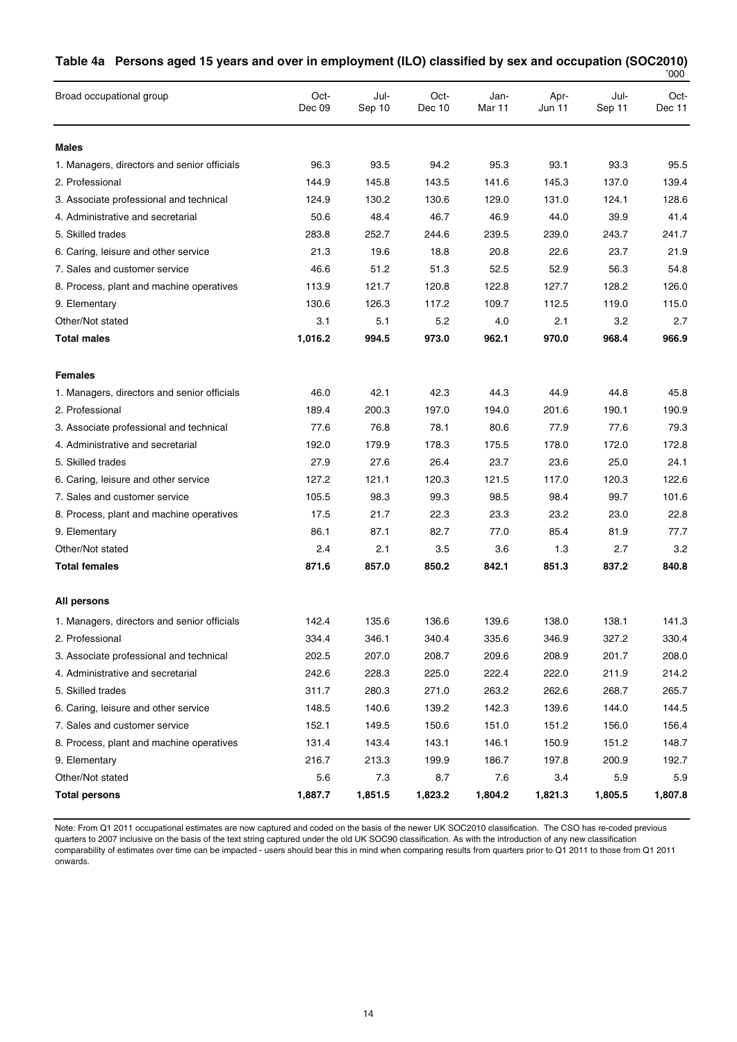|                                             |                |                |                |                |                |                | '000           |
|---------------------------------------------|----------------|----------------|----------------|----------------|----------------|----------------|----------------|
| Broad occupational group                    | Oct-<br>Dec 09 | Jul-<br>Sep 10 | Oct-<br>Dec 10 | Jan-<br>Mar 11 | Apr-<br>Jun 11 | Jul-<br>Sep 11 | Oct-<br>Dec 11 |
| <b>Males</b>                                |                |                |                |                |                |                |                |
| 1. Managers, directors and senior officials | 96.3           | 93.5           | 94.2           | 95.3           | 93.1           | 93.3           | 95.5           |
| 2. Professional                             | 144.9          | 145.8          | 143.5          | 141.6          | 145.3          | 137.0          | 139.4          |
| 3. Associate professional and technical     | 124.9          | 130.2          | 130.6          | 129.0          | 131.0          | 124.1          | 128.6          |
| 4. Administrative and secretarial           | 50.6           | 48.4           | 46.7           | 46.9           | 44.0           | 39.9           | 41.4           |
| 5. Skilled trades                           | 283.8          | 252.7          | 244.6          | 239.5          | 239.0          | 243.7          | 241.7          |
| 6. Caring, leisure and other service        | 21.3           | 19.6           | 18.8           | 20.8           | 22.6           | 23.7           | 21.9           |
| 7. Sales and customer service               | 46.6           | 51.2           | 51.3           | 52.5           | 52.9           | 56.3           | 54.8           |
| 8. Process, plant and machine operatives    | 113.9          | 121.7          | 120.8          | 122.8          | 127.7          | 128.2          | 126.0          |
| 9. Elementary                               | 130.6          | 126.3          | 117.2          | 109.7          | 112.5          | 119.0          | 115.0          |
| Other/Not stated                            | 3.1            | 5.1            | 5.2            | 4.0            | 2.1            | 3.2            | 2.7            |
| <b>Total males</b>                          | 1,016.2        | 994.5          | 973.0          | 962.1          | 970.0          | 968.4          | 966.9          |
| <b>Females</b>                              |                |                |                |                |                |                |                |
| 1. Managers, directors and senior officials | 46.0           | 42.1           | 42.3           | 44.3           | 44.9           | 44.8           | 45.8           |
| 2. Professional                             | 189.4          | 200.3          | 197.0          | 194.0          | 201.6          | 190.1          | 190.9          |
| 3. Associate professional and technical     | 77.6           | 76.8           | 78.1           | 80.6           | 77.9           | 77.6           | 79.3           |
| 4. Administrative and secretarial           | 192.0          | 179.9          | 178.3          | 175.5          | 178.0          | 172.0          | 172.8          |
| 5. Skilled trades                           | 27.9           | 27.6           | 26.4           | 23.7           | 23.6           | 25.0           | 24.1           |
| 6. Caring, leisure and other service        | 127.2          | 121.1          | 120.3          | 121.5          | 117.0          | 120.3          | 122.6          |
| 7. Sales and customer service               | 105.5          | 98.3           | 99.3           | 98.5           | 98.4           | 99.7           | 101.6          |
| 8. Process, plant and machine operatives    | 17.5           | 21.7           | 22.3           | 23.3           | 23.2           | 23.0           | 22.8           |
| 9. Elementary                               | 86.1           | 87.1           | 82.7           | 77.0           | 85.4           | 81.9           | 77.7           |
| Other/Not stated                            | 2.4            | 2.1            | 3.5            | 3.6            | 1.3            | 2.7            | 3.2            |
| <b>Total females</b>                        | 871.6          | 857.0          | 850.2          | 842.1          | 851.3          | 837.2          | 840.8          |
| All persons                                 |                |                |                |                |                |                |                |
| 1. Managers, directors and senior officials | 142.4          | 135.6          | 136.6          | 139.6          | 138.0          | 138.1          | 141.3          |
| 2. Professional                             | 334.4          | 346.1          | 340.4          | 335.6          | 346.9          | 327.2          | 330.4          |
| 3. Associate professional and technical     | 202.5          | 207.0          | 208.7          | 209.6          | 208.9          | 201.7          | 208.0          |
| 4. Administrative and secretarial           | 242.6          | 228.3          | 225.0          | 222.4          | 222.0          | 211.9          | 214.2          |
| 5. Skilled trades                           | 311.7          | 280.3          | 271.0          | 263.2          | 262.6          | 268.7          | 265.7          |
| 6. Caring, leisure and other service        | 148.5          | 140.6          | 139.2          | 142.3          | 139.6          | 144.0          | 144.5          |
| 7. Sales and customer service               | 152.1          | 149.5          | 150.6          | 151.0          | 151.2          | 156.0          | 156.4          |
| 8. Process, plant and machine operatives    | 131.4          | 143.4          | 143.1          | 146.1          | 150.9          | 151.2          | 148.7          |
| 9. Elementary                               | 216.7          | 213.3          | 199.9          | 186.7          | 197.8          | 200.9          | 192.7          |
| Other/Not stated                            | 5.6            | 7.3            | 8.7            | 7.6            | 3.4            | 5.9            | 5.9            |
| <b>Total persons</b>                        | 1,887.7        | 1,851.5        | 1,823.2        | 1,804.2        | 1,821.3        | 1,805.5        | 1,807.8        |

### **Table 4a Persons aged 15 years and over in employment (ILO) classified by sex and occupation (SOC2010)**

Note: From Q1 2011 occupational estimates are now captured and coded on the basis of the newer UK SOC2010 classification. The CSO has re-coded previous quarters to 2007 inclusive on the basis of the text string captured under the old UK SOC90 classification. As with the introduction of any new classification comparability of estimates over time can be impacted - users should bear this in mind when comparing results from quarters prior to Q1 2011 to those from Q1 2011 onwards.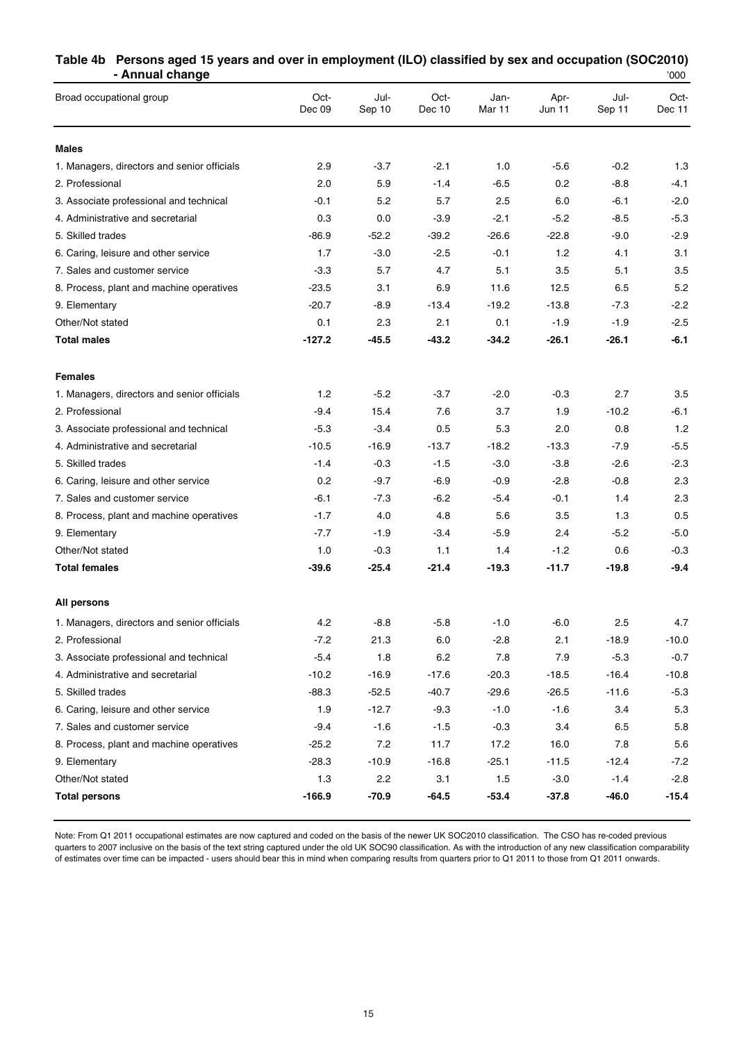#### **Table 4b Persons aged 15 years and over in employment (ILO) classified by sex and occupation (SOC2010) - Annual change**

| Broad occupational group                    | Oct-<br>Dec 09 | Jul-<br>Sep 10 | Oct-<br>Dec 10 | Jan-<br>Mar 11 | Apr-<br>Jun 11 | Jul-<br>Sep 11 | Oct-<br>Dec 11 |
|---------------------------------------------|----------------|----------------|----------------|----------------|----------------|----------------|----------------|
| <b>Males</b>                                |                |                |                |                |                |                |                |
| 1. Managers, directors and senior officials | 2.9            | $-3.7$         | $-2.1$         | 1.0            | $-5.6$         | $-0.2$         | 1.3            |
| 2. Professional                             | 2.0            | 5.9            | $-1.4$         | $-6.5$         | 0.2            | $-8.8$         | -4.1           |
| 3. Associate professional and technical     | $-0.1$         | 5.2            | 5.7            | $2.5\,$        | 6.0            | $-6.1$         | $-2.0$         |
| 4. Administrative and secretarial           | 0.3            | 0.0            | $-3.9$         | $-2.1$         | $-5.2$         | $-8.5$         | $-5.3$         |
| 5. Skilled trades                           | $-86.9$        | $-52.2$        | $-39.2$        | $-26.6$        | $-22.8$        | $-9.0$         | $-2.9$         |
| 6. Caring, leisure and other service        | 1.7            | $-3.0$         | $-2.5$         | $-0.1$         | 1.2            | 4.1            | 3.1            |
| 7. Sales and customer service               | $-3.3$         | 5.7            | 4.7            | 5.1            | 3.5            | 5.1            | 3.5            |
| 8. Process, plant and machine operatives    | $-23.5$        | 3.1            | 6.9            | 11.6           | 12.5           | 6.5            | 5.2            |
| 9. Elementary                               | $-20.7$        | $-8.9$         | $-13.4$        | $-19.2$        | $-13.8$        | $-7.3$         | $-2.2$         |
| Other/Not stated                            | 0.1            | 2.3            | 2.1            | 0.1            | $-1.9$         | $-1.9$         | $-2.5$         |
| <b>Total males</b>                          | $-127.2$       | -45.5          | -43.2          | $-34.2$        | $-26.1$        | $-26.1$        | $-6.1$         |
| <b>Females</b>                              |                |                |                |                |                |                |                |
| 1. Managers, directors and senior officials | 1.2            | $-5.2$         | $-3.7$         | $-2.0$         | $-0.3$         | 2.7            | 3.5            |
| 2. Professional                             | $-9.4$         | 15.4           | 7.6            | 3.7            | 1.9            | $-10.2$        | $-6.1$         |
| 3. Associate professional and technical     | $-5.3$         | $-3.4$         | 0.5            | 5.3            | 2.0            | 0.8            | 1.2            |
| 4. Administrative and secretarial           | $-10.5$        | $-16.9$        | $-13.7$        | $-18.2$        | $-13.3$        | $-7.9$         | $-5.5$         |
| 5. Skilled trades                           | $-1.4$         | $-0.3$         | $-1.5$         | $-3.0$         | $-3.8$         | $-2.6$         | $-2.3$         |
| 6. Caring, leisure and other service        | 0.2            | $-9.7$         | $-6.9$         | $-0.9$         | $-2.8$         | $-0.8$         | 2.3            |
| 7. Sales and customer service               | $-6.1$         | $-7.3$         | $-6.2$         | $-5.4$         | $-0.1$         | 1.4            | 2.3            |
| 8. Process, plant and machine operatives    | $-1.7$         | 4.0            | 4.8            | 5.6            | 3.5            | 1.3            | 0.5            |
| 9. Elementary                               | $-7.7$         | $-1.9$         | $-3.4$         | $-5.9$         | 2.4            | $-5.2$         | $-5.0$         |
| Other/Not stated                            | 1.0            | $-0.3$         | 1.1            | 1.4            | $-1.2$         | 0.6            | $-0.3$         |
| <b>Total females</b>                        | $-39.6$        | -25.4          | -21.4          | $-19.3$        | $-11.7$        | $-19.8$        | $-9.4$         |
| All persons                                 |                |                |                |                |                |                |                |
| 1. Managers, directors and senior officials | 4.2            | $-8.8$         | $-5.8$         | $-1.0$         | $-6.0$         | 2.5            | 4.7            |
| 2. Professional                             | $-7.2$         | 21.3           | 6.0            | $-2.8$         | 2.1            | $-18.9$        | -10.0          |
| 3. Associate professional and technical     | $-5.4$         | 1.8            | 6.2            | 7.8            | 7.9            | $-5.3$         | $-0.7$         |
| 4. Administrative and secretarial           | $-10.2$        | $-16.9$        | $-17.6$        | $-20.3$        | $-18.5$        | $-16.4$        | $-10.8$        |
| 5. Skilled trades                           | $-88.3$        | $-52.5$        | $-40.7$        | $-29.6$        | $-26.5$        | $-11.6$        | $-5.3$         |
| 6. Caring, leisure and other service        | 1.9            | $-12.7$        | $-9.3$         | $-1.0$         | $-1.6$         | 3.4            | 5.3            |
| 7. Sales and customer service               | $-9.4$         | $-1.6$         | $-1.5$         | $-0.3$         | 3.4            | 6.5            | 5.8            |
| 8. Process, plant and machine operatives    | $-25.2$        | 7.2            | 11.7           | 17.2           | 16.0           | 7.8            | 5.6            |
| 9. Elementary                               | $-28.3$        | $-10.9$        | $-16.8$        | $-25.1$        | $-11.5$        | $-12.4$        | $-7.2$         |
| Other/Not stated                            | 1.3            | 2.2            | 3.1            | 1.5            | $-3.0$         | $-1.4$         | $-2.8$         |
| <b>Total persons</b>                        | $-166.9$       | $-70.9$        | $-64.5$        | $-53.4$        | $-37.8$        | $-46.0$        | $-15.4$        |

Note: From Q1 2011 occupational estimates are now captured and coded on the basis of the newer UK SOC2010 classification. The CSO has re-coded previous quarters to 2007 inclusive on the basis of the text string captured under the old UK SOC90 classification. As with the introduction of any new classification comparability of estimates over time can be impacted - users should bear this in mind when comparing results from quarters prior to Q1 2011 to those from Q1 2011 onwards.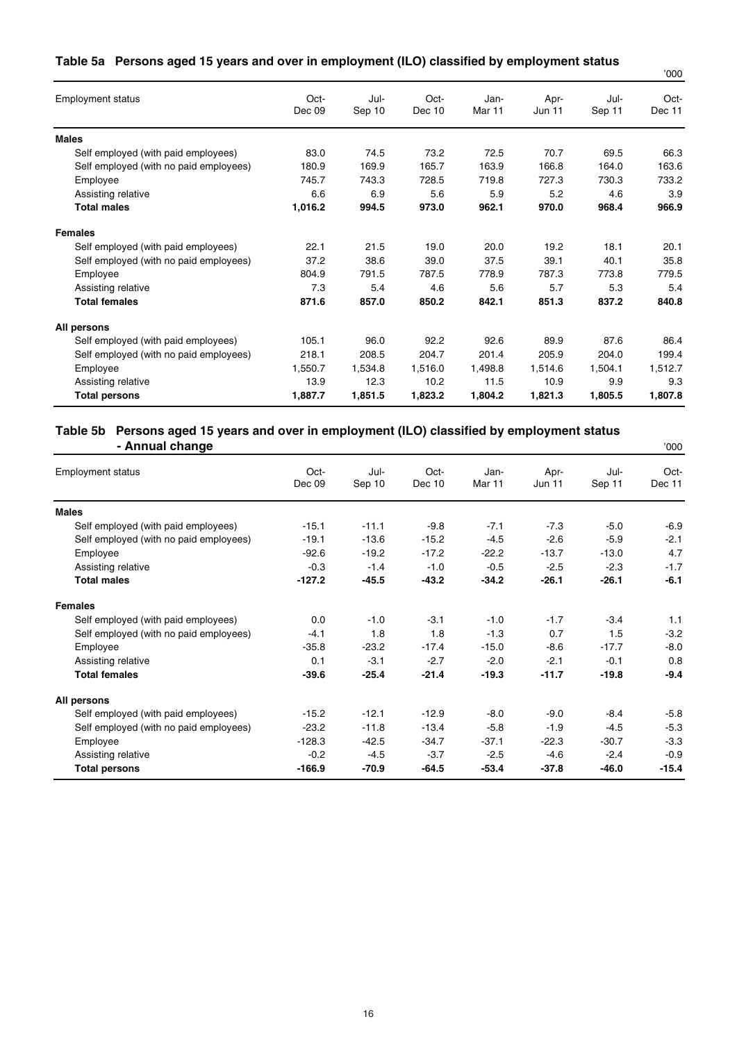|  |  |  | Table 5a Persons aged 15 years and over in employment (ILO) classified by employment status |  |  |  |
|--|--|--|---------------------------------------------------------------------------------------------|--|--|--|
|--|--|--|---------------------------------------------------------------------------------------------|--|--|--|

|                                        |                |                |                |                           |                       |                | '000           |
|----------------------------------------|----------------|----------------|----------------|---------------------------|-----------------------|----------------|----------------|
| <b>Employment status</b>               | Oct-<br>Dec 09 | Jul-<br>Sep 10 | Oct-<br>Dec 10 | Jan-<br>Mar <sub>11</sub> | Apr-<br><b>Jun 11</b> | Jul-<br>Sep 11 | Oct-<br>Dec 11 |
| <b>Males</b>                           |                |                |                |                           |                       |                |                |
| Self employed (with paid employees)    | 83.0           | 74.5           | 73.2           | 72.5                      | 70.7                  | 69.5           | 66.3           |
| Self employed (with no paid employees) | 180.9          | 169.9          | 165.7          | 163.9                     | 166.8                 | 164.0          | 163.6          |
| Employee                               | 745.7          | 743.3          | 728.5          | 719.8                     | 727.3                 | 730.3          | 733.2          |
| Assisting relative                     | 6.6            | 6.9            | 5.6            | 5.9                       | 5.2                   | 4.6            | 3.9            |
| <b>Total males</b>                     | 1,016.2        | 994.5          | 973.0          | 962.1                     | 970.0                 | 968.4          | 966.9          |
| <b>Females</b>                         |                |                |                |                           |                       |                |                |
| Self employed (with paid employees)    | 22.1           | 21.5           | 19.0           | 20.0                      | 19.2                  | 18.1           | 20.1           |
| Self employed (with no paid employees) | 37.2           | 38.6           | 39.0           | 37.5                      | 39.1                  | 40.1           | 35.8           |
| Employee                               | 804.9          | 791.5          | 787.5          | 778.9                     | 787.3                 | 773.8          | 779.5          |
| Assisting relative                     | 7.3            | 5.4            | 4.6            | 5.6                       | 5.7                   | 5.3            | 5.4            |
| <b>Total females</b>                   | 871.6          | 857.0          | 850.2          | 842.1                     | 851.3                 | 837.2          | 840.8          |
| All persons                            |                |                |                |                           |                       |                |                |
| Self employed (with paid employees)    | 105.1          | 96.0           | 92.2           | 92.6                      | 89.9                  | 87.6           | 86.4           |
| Self employed (with no paid employees) | 218.1          | 208.5          | 204.7          | 201.4                     | 205.9                 | 204.0          | 199.4          |
| Employee                               | 1,550.7        | 1,534.8        | 1,516.0        | 1,498.8                   | 1,514.6               | 1,504.1        | 1,512.7        |
| Assisting relative                     | 13.9           | 12.3           | 10.2           | 11.5                      | 10.9                  | 9.9            | 9.3            |
| <b>Total persons</b>                   | 1,887.7        | 1,851.5        | 1,823.2        | 1,804.2                   | 1,821.3               | 1,805.5        | 1,807.8        |

#### **Table 5b Persons aged 15 years and over in employment (ILO) classified by employment status - Annual change**  $\frac{1}{2}$  and  $\frac{1}{2}$  and  $\frac{1}{2}$  and  $\frac{1}{2}$  and  $\frac{1}{2}$  and  $\frac{1}{2}$  and  $\frac{1}{2}$  and  $\frac{1}{2}$  and  $\frac{1}{2}$  and  $\frac{1}{2}$  and  $\frac{1}{2}$  and  $\frac{1}{2}$  and  $\frac{1}{2}$  and  $\frac{1}{2}$  and  $\frac{1}{2}$

| .<br><b>Employment status</b>          | Oct-     | Jul-    | Oct-    | Jan-              | Apr-          | Jul-    | Oct-    |
|----------------------------------------|----------|---------|---------|-------------------|---------------|---------|---------|
|                                        | Dec 09   | Sep 10  | Dec 10  | Mar <sub>11</sub> | <b>Jun 11</b> | Sep 11  | Dec 11  |
| <b>Males</b>                           |          |         |         |                   |               |         |         |
| Self employed (with paid employees)    | $-15.1$  | $-11.1$ | $-9.8$  | $-7.1$            | $-7.3$        | $-5.0$  | $-6.9$  |
| Self employed (with no paid employees) | $-19.1$  | $-13.6$ | $-15.2$ | $-4.5$            | $-2.6$        | $-5.9$  | $-2.1$  |
| Employee                               | $-92.6$  | $-19.2$ | $-17.2$ | $-22.2$           | $-13.7$       | $-13.0$ | 4.7     |
| Assisting relative                     | $-0.3$   | $-1.4$  | $-1.0$  | $-0.5$            | $-2.5$        | $-2.3$  | $-1.7$  |
| <b>Total males</b>                     | $-127.2$ | $-45.5$ | $-43.2$ | $-34.2$           | $-26.1$       | $-26.1$ | $-6.1$  |
| <b>Females</b>                         |          |         |         |                   |               |         |         |
| Self employed (with paid employees)    | 0.0      | $-1.0$  | $-3.1$  | $-1.0$            | $-1.7$        | $-3.4$  | 1.1     |
| Self employed (with no paid employees) | $-4.1$   | 1.8     | 1.8     | $-1.3$            | 0.7           | 1.5     | $-3.2$  |
| Employee                               | $-35.8$  | $-23.2$ | $-17.4$ | $-15.0$           | $-8.6$        | $-17.7$ | $-8.0$  |
| Assisting relative                     | 0.1      | $-3.1$  | $-2.7$  | $-2.0$            | $-2.1$        | $-0.1$  | 0.8     |
| <b>Total females</b>                   | $-39.6$  | $-25.4$ | $-21.4$ | $-19.3$           | $-11.7$       | $-19.8$ | $-9.4$  |
| All persons                            |          |         |         |                   |               |         |         |
| Self employed (with paid employees)    | $-15.2$  | $-12.1$ | $-12.9$ | $-8.0$            | $-9.0$        | $-8.4$  | $-5.8$  |
| Self employed (with no paid employees) | $-23.2$  | $-11.8$ | $-13.4$ | $-5.8$            | $-1.9$        | $-4.5$  | $-5.3$  |
| Employee                               | $-128.3$ | $-42.5$ | $-34.7$ | $-37.1$           | $-22.3$       | $-30.7$ | $-3.3$  |
| Assisting relative                     | $-0.2$   | $-4.5$  | $-3.7$  | $-2.5$            | $-4.6$        | $-2.4$  | $-0.9$  |
| <b>Total persons</b>                   | $-166.9$ | -70.9   | $-64.5$ | $-53.4$           | $-37.8$       | -46.0   | $-15.4$ |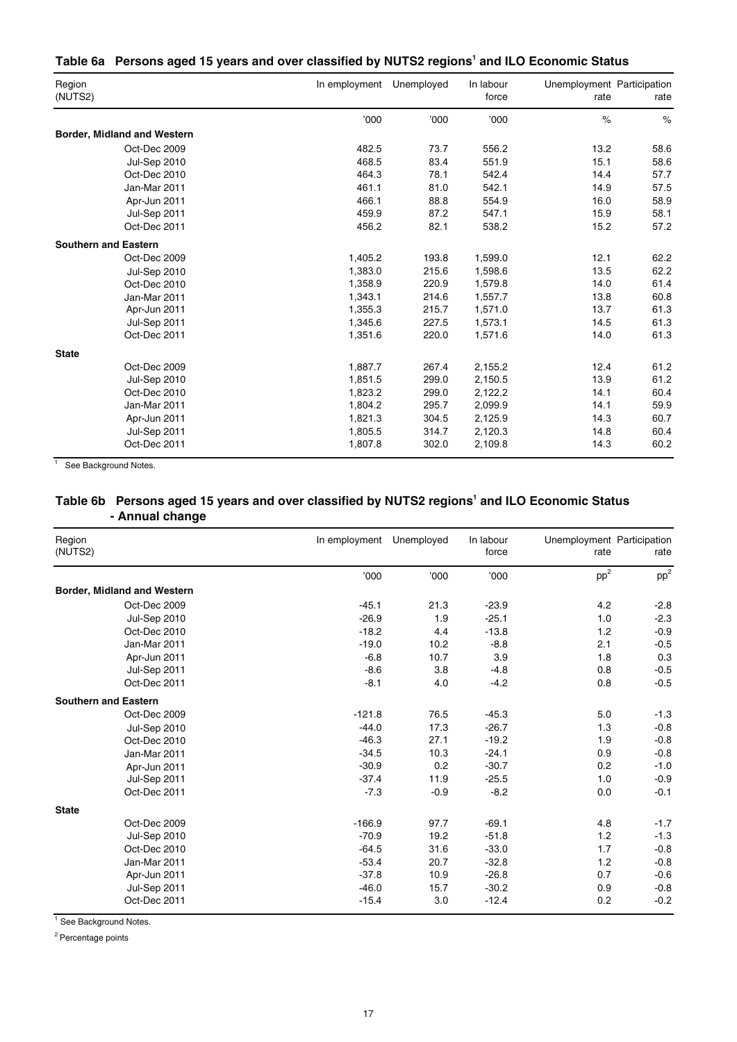#### Table 6a Persons aged 15 years and over classified by NUTS2 regions<sup>1</sup> and ILO Economic Status

| Region<br>(NUTS2)                  | In employment | Unemployed | In labour<br>force | Unemployment Participation<br>rate | rate |
|------------------------------------|---------------|------------|--------------------|------------------------------------|------|
|                                    | '000          | '000       | '000'              | $\%$                               | $\%$ |
| <b>Border, Midland and Western</b> |               |            |                    |                                    |      |
| Oct-Dec 2009                       | 482.5         | 73.7       | 556.2              | 13.2                               | 58.6 |
| Jul-Sep 2010                       | 468.5         | 83.4       | 551.9              | 15.1                               | 58.6 |
| Oct-Dec 2010                       | 464.3         | 78.1       | 542.4              | 14.4                               | 57.7 |
| Jan-Mar 2011                       | 461.1         | 81.0       | 542.1              | 14.9                               | 57.5 |
| Apr-Jun 2011                       | 466.1         | 88.8       | 554.9              | 16.0                               | 58.9 |
| Jul-Sep 2011                       | 459.9         | 87.2       | 547.1              | 15.9                               | 58.1 |
| Oct-Dec 2011                       | 456.2         | 82.1       | 538.2              | 15.2                               | 57.2 |
| <b>Southern and Eastern</b>        |               |            |                    |                                    |      |
| Oct-Dec 2009                       | 1,405.2       | 193.8      | 1,599.0            | 12.1                               | 62.2 |
| <b>Jul-Sep 2010</b>                | 1,383.0       | 215.6      | 1,598.6            | 13.5                               | 62.2 |
| Oct-Dec 2010                       | 1,358.9       | 220.9      | 1,579.8            | 14.0                               | 61.4 |
| Jan-Mar 2011                       | 1,343.1       | 214.6      | 1,557.7            | 13.8                               | 60.8 |
| Apr-Jun 2011                       | 1,355.3       | 215.7      | 1,571.0            | 13.7                               | 61.3 |
| Jul-Sep 2011                       | 1,345.6       | 227.5      | 1,573.1            | 14.5                               | 61.3 |
| Oct-Dec 2011                       | 1,351.6       | 220.0      | 1,571.6            | 14.0                               | 61.3 |
| <b>State</b>                       |               |            |                    |                                    |      |
| Oct-Dec 2009                       | 1,887.7       | 267.4      | 2,155.2            | 12.4                               | 61.2 |
| Jul-Sep 2010                       | 1,851.5       | 299.0      | 2,150.5            | 13.9                               | 61.2 |
| Oct-Dec 2010                       | 1,823.2       | 299.0      | 2,122.2            | 14.1                               | 60.4 |
| Jan-Mar 2011                       | 1,804.2       | 295.7      | 2,099.9            | 14.1                               | 59.9 |
| Apr-Jun 2011                       | 1,821.3       | 304.5      | 2,125.9            | 14.3                               | 60.7 |
| Jul-Sep 2011                       | 1,805.5       | 314.7      | 2,120.3            | 14.8                               | 60.4 |
| Oct-Dec 2011                       | 1,807.8       | 302.0      | 2,109.8            | 14.3                               | 60.2 |

<sup>1</sup> See Background Notes.

#### Table 6b Persons aged 15 years and over classified by NUTS2 regions<sup>1</sup> and ILO Economic Status **- Annual change**

| Region<br>(NUTS2)           | In employment | Unemployed | In labour<br>force | Unemployment Participation<br>rate | rate   |
|-----------------------------|---------------|------------|--------------------|------------------------------------|--------|
|                             | '000          | '000'      | '000               | $pp^2$                             | $pp^2$ |
| Border, Midland and Western |               |            |                    |                                    |        |
| Oct-Dec 2009                | $-45.1$       | 21.3       | $-23.9$            | 4.2                                | $-2.8$ |
| Jul-Sep 2010                | $-26.9$       | 1.9        | $-25.1$            | 1.0                                | $-2.3$ |
| Oct-Dec 2010                | $-18.2$       | 4.4        | $-13.8$            | 1.2                                | $-0.9$ |
| Jan-Mar 2011                | $-19.0$       | 10.2       | $-8.8$             | 2.1                                | $-0.5$ |
| Apr-Jun 2011                | $-6.8$        | 10.7       | 3.9                | 1.8                                | 0.3    |
| Jul-Sep 2011                | $-8.6$        | 3.8        | $-4.8$             | 0.8                                | $-0.5$ |
| Oct-Dec 2011                | $-8.1$        | 4.0        | $-4.2$             | 0.8                                | $-0.5$ |
| <b>Southern and Eastern</b> |               |            |                    |                                    |        |
| Oct-Dec 2009                | $-121.8$      | 76.5       | $-45.3$            | 5.0                                | $-1.3$ |
| <b>Jul-Sep 2010</b>         | $-44.0$       | 17.3       | $-26.7$            | 1.3                                | $-0.8$ |
| Oct-Dec 2010                | $-46.3$       | 27.1       | $-19.2$            | 1.9                                | $-0.8$ |
| Jan-Mar 2011                | $-34.5$       | 10.3       | $-24.1$            | 0.9                                | $-0.8$ |
| Apr-Jun 2011                | $-30.9$       | 0.2        | $-30.7$            | 0.2                                | $-1.0$ |
| Jul-Sep 2011                | $-37.4$       | 11.9       | $-25.5$            | 1.0                                | $-0.9$ |
| Oct-Dec 2011                | $-7.3$        | $-0.9$     | $-8.2$             | 0.0                                | $-0.1$ |
| <b>State</b>                |               |            |                    |                                    |        |
| Oct-Dec 2009                | $-166.9$      | 97.7       | $-69.1$            | 4.8                                | $-1.7$ |
| Jul-Sep 2010                | $-70.9$       | 19.2       | $-51.8$            | 1.2                                | $-1.3$ |
| Oct-Dec 2010                | $-64.5$       | 31.6       | $-33.0$            | 1.7                                | $-0.8$ |
| Jan-Mar 2011                | $-53.4$       | 20.7       | $-32.8$            | 1.2                                | $-0.8$ |
| Apr-Jun 2011                | $-37.8$       | 10.9       | $-26.8$            | 0.7                                | $-0.6$ |
| Jul-Sep 2011                | $-46.0$       | 15.7       | $-30.2$            | 0.9                                | $-0.8$ |
| Oct-Dec 2011                | $-15.4$       | 3.0        | $-12.4$            | 0.2                                | $-0.2$ |

<sup>1</sup> See Background Notes.

<sup>2</sup> Percentage points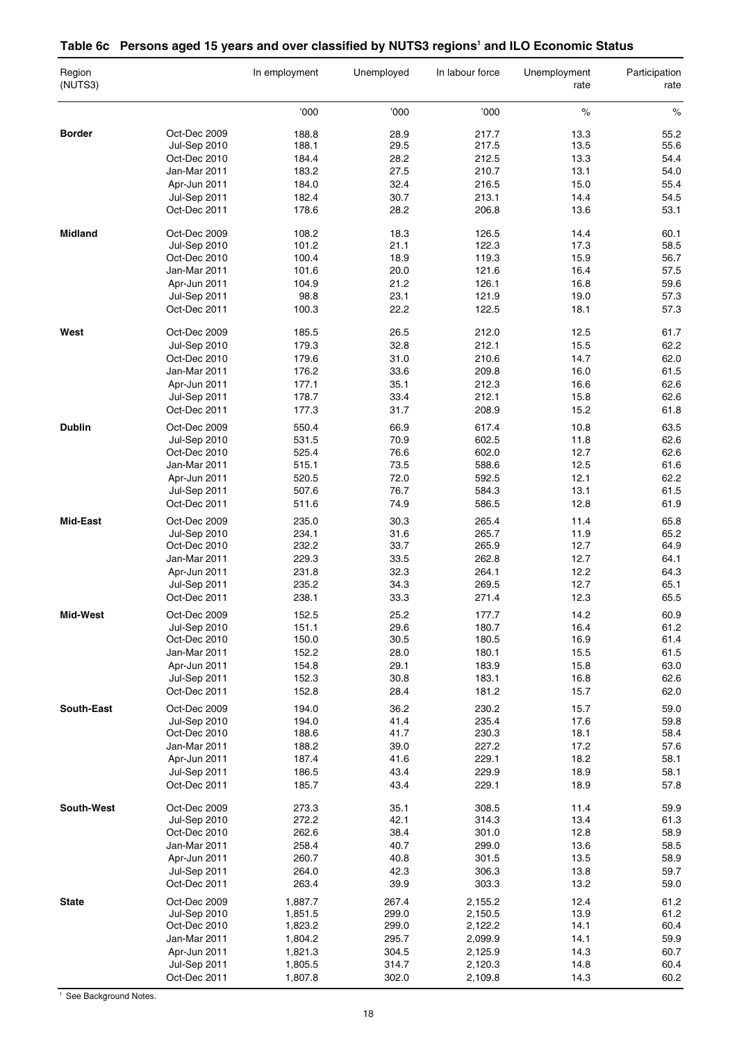### Table 6c Persons aged 15 years and over classified by NUTS3 regions<sup>1</sup> and ILO Economic Status

| Region<br>(NUTS3) |                              | In employment      | Unemployed     | In labour force    | Unemployment<br>rate | Participation<br>rate |
|-------------------|------------------------------|--------------------|----------------|--------------------|----------------------|-----------------------|
|                   |                              | '000               | '000           | '000               | $\%$                 | $\%$                  |
| <b>Border</b>     | Oct-Dec 2009                 | 188.8              | 28.9           | 217.7              | 13.3                 | 55.2                  |
|                   | Jul-Sep 2010                 | 188.1              | 29.5           | 217.5              | 13.5                 | 55.6                  |
|                   | Oct-Dec 2010                 | 184.4              | 28.2           | 212.5              | 13.3                 | 54.4                  |
|                   | Jan-Mar 2011                 | 183.2              | 27.5           | 210.7              | 13.1                 | 54.0                  |
|                   | Apr-Jun 2011                 | 184.0              | 32.4           | 216.5              | 15.0                 | 55.4                  |
|                   |                              | 182.4              |                | 213.1              | 14.4                 |                       |
|                   | Jul-Sep 2011<br>Oct-Dec 2011 | 178.6              | 30.7<br>28.2   | 206.8              | 13.6                 | 54.5<br>53.1          |
|                   |                              |                    |                |                    |                      |                       |
| <b>Midland</b>    | Oct-Dec 2009<br>Jul-Sep 2010 | 108.2<br>101.2     | 18.3<br>21.1   | 126.5<br>122.3     | 14.4<br>17.3         | 60.1<br>58.5          |
|                   | Oct-Dec 2010                 | 100.4              | 18.9           | 119.3              | 15.9                 | 56.7                  |
|                   | Jan-Mar 2011                 | 101.6              | 20.0           | 121.6              | 16.4                 | 57.5                  |
|                   | Apr-Jun 2011                 | 104.9              | 21.2           | 126.1              | 16.8                 | 59.6                  |
|                   |                              |                    |                |                    |                      |                       |
|                   | Jul-Sep 2011<br>Oct-Dec 2011 | 98.8<br>100.3      | 23.1<br>22.2   | 121.9<br>122.5     | 19.0<br>18.1         | 57.3<br>57.3          |
|                   |                              |                    |                |                    |                      |                       |
| West              | Oct-Dec 2009                 | 185.5              | 26.5           | 212.0              | 12.5                 | 61.7                  |
|                   | Jul-Sep 2010                 | 179.3              | 32.8           | 212.1              | 15.5                 | 62.2                  |
|                   | Oct-Dec 2010                 | 179.6              | 31.0           | 210.6              | 14.7                 | 62.0                  |
|                   | Jan-Mar 2011                 | 176.2              | 33.6           | 209.8              | 16.0                 | 61.5                  |
|                   | Apr-Jun 2011                 | 177.1              | 35.1           | 212.3              | 16.6                 | 62.6                  |
|                   | Jul-Sep 2011                 | 178.7              | 33.4           | 212.1              | 15.8                 | 62.6                  |
|                   | Oct-Dec 2011                 | 177.3              | 31.7           | 208.9              | 15.2                 | 61.8                  |
| <b>Dublin</b>     | Oct-Dec 2009                 | 550.4              | 66.9           | 617.4              | 10.8                 | 63.5                  |
|                   | Jul-Sep 2010                 | 531.5              | 70.9           | 602.5              | 11.8                 | 62.6                  |
|                   | Oct-Dec 2010                 | 525.4              | 76.6           | 602.0              | 12.7                 | 62.6                  |
|                   | Jan-Mar 2011                 | 515.1              | 73.5           | 588.6              | 12.5                 | 61.6                  |
|                   | Apr-Jun 2011                 | 520.5              | 72.0           | 592.5              | 12.1                 | 62.2                  |
|                   | Jul-Sep 2011                 | 507.6              | 76.7           | 584.3              | 13.1                 | 61.5                  |
|                   | Oct-Dec 2011                 | 511.6              | 74.9           | 586.5              | 12.8                 | 61.9                  |
| <b>Mid-East</b>   | Oct-Dec 2009                 | 235.0              | 30.3           | 265.4              | 11.4                 | 65.8                  |
|                   | Jul-Sep 2010                 | 234.1              | 31.6           | 265.7              | 11.9                 | 65.2                  |
|                   | Oct-Dec 2010                 | 232.2              | 33.7           | 265.9              | 12.7                 | 64.9                  |
|                   | Jan-Mar 2011                 | 229.3              | 33.5           | 262.8              | 12.7                 | 64.1                  |
|                   | Apr-Jun 2011                 | 231.8              | 32.3           | 264.1              | 12.2                 | 64.3                  |
|                   | Jul-Sep 2011                 | 235.2              | 34.3           | 269.5              | 12.7                 | 65.1                  |
|                   | Oct-Dec 2011                 | 238.1              | 33.3           | 271.4              | 12.3                 | 65.5                  |
|                   |                              |                    |                |                    |                      |                       |
| Mid-West          | Oct-Dec 2009                 | 152.5              | 25.2           | 177.7              | 14.2                 | 60.9                  |
|                   | <b>Jul-Sep 2010</b>          | 151.1              | 29.6           | 180.7              | 16.4                 | 61.2                  |
|                   | Oct-Dec 2010                 | 150.0              | 30.5           | 180.5              | 16.9                 | 61.4                  |
|                   | Jan-Mar 2011                 | 152.2              | 28.0           | 180.1              | 15.5                 | 61.5                  |
|                   | Apr-Jun 2011                 | 154.8              | 29.1           | 183.9              | 15.8                 | 63.0                  |
|                   | Jul-Sep 2011                 | 152.3              | 30.8           | 183.1              | 16.8                 | 62.6                  |
|                   | Oct-Dec 2011                 | 152.8              | 28.4           | 181.2              | 15.7                 | 62.0                  |
| South-East        | Oct-Dec 2009                 | 194.0              | 36.2           | 230.2              | 15.7                 | 59.0                  |
|                   | Jul-Sep 2010                 | 194.0              | 41.4           | 235.4              | 17.6                 | 59.8                  |
|                   | Oct-Dec 2010                 | 188.6              | 41.7           | 230.3              | 18.1                 | 58.4                  |
|                   | Jan-Mar 2011                 | 188.2              | 39.0           | 227.2              | 17.2                 | 57.6                  |
|                   | Apr-Jun 2011                 | 187.4              | 41.6           | 229.1              | 18.2                 | 58.1                  |
|                   | Jul-Sep 2011                 | 186.5              | 43.4           | 229.9              | 18.9                 | 58.1                  |
|                   | Oct-Dec 2011                 | 185.7              | 43.4           | 229.1              | 18.9                 | 57.8                  |
| South-West        | Oct-Dec 2009                 | 273.3              | 35.1           | 308.5              | 11.4                 | 59.9                  |
|                   | <b>Jul-Sep 2010</b>          | 272.2              | 42.1           | 314.3              | 13.4                 | 61.3                  |
|                   | Oct-Dec 2010                 | 262.6              | 38.4           | 301.0              | 12.8                 | 58.9                  |
|                   | Jan-Mar 2011                 | 258.4              | 40.7           | 299.0              | 13.6                 | 58.5                  |
|                   |                              |                    |                |                    |                      |                       |
|                   | Apr-Jun 2011                 | 260.7              | 40.8           | 301.5              | 13.5                 | 58.9                  |
|                   | Jul-Sep 2011<br>Oct-Dec 2011 | 264.0<br>263.4     | 42.3<br>39.9   | 306.3<br>303.3     | 13.8<br>13.2         | 59.7<br>59.0          |
|                   |                              |                    |                |                    |                      |                       |
| <b>State</b>      | Oct-Dec 2009<br>Jul-Sep 2010 | 1,887.7<br>1,851.5 | 267.4<br>299.0 | 2,155.2<br>2,150.5 | 12.4<br>13.9         | 61.2<br>61.2          |
|                   |                              |                    | 299.0          |                    | 14.1                 | 60.4                  |
|                   | Oct-Dec 2010                 | 1,823.2            |                | 2,122.2            |                      |                       |
|                   | Jan-Mar 2011                 | 1,804.2            | 295.7          | 2,099.9            | 14.1                 | 59.9                  |
|                   | Apr-Jun 2011                 | 1,821.3            | 304.5          | 2,125.9            | 14.3                 | 60.7                  |
|                   | Jul-Sep 2011                 | 1,805.5            | 314.7          | 2,120.3            | 14.8                 | 60.4                  |
|                   | Oct-Dec 2011                 | 1,807.8            | 302.0          | 2,109.8            | 14.3                 | 60.2                  |

<sup>1</sup> See Background Notes.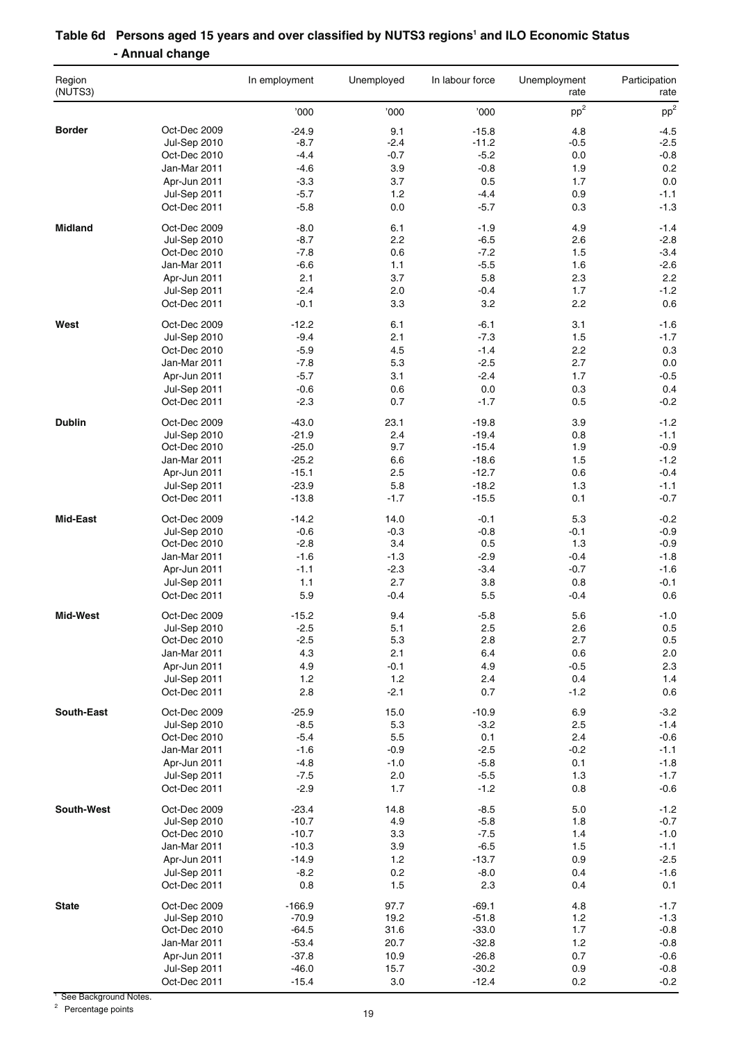| Region<br>(NUTS3) |                                     | In employment       | Unemployed     | In labour force    | Unemployment<br>rate | Participation<br>rate |
|-------------------|-------------------------------------|---------------------|----------------|--------------------|----------------------|-----------------------|
|                   |                                     | '000                | '000           | '000               | pp <sup>2</sup>      | pp <sup>2</sup>       |
| <b>Border</b>     | Oct-Dec 2009                        | $-24.9$             | 9.1            | $-15.8$            | 4.8                  | $-4.5$                |
|                   | Jul-Sep 2010                        | $-8.7$              | $-2.4$         | $-11.2$            | $-0.5$               | $-2.5$                |
|                   | Oct-Dec 2010                        | $-4.4$              | $-0.7$         | $-5.2$             | 0.0                  | $-0.8$                |
|                   | Jan-Mar 2011                        | $-4.6$              | 3.9            | $-0.8$             | 1.9                  | 0.2                   |
|                   | Apr-Jun 2011                        | $-3.3$              | 3.7            | 0.5                | 1.7                  | 0.0                   |
|                   | <b>Jul-Sep 2011</b>                 | $-5.7$              | 1.2            | $-4.4$             | 0.9                  | $-1.1$                |
|                   | Oct-Dec 2011                        | $-5.8$              | 0.0            | $-5.7$             | 0.3                  | $-1.3$                |
| <b>Midland</b>    | Oct-Dec 2009<br><b>Jul-Sep 2010</b> | $-8.0$<br>$-8.7$    | 6.1<br>2.2     | $-1.9$<br>$-6.5$   | 4.9<br>2.6           | $-1.4$<br>$-2.8$      |
|                   | Oct-Dec 2010                        | $-7.8$              | 0.6            | $-7.2$             | 1.5                  | $-3.4$                |
|                   | Jan-Mar 2011                        | $-6.6$              | 1.1            | $-5.5$             | 1.6                  | $-2.6$                |
|                   | Apr-Jun 2011                        | 2.1                 | 3.7            | 5.8                | 2.3                  | 2.2                   |
|                   | <b>Jul-Sep 2011</b>                 | $-2.4$              | 2.0            | $-0.4$             | 1.7                  | $-1.2$                |
|                   | Oct-Dec 2011                        | $-0.1$              | 3.3            | 3.2                | 2.2                  | 0.6                   |
| West              | Oct-Dec 2009                        | $-12.2$             | 6.1            | $-6.1$             | 3.1                  | $-1.6$                |
|                   | <b>Jul-Sep 2010</b>                 | $-9.4$              | 2.1            | $-7.3$             | 1.5                  | $-1.7$                |
|                   | Oct-Dec 2010                        | $-5.9$              | 4.5            | $-1.4$             | 2.2                  | 0.3                   |
|                   | Jan-Mar 2011                        | $-7.8$              | 5.3            | $-2.5$             | 2.7                  | 0.0                   |
|                   | Apr-Jun 2011                        | $-5.7$              | 3.1            | $-2.4$             | 1.7                  | $-0.5$                |
|                   | <b>Jul-Sep 2011</b>                 | $-0.6$              | 0.6            | 0.0                | 0.3                  | 0.4                   |
|                   | Oct-Dec 2011                        | $-2.3$              | 0.7            | $-1.7$             | 0.5                  | $-0.2$                |
| <b>Dublin</b>     | Oct-Dec 2009                        | $-43.0$             | 23.1           | $-19.8$            | 3.9                  | $-1.2$                |
|                   | <b>Jul-Sep 2010</b>                 | $-21.9$             | 2.4            | $-19.4$            | 0.8                  | $-1.1$                |
|                   | Oct-Dec 2010                        | $-25.0$             | 9.7            | $-15.4$            | 1.9                  | $-0.9$                |
|                   | Jan-Mar 2011                        | $-25.2$             | 6.6            | $-18.6$            | 1.5                  | $-1.2$                |
|                   | Apr-Jun 2011                        | $-15.1$             | 2.5            | $-12.7$            | 0.6                  | $-0.4$                |
|                   | Jul-Sep 2011<br>Oct-Dec 2011        | $-23.9$<br>$-13.8$  | 5.8<br>$-1.7$  | $-18.2$<br>$-15.5$ | 1.3<br>0.1           | $-1.1$<br>$-0.7$      |
| Mid-East          |                                     |                     |                |                    |                      |                       |
|                   | Oct-Dec 2009<br><b>Jul-Sep 2010</b> | $-14.2$<br>$-0.6$   | 14.0<br>$-0.3$ | $-0.1$<br>$-0.8$   | 5.3<br>-0.1          | $-0.2$<br>$-0.9$      |
|                   | Oct-Dec 2010                        | $-2.8$              | 3.4            | 0.5                | 1.3                  | $-0.9$                |
|                   | Jan-Mar 2011                        | $-1.6$              | $-1.3$         | $-2.9$             | $-0.4$               | $-1.8$                |
|                   | Apr-Jun 2011                        | $-1.1$              | $-2.3$         | $-3.4$             | $-0.7$               | $-1.6$                |
|                   | Jul-Sep 2011                        | 1.1                 | 2.7            | 3.8                | 0.8                  | $-0.1$                |
|                   | Oct-Dec 2011                        | 5.9                 | -0.4           | 5.5                | $-0.4$               | 0.6                   |
| Mid-West          | Oct-Dec 2009                        | $-15.2$             | 9.4            | $-5.8$             | 5.6                  | $-1.0$                |
|                   | <b>Jul-Sep 2010</b>                 | $-2.5$              | 5.1            | 2.5                | 2.6                  | 0.5                   |
|                   | Oct-Dec 2010                        | $-2.5$              | 5.3            | 2.8                | 2.7                  | 0.5                   |
|                   | Jan-Mar 2011                        | 4.3                 | 2.1            | 6.4                | 0.6                  | 2.0                   |
|                   | Apr-Jun 2011                        | 4.9                 | $-0.1$         | 4.9                | $-0.5$               | $2.3\,$               |
|                   | <b>Jul-Sep 2011</b><br>Oct-Dec 2011 | 1.2<br>2.8          | 1.2<br>$-2.1$  | 2.4<br>0.7         | 0.4<br>$-1.2$        | 1.4<br>0.6            |
|                   |                                     |                     |                |                    |                      |                       |
| South-East        | Oct-Dec 2009<br><b>Jul-Sep 2010</b> | $-25.9$<br>$-8.5$   | 15.0<br>5.3    | $-10.9$<br>$-3.2$  | 6.9<br>2.5           | $-3.2$<br>$-1.4$      |
|                   | Oct-Dec 2010                        | $-5.4$              | $5.5\,$        | 0.1                | 2.4                  | $-0.6$                |
|                   | Jan-Mar 2011                        | $-1.6$              | $-0.9$         | $-2.5$             | $-0.2$               | $-1.1$                |
|                   | Apr-Jun 2011                        | $-4.8$              | $-1.0$         | $-5.8$             | 0.1                  | $-1.8$                |
|                   | Jul-Sep 2011                        | $-7.5$              | 2.0            | $-5.5$             | 1.3                  | $-1.7$                |
|                   | Oct-Dec 2011                        | $-2.9$              | 1.7            | $-1.2$             | 0.8                  | $-0.6$                |
| South-West        | Oct-Dec 2009                        | $-23.4$             | 14.8           | $-8.5$             | 5.0                  | $-1.2$                |
|                   | <b>Jul-Sep 2010</b>                 | $-10.7$             | 4.9            | $-5.8$             | 1.8                  | $-0.7$                |
|                   | Oct-Dec 2010                        | $-10.7$             | 3.3            | $-7.5$             | 1.4                  | $-1.0$                |
|                   | Jan-Mar 2011                        | $-10.3$             | 3.9            | $-6.5$             | 1.5                  | $-1.1$                |
|                   | Apr-Jun 2011                        | $-14.9$             | 1.2            | $-13.7$            | 0.9                  | $-2.5$                |
|                   | Jul-Sep 2011                        | $-8.2$              | 0.2            | $-8.0$             | 0.4                  | $-1.6$                |
|                   | Oct-Dec 2011                        | 0.8                 | 1.5            | 2.3                | 0.4                  | 0.1                   |
| <b>State</b>      | Oct-Dec 2009                        | $-166.9$<br>$-70.9$ | 97.7<br>19.2   | $-69.1$<br>$-51.8$ | 4.8                  | $-1.7$                |
|                   | <b>Jul-Sep 2010</b><br>Oct-Dec 2010 | $-64.5$             | 31.6           | $-33.0$            | 1.2<br>1.7           | $-1.3$<br>$-0.8$      |
|                   | Jan-Mar 2011                        | $-53.4$             | 20.7           | $-32.8$            | 1.2                  | $-0.8$                |
|                   | Apr-Jun 2011                        | $-37.8$             | 10.9           | $-26.8$            | 0.7                  | $-0.6$                |
|                   | Jul-Sep 2011                        | $-46.0$             | 15.7           | $-30.2$            | 0.9                  | $-0.8$                |
|                   | Oct-Dec 2011                        | $-15.4$             | 3.0            | $-12.4$            | 0.2                  | $-0.2$                |

### Table 6d Persons aged 15 years and over classified by NUTS3 regions<sup>1</sup> and ILO Economic Status **- Annual change**

<sup>1</sup> See Background Notes.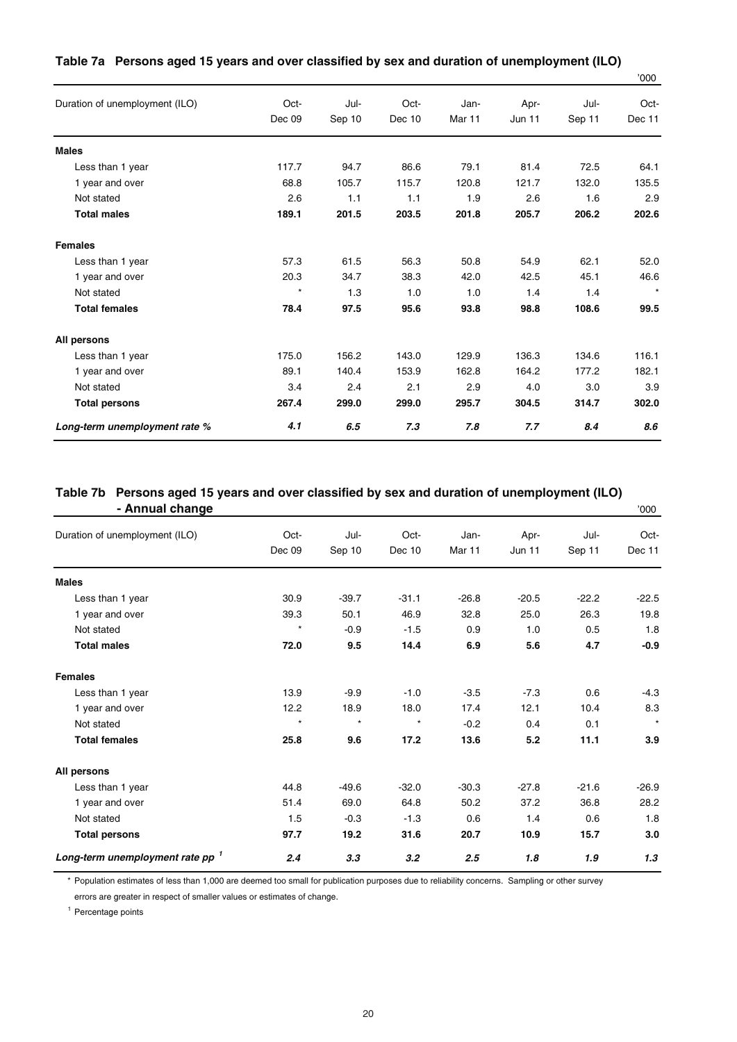|                                |         |        |        |        |               |        | <b>UUU</b> |
|--------------------------------|---------|--------|--------|--------|---------------|--------|------------|
| Duration of unemployment (ILO) | Oct-    | Jul-   | Oct-   | Jan-   | Apr-          | Jul-   | Oct-       |
|                                | Dec 09  | Sep 10 | Dec 10 | Mar 11 | <b>Jun 11</b> | Sep 11 | Dec 11     |
| <b>Males</b>                   |         |        |        |        |               |        |            |
| Less than 1 year               | 117.7   | 94.7   | 86.6   | 79.1   | 81.4          | 72.5   | 64.1       |
| 1 year and over                | 68.8    | 105.7  | 115.7  | 120.8  | 121.7         | 132.0  | 135.5      |
| Not stated                     | 2.6     | 1.1    | 1.1    | 1.9    | 2.6           | 1.6    | 2.9        |
| <b>Total males</b>             | 189.1   | 201.5  | 203.5  | 201.8  | 205.7         | 206.2  | 202.6      |
| <b>Females</b>                 |         |        |        |        |               |        |            |
| Less than 1 year               | 57.3    | 61.5   | 56.3   | 50.8   | 54.9          | 62.1   | 52.0       |
| 1 year and over                | 20.3    | 34.7   | 38.3   | 42.0   | 42.5          | 45.1   | 46.6       |
| Not stated                     | $\star$ | 1.3    | 1.0    | 1.0    | 1.4           | 1.4    | $\star$    |
| <b>Total females</b>           | 78.4    | 97.5   | 95.6   | 93.8   | 98.8          | 108.6  | 99.5       |
| All persons                    |         |        |        |        |               |        |            |
| Less than 1 year               | 175.0   | 156.2  | 143.0  | 129.9  | 136.3         | 134.6  | 116.1      |
| 1 year and over                | 89.1    | 140.4  | 153.9  | 162.8  | 164.2         | 177.2  | 182.1      |
| Not stated                     | 3.4     | 2.4    | 2.1    | 2.9    | 4.0           | 3.0    | 3.9        |
| <b>Total persons</b>           | 267.4   | 299.0  | 299.0  | 295.7  | 304.5         | 314.7  | 302.0      |
| Long-term unemployment rate %  | 4.1     | 6.5    | 7.3    | 7.8    | 7.7           | 8.4    | 8.6        |

#### **Table 7a Persons aged 15 years and over classified by sex and duration of unemployment (ILO)**

'000

#### **Table 7b Persons aged 15 years and over classified by sex and duration of unemployment (ILO) - Annual change** '000

| Duration of unemployment (ILO)              | Oct-    | Jul-    | Oct-    | Jan-    | Apr-          | Jul-    | Oct-    |
|---------------------------------------------|---------|---------|---------|---------|---------------|---------|---------|
|                                             | Dec 09  | Sep 10  | Dec 10  | Mar 11  | <b>Jun 11</b> | Sep 11  | Dec 11  |
| <b>Males</b>                                |         |         |         |         |               |         |         |
| Less than 1 year                            | 30.9    | $-39.7$ | $-31.1$ | $-26.8$ | $-20.5$       | $-22.2$ | $-22.5$ |
| 1 year and over                             | 39.3    | 50.1    | 46.9    | 32.8    | 25.0          | 26.3    | 19.8    |
| Not stated                                  | $\star$ | $-0.9$  | $-1.5$  | 0.9     | 1.0           | 0.5     | 1.8     |
| <b>Total males</b>                          | 72.0    | 9.5     | 14.4    | 6.9     | 5.6           | 4.7     | $-0.9$  |
| <b>Females</b>                              |         |         |         |         |               |         |         |
| Less than 1 year                            | 13.9    | $-9.9$  | $-1.0$  | $-3.5$  | $-7.3$        | 0.6     | $-4.3$  |
| 1 year and over                             | 12.2    | 18.9    | 18.0    | 17.4    | 12.1          | 10.4    | 8.3     |
| Not stated                                  | $\star$ | $\star$ | $\star$ | $-0.2$  | 0.4           | 0.1     | $\star$ |
| <b>Total females</b>                        | 25.8    | 9.6     | 17.2    | 13.6    | 5.2           | 11.1    | 3.9     |
| All persons                                 |         |         |         |         |               |         |         |
| Less than 1 year                            | 44.8    | $-49.6$ | $-32.0$ | $-30.3$ | $-27.8$       | $-21.6$ | $-26.9$ |
| 1 year and over                             | 51.4    | 69.0    | 64.8    | 50.2    | 37.2          | 36.8    | 28.2    |
| Not stated                                  | 1.5     | $-0.3$  | $-1.3$  | 0.6     | 1.4           | 0.6     | 1.8     |
| <b>Total persons</b>                        | 97.7    | 19.2    | 31.6    | 20.7    | 10.9          | 15.7    | 3.0     |
| Long-term unemployment rate pp <sup>1</sup> | 2.4     | 3.3     | 3.2     | 2.5     | 1.8           | 1.9     | 1.3     |

\* Population estimates of less than 1,000 are deemed too small for publication purposes due to reliability concerns. Sampling or other survey errors are greater in respect of smaller values or estimates of change.

<sup>1</sup> Percentage points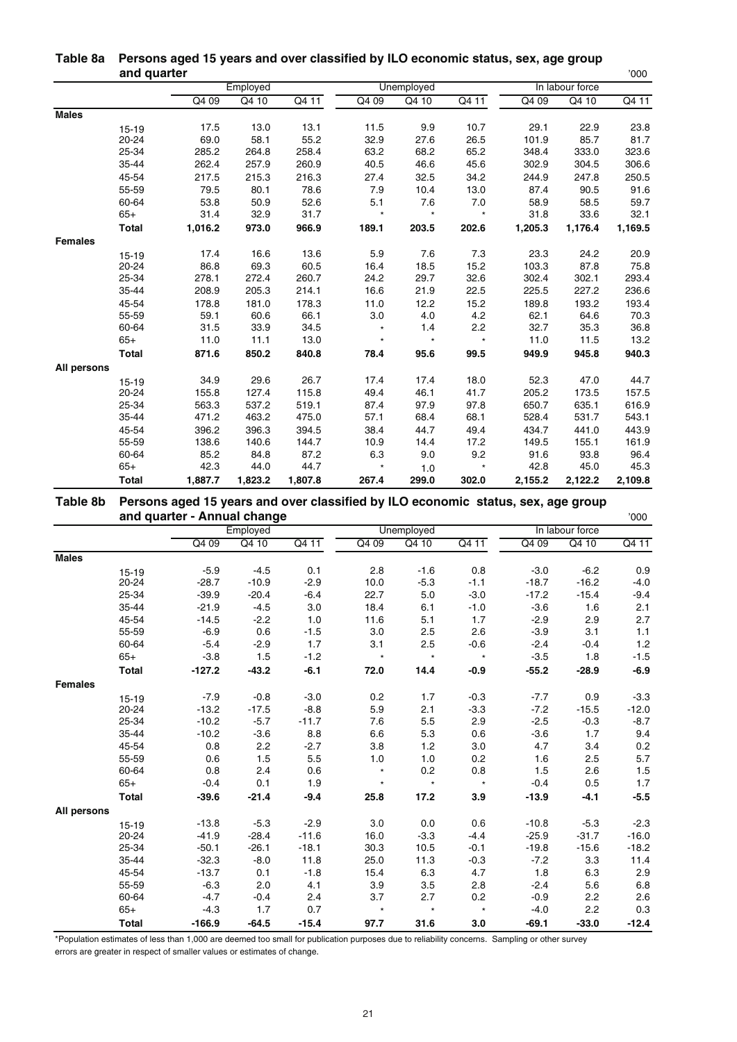|                | ang quarter  |         |          |         |         |            |         |         |                 | '∪∪∪    |
|----------------|--------------|---------|----------|---------|---------|------------|---------|---------|-----------------|---------|
|                |              |         | Employed |         |         | Unemployed |         |         | In labour force |         |
|                |              | Q4 09   | Q4 10    | Q4 11   | Q4 09   | Q4 10      | Q4 11   | Q4 09   | Q4 10           | Q4 11   |
| <b>Males</b>   |              |         |          |         |         |            |         |         |                 |         |
|                | $15 - 19$    | 17.5    | 13.0     | 13.1    | 11.5    | 9.9        | 10.7    | 29.1    | 22.9            | 23.8    |
|                | 20-24        | 69.0    | 58.1     | 55.2    | 32.9    | 27.6       | 26.5    | 101.9   | 85.7            | 81.7    |
|                | 25-34        | 285.2   | 264.8    | 258.4   | 63.2    | 68.2       | 65.2    | 348.4   | 333.0           | 323.6   |
|                | 35-44        | 262.4   | 257.9    | 260.9   | 40.5    | 46.6       | 45.6    | 302.9   | 304.5           | 306.6   |
|                | 45-54        | 217.5   | 215.3    | 216.3   | 27.4    | 32.5       | 34.2    | 244.9   | 247.8           | 250.5   |
|                | 55-59        | 79.5    | 80.1     | 78.6    | 7.9     | 10.4       | 13.0    | 87.4    | 90.5            | 91.6    |
|                | 60-64        | 53.8    | 50.9     | 52.6    | 5.1     | 7.6        | 7.0     | 58.9    | 58.5            | 59.7    |
|                | $65+$        | 31.4    | 32.9     | 31.7    | $\star$ | $\star$    | $\star$ | 31.8    | 33.6            | 32.1    |
|                | <b>Total</b> | 1,016.2 | 973.0    | 966.9   | 189.1   | 203.5      | 202.6   | 1,205.3 | 1,176.4         | 1,169.5 |
| <b>Females</b> |              |         |          |         |         |            |         |         |                 |         |
|                | $15 - 19$    | 17.4    | 16.6     | 13.6    | 5.9     | 7.6        | 7.3     | 23.3    | 24.2            | 20.9    |
|                | $20 - 24$    | 86.8    | 69.3     | 60.5    | 16.4    | 18.5       | 15.2    | 103.3   | 87.8            | 75.8    |
|                | 25-34        | 278.1   | 272.4    | 260.7   | 24.2    | 29.7       | 32.6    | 302.4   | 302.1           | 293.4   |
|                | 35-44        | 208.9   | 205.3    | 214.1   | 16.6    | 21.9       | 22.5    | 225.5   | 227.2           | 236.6   |
|                | 45-54        | 178.8   | 181.0    | 178.3   | 11.0    | 12.2       | 15.2    | 189.8   | 193.2           | 193.4   |
|                | 55-59        | 59.1    | 60.6     | 66.1    | 3.0     | 4.0        | 4.2     | 62.1    | 64.6            | 70.3    |
|                | 60-64        | 31.5    | 33.9     | 34.5    | $\star$ | 1.4        | 2.2     | 32.7    | 35.3            | 36.8    |
|                | $65+$        | 11.0    | 11.1     | 13.0    | $\star$ | $\star$    | $\star$ | 11.0    | 11.5            | 13.2    |
|                | <b>Total</b> | 871.6   | 850.2    | 840.8   | 78.4    | 95.6       | 99.5    | 949.9   | 945.8           | 940.3   |
| All persons    |              |         |          |         |         |            |         |         |                 |         |
|                | $15 - 19$    | 34.9    | 29.6     | 26.7    | 17.4    | 17.4       | 18.0    | 52.3    | 47.0            | 44.7    |
|                | 20-24        | 155.8   | 127.4    | 115.8   | 49.4    | 46.1       | 41.7    | 205.2   | 173.5           | 157.5   |
|                | 25-34        | 563.3   | 537.2    | 519.1   | 87.4    | 97.9       | 97.8    | 650.7   | 635.1           | 616.9   |
|                | 35-44        | 471.2   | 463.2    | 475.0   | 57.1    | 68.4       | 68.1    | 528.4   | 531.7           | 543.1   |
|                | 45-54        | 396.2   | 396.3    | 394.5   | 38.4    | 44.7       | 49.4    | 434.7   | 441.0           | 443.9   |
|                | 55-59        | 138.6   | 140.6    | 144.7   | 10.9    | 14.4       | 17.2    | 149.5   | 155.1           | 161.9   |
|                | 60-64        | 85.2    | 84.8     | 87.2    | 6.3     | 9.0        | 9.2     | 91.6    | 93.8            | 96.4    |
|                | $65+$        | 42.3    | 44.0     | 44.7    | $\star$ | 1.0        | $\star$ | 42.8    | 45.0            | 45.3    |
|                | <b>Total</b> | 1,887.7 | 1,823.2  | 1,807.8 | 267.4   | 299.0      | 302.0   | 2,155.2 | 2,122.2         | 2,109.8 |

#### **Table 8a Persons aged 15 years and over classified by ILO economic status, sex, age group and quarter** '000

#### **Table 8b Persons aged 15 years and over classified by ILO economic status, sex, age group and quarter - Annual change**  $\overline{a}$  and  $\overline{b}$  and  $\overline{c}$  and  $\overline{c}$  and  $\overline{c}$  and  $\overline{c}$  and  $\overline{c}$  and  $\overline{c}$  and  $\overline{c}$  and  $\overline{c}$  and  $\overline{c}$  and  $\overline{c}$  and  $\overline{c}$  and  $\overline{c}$  and  $\overline{c}$  a

|                | ana quanci   |          | - Annuan vilangu<br>Employed |         |         | Unemployed |         |         | In labour force | uuu     |
|----------------|--------------|----------|------------------------------|---------|---------|------------|---------|---------|-----------------|---------|
|                |              | Q4 09    | Q4 10                        | Q4 11   | Q4 09   | Q4 10      | Q4 11   | Q4 09   | Q4 10           | Q4 11   |
| <b>Males</b>   |              |          |                              |         |         |            |         |         |                 |         |
|                | $15 - 19$    | $-5.9$   | $-4.5$                       | 0.1     | 2.8     | $-1.6$     | 0.8     | $-3.0$  | $-6.2$          | 0.9     |
|                | 20-24        | $-28.7$  | $-10.9$                      | $-2.9$  | 10.0    | $-5.3$     | $-1.1$  | $-18.7$ | $-16.2$         | $-4.0$  |
|                | 25-34        | $-39.9$  | $-20.4$                      | $-6.4$  | 22.7    | 5.0        | $-3.0$  | $-17.2$ | $-15.4$         | $-9.4$  |
|                | 35-44        | $-21.9$  | $-4.5$                       | 3.0     | 18.4    | 6.1        | $-1.0$  | $-3.6$  | 1.6             | 2.1     |
|                | 45-54        | $-14.5$  | $-2.2$                       | 1.0     | 11.6    | 5.1        | 1.7     | $-2.9$  | 2.9             | 2.7     |
|                | 55-59        | $-6.9$   | 0.6                          | $-1.5$  | 3.0     | 2.5        | 2.6     | $-3.9$  | 3.1             | 1.1     |
|                | 60-64        | $-5.4$   | $-2.9$                       | 1.7     | 3.1     | 2.5        | $-0.6$  | $-2.4$  | $-0.4$          | $1.2$   |
|                | $65+$        | $-3.8$   | 1.5                          | $-1.2$  | $\star$ | $\star$    | $\star$ | $-3.5$  | 1.8             | $-1.5$  |
|                | <b>Total</b> | $-127.2$ | $-43.2$                      | $-6.1$  | 72.0    | 14.4       | $-0.9$  | $-55.2$ | $-28.9$         | $-6.9$  |
| <b>Females</b> |              |          |                              |         |         |            |         |         |                 |         |
|                | $15 - 19$    | $-7.9$   | $-0.8$                       | $-3.0$  | 0.2     | 1.7        | $-0.3$  | $-7.7$  | 0.9             | $-3.3$  |
|                | 20-24        | $-13.2$  | $-17.5$                      | $-8.8$  | 5.9     | 2.1        | $-3.3$  | $-7.2$  | $-15.5$         | $-12.0$ |
|                | 25-34        | $-10.2$  | $-5.7$                       | $-11.7$ | 7.6     | 5.5        | 2.9     | $-2.5$  | $-0.3$          | $-8.7$  |
|                | 35-44        | $-10.2$  | $-3.6$                       | 8.8     | 6.6     | 5.3        | 0.6     | $-3.6$  | 1.7             | 9.4     |
|                | 45-54        | 0.8      | 2.2                          | $-2.7$  | 3.8     | 1.2        | 3.0     | 4.7     | 3.4             | $0.2\,$ |
|                | 55-59        | 0.6      | 1.5                          | 5.5     | 1.0     | 1.0        | 0.2     | 1.6     | 2.5             | 5.7     |
|                | 60-64        | 0.8      | 2.4                          | 0.6     | $\star$ | 0.2        | 0.8     | 1.5     | 2.6             | 1.5     |
|                | $65+$        | $-0.4$   | 0.1                          | 1.9     | $\star$ | $\star$    | $\star$ | $-0.4$  | 0.5             | 1.7     |
|                | <b>Total</b> | $-39.6$  | $-21.4$                      | $-9.4$  | 25.8    | 17.2       | 3.9     | $-13.9$ | $-4.1$          | $-5.5$  |
| All persons    |              |          |                              |         |         |            |         |         |                 |         |
|                | $15 - 19$    | $-13.8$  | $-5.3$                       | $-2.9$  | 3.0     | 0.0        | 0.6     | $-10.8$ | $-5.3$          | $-2.3$  |
|                | 20-24        | $-41.9$  | $-28.4$                      | $-11.6$ | 16.0    | $-3.3$     | $-4.4$  | $-25.9$ | $-31.7$         | $-16.0$ |
|                | 25-34        | $-50.1$  | $-26.1$                      | $-18.1$ | 30.3    | 10.5       | $-0.1$  | $-19.8$ | $-15.6$         | $-18.2$ |
|                | 35-44        | $-32.3$  | $-8.0$                       | 11.8    | 25.0    | 11.3       | $-0.3$  | $-7.2$  | 3.3             | 11.4    |
|                | 45-54        | $-13.7$  | 0.1                          | $-1.8$  | 15.4    | 6.3        | 4.7     | 1.8     | 6.3             | $2.9\,$ |
|                | 55-59        | $-6.3$   | 2.0                          | 4.1     | 3.9     | 3.5        | 2.8     | $-2.4$  | 5.6             | 6.8     |
|                | 60-64        | $-4.7$   | $-0.4$                       | 2.4     | 3.7     | 2.7        | 0.2     | $-0.9$  | 2.2             | 2.6     |
|                | $65+$        | $-4.3$   | 1.7                          | 0.7     | $\star$ | $\star$    | $\star$ | $-4.0$  | 2.2             | 0.3     |
|                | <b>Total</b> | $-166.9$ | $-64.5$                      | $-15.4$ | 97.7    | 31.6       | 3.0     | $-69.1$ | $-33.0$         | $-12.4$ |

\*Population estimates of less than 1,000 are deemed too small for publication purposes due to reliability concerns. Sampling or other survey errors are greater in respect of smaller values or estimates of change.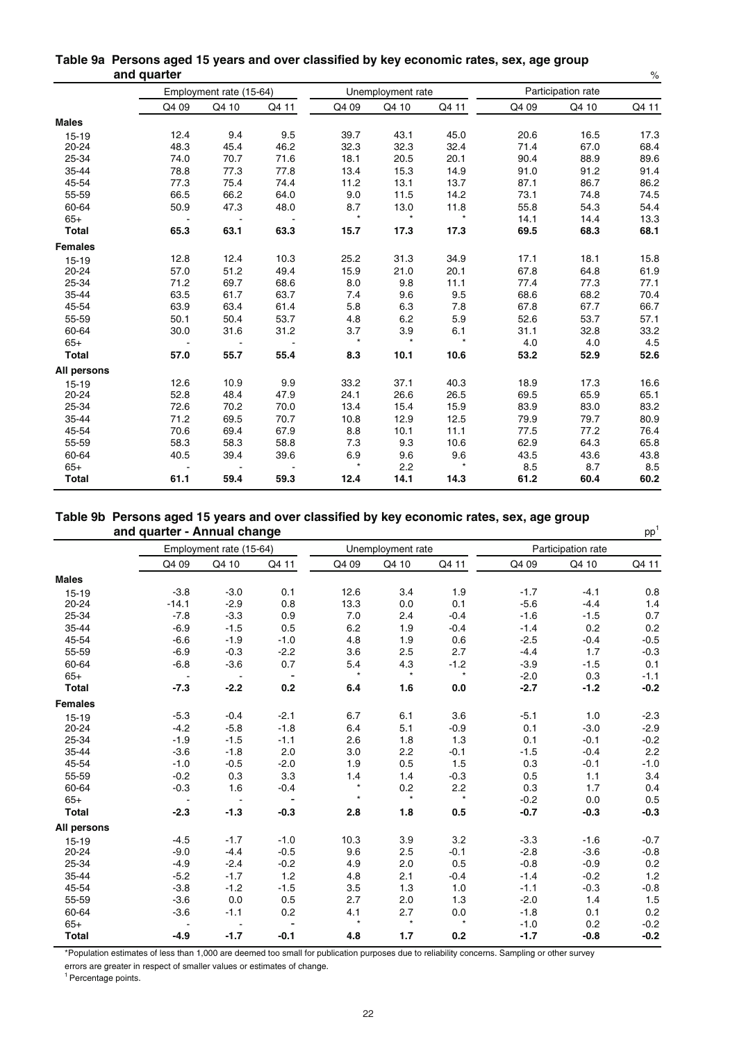|                |       | Employment rate (15-64) |       |         | Unemployment rate |         |       | Participation rate |       |
|----------------|-------|-------------------------|-------|---------|-------------------|---------|-------|--------------------|-------|
|                | Q4 09 | Q4 10                   | Q4 11 | Q4 09   | Q4 10             | Q4 11   | Q4 09 | Q4 10              | Q4 11 |
| <b>Males</b>   |       |                         |       |         |                   |         |       |                    |       |
| $15 - 19$      | 12.4  | 9.4                     | 9.5   | 39.7    | 43.1              | 45.0    | 20.6  | 16.5               | 17.3  |
| 20-24          | 48.3  | 45.4                    | 46.2  | 32.3    | 32.3              | 32.4    | 71.4  | 67.0               | 68.4  |
| 25-34          | 74.0  | 70.7                    | 71.6  | 18.1    | 20.5              | 20.1    | 90.4  | 88.9               | 89.6  |
| 35-44          | 78.8  | 77.3                    | 77.8  | 13.4    | 15.3              | 14.9    | 91.0  | 91.2               | 91.4  |
| 45-54          | 77.3  | 75.4                    | 74.4  | 11.2    | 13.1              | 13.7    | 87.1  | 86.7               | 86.2  |
| 55-59          | 66.5  | 66.2                    | 64.0  | 9.0     | 11.5              | 14.2    | 73.1  | 74.8               | 74.5  |
| 60-64          | 50.9  | 47.3                    | 48.0  | 8.7     | 13.0              | 11.8    | 55.8  | 54.3               | 54.4  |
| $65+$          |       |                         |       | $\star$ | $\star$           | $\star$ | 14.1  | 14.4               | 13.3  |
| <b>Total</b>   | 65.3  | 63.1                    | 63.3  | 15.7    | 17.3              | 17.3    | 69.5  | 68.3               | 68.1  |
| <b>Females</b> |       |                         |       |         |                   |         |       |                    |       |
| $15 - 19$      | 12.8  | 12.4                    | 10.3  | 25.2    | 31.3              | 34.9    | 17.1  | 18.1               | 15.8  |
| 20-24          | 57.0  | 51.2                    | 49.4  | 15.9    | 21.0              | 20.1    | 67.8  | 64.8               | 61.9  |
| 25-34          | 71.2  | 69.7                    | 68.6  | 8.0     | 9.8               | 11.1    | 77.4  | 77.3               | 77.1  |
| 35-44          | 63.5  | 61.7                    | 63.7  | 7.4     | 9.6               | 9.5     | 68.6  | 68.2               | 70.4  |
| 45-54          | 63.9  | 63.4                    | 61.4  | 5.8     | 6.3               | 7.8     | 67.8  | 67.7               | 66.7  |
| 55-59          | 50.1  | 50.4                    | 53.7  | 4.8     | 6.2               | 5.9     | 52.6  | 53.7               | 57.1  |
| 60-64          | 30.0  | 31.6                    | 31.2  | 3.7     | 3.9               | 6.1     | 31.1  | 32.8               | 33.2  |
| $65+$          |       |                         |       | $\star$ | $\star$           | $\star$ | 4.0   | 4.0                | 4.5   |
| <b>Total</b>   | 57.0  | 55.7                    | 55.4  | 8.3     | 10.1              | 10.6    | 53.2  | 52.9               | 52.6  |
| All persons    |       |                         |       |         |                   |         |       |                    |       |
| $15 - 19$      | 12.6  | 10.9                    | 9.9   | 33.2    | 37.1              | 40.3    | 18.9  | 17.3               | 16.6  |
| 20-24          | 52.8  | 48.4                    | 47.9  | 24.1    | 26.6              | 26.5    | 69.5  | 65.9               | 65.1  |
| 25-34          | 72.6  | 70.2                    | 70.0  | 13.4    | 15.4              | 15.9    | 83.9  | 83.0               | 83.2  |
| 35-44          | 71.2  | 69.5                    | 70.7  | 10.8    | 12.9              | 12.5    | 79.9  | 79.7               | 80.9  |
| 45-54          | 70.6  | 69.4                    | 67.9  | 8.8     | 10.1              | 11.1    | 77.5  | 77.2               | 76.4  |
| 55-59          | 58.3  | 58.3                    | 58.8  | 7.3     | 9.3               | 10.6    | 62.9  | 64.3               | 65.8  |
| 60-64          | 40.5  | 39.4                    | 39.6  | 6.9     | 9.6               | 9.6     | 43.5  | 43.6               | 43.8  |
| $65+$          |       |                         |       | $\star$ | 2.2               | $\star$ | 8.5   | 8.7                | 8.5   |
| <b>Total</b>   | 61.1  | 59.4                    | 59.3  | 12.4    | 14.1              | 14.3    | 61.2  | 60.4               | 60.2  |

#### **Table 9a Persons aged 15 years and over classified by key economic rates, sex, age group and quarter** %

#### **Table 9b Persons aged 15 years and over classified by key economic rates, sex, age group and quarter - Annual change** pp<sup>1</sup> pp<sup>1</sup>

|                |         | Employment rate (15-64) |                |         | Unemployment rate |         |        | Participation rate |        |
|----------------|---------|-------------------------|----------------|---------|-------------------|---------|--------|--------------------|--------|
|                | Q4 09   | Q4 10                   | Q4 11          | Q4 09   | Q4 10             | Q4 11   | Q4 09  | Q4 10              | Q4 11  |
| <b>Males</b>   |         |                         |                |         |                   |         |        |                    |        |
| 15-19          | $-3.8$  | $-3.0$                  | 0.1            | 12.6    | 3.4               | 1.9     | $-1.7$ | $-4.1$             | 0.8    |
| 20-24          | $-14.1$ | $-2.9$                  | 0.8            | 13.3    | 0.0               | 0.1     | $-5.6$ | $-4.4$             | 1.4    |
| 25-34          | $-7.8$  | $-3.3$                  | 0.9            | 7.0     | 2.4               | $-0.4$  | $-1.6$ | $-1.5$             | 0.7    |
| 35-44          | $-6.9$  | $-1.5$                  | 0.5            | 6.2     | 1.9               | $-0.4$  | $-1.4$ | 0.2                | 0.2    |
| 45-54          | $-6.6$  | $-1.9$                  | $-1.0$         | 4.8     | 1.9               | 0.6     | $-2.5$ | $-0.4$             | $-0.5$ |
| 55-59          | $-6.9$  | $-0.3$                  | $-2.2$         | 3.6     | 2.5               | 2.7     | $-4.4$ | 1.7                | $-0.3$ |
| 60-64          | $-6.8$  | $-3.6$                  | 0.7            | 5.4     | 4.3               | $-1.2$  | $-3.9$ | $-1.5$             | 0.1    |
| $65+$          |         |                         |                | $\star$ | $\star$           | $\star$ | $-2.0$ | 0.3                | $-1.1$ |
| <b>Total</b>   | $-7.3$  | $-2.2$                  | 0.2            | 6.4     | 1.6               | 0.0     | $-2.7$ | $-1.2$             | $-0.2$ |
| <b>Females</b> |         |                         |                |         |                   |         |        |                    |        |
| 15-19          | $-5.3$  | $-0.4$                  | $-2.1$         | 6.7     | 6.1               | 3.6     | $-5.1$ | 1.0                | $-2.3$ |
| 20-24          | $-4.2$  | $-5.8$                  | $-1.8$         | 6.4     | 5.1               | $-0.9$  | 0.1    | $-3.0$             | $-2.9$ |
| 25-34          | $-1.9$  | $-1.5$                  | $-1.1$         | 2.6     | 1.8               | 1.3     | 0.1    | $-0.1$             | $-0.2$ |
| 35-44          | $-3.6$  | $-1.8$                  | 2.0            | 3.0     | 2.2               | $-0.1$  | $-1.5$ | $-0.4$             | 2.2    |
| 45-54          | $-1.0$  | $-0.5$                  | $-2.0$         | 1.9     | 0.5               | 1.5     | 0.3    | $-0.1$             | $-1.0$ |
| 55-59          | $-0.2$  | 0.3                     | 3.3            | 1.4     | 1.4               | $-0.3$  | 0.5    | 1.1                | 3.4    |
| 60-64          | $-0.3$  | 1.6                     | $-0.4$         | $\star$ | 0.2               | 2.2     | 0.3    | 1.7                | 0.4    |
| $65+$          |         |                         | $\blacksquare$ | $\star$ | $\star$           | $\star$ | $-0.2$ | 0.0                | 0.5    |
| <b>Total</b>   | $-2.3$  | $-1.3$                  | $-0.3$         | 2.8     | 1.8               | 0.5     | $-0.7$ | $-0.3$             | $-0.3$ |
| All persons    |         |                         |                |         |                   |         |        |                    |        |
| $15 - 19$      | $-4.5$  | $-1.7$                  | $-1.0$         | 10.3    | 3.9               | 3.2     | $-3.3$ | $-1.6$             | $-0.7$ |
| 20-24          | $-9.0$  | $-4.4$                  | $-0.5$         | 9.6     | 2.5               | $-0.1$  | $-2.8$ | $-3.6$             | $-0.8$ |
| 25-34          | $-4.9$  | $-2.4$                  | $-0.2$         | 4.9     | 2.0               | 0.5     | $-0.8$ | $-0.9$             | 0.2    |
| 35-44          | $-5.2$  | $-1.7$                  | 1.2            | 4.8     | 2.1               | $-0.4$  | $-1.4$ | $-0.2$             | 1.2    |
| 45-54          | $-3.8$  | $-1.2$                  | $-1.5$         | 3.5     | 1.3               | 1.0     | $-1.1$ | $-0.3$             | $-0.8$ |
| 55-59          | $-3.6$  | 0.0                     | 0.5            | 2.7     | 2.0               | 1.3     | $-2.0$ | 1.4                | 1.5    |
| 60-64          | $-3.6$  | $-1.1$                  | 0.2            | 4.1     | 2.7               | 0.0     | $-1.8$ | 0.1                | 0.2    |
| $65+$          |         |                         |                | $\star$ | $\star$           | $\star$ | $-1.0$ | 0.2                | $-0.2$ |
| <b>Total</b>   | $-4.9$  | $-1.7$                  | $-0.1$         | 4.8     | 1.7               | 0.2     | $-1.7$ | $-0.8$             | $-0.2$ |

\*Population estimates of less than 1,000 are deemed too small for publication purposes due to reliability concerns. Sampling or other survey

errors are greater in respect of smaller values or estimates of change. <sup>1</sup> Percentage points.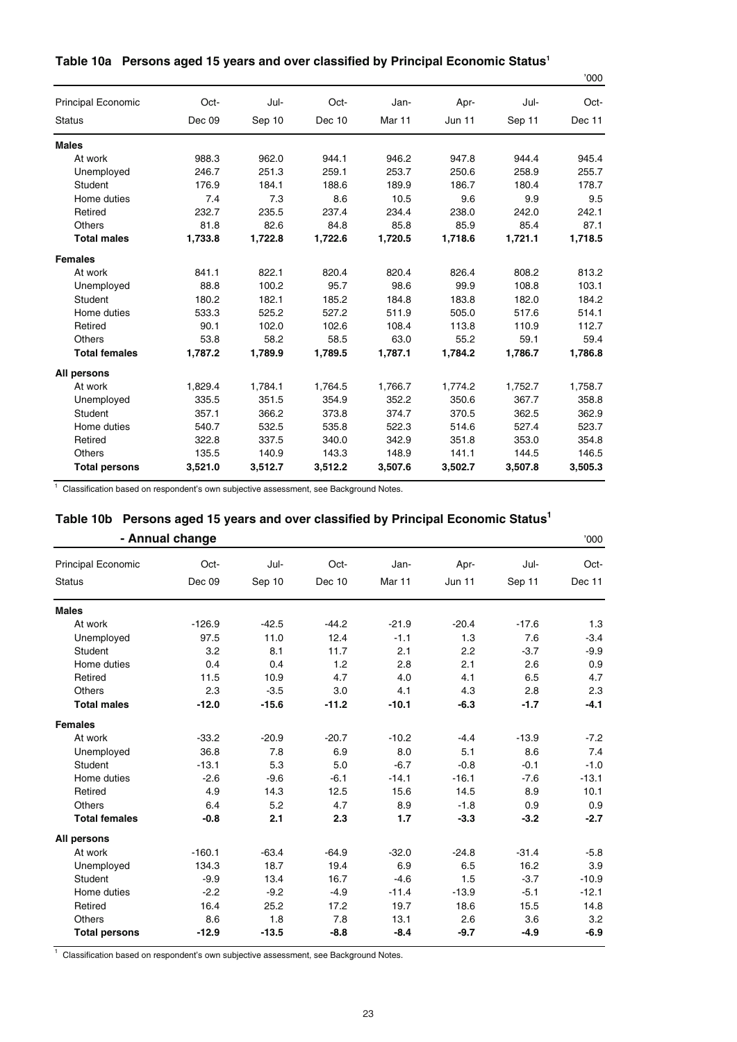|  |  |  |  | Table 10a Persons aged 15 years and over classified by Principal Economic Status1 |
|--|--|--|--|-----------------------------------------------------------------------------------|
|--|--|--|--|-----------------------------------------------------------------------------------|

|                           |         |         |         |                   |               |         | '000    |
|---------------------------|---------|---------|---------|-------------------|---------------|---------|---------|
| <b>Principal Economic</b> | Oct-    | Jul-    | Oct-    | Jan-              | Apr-          | Jul-    | Oct-    |
| <b>Status</b>             | Dec 09  | Sep 10  | Dec 10  | Mar <sub>11</sub> | <b>Jun 11</b> | Sep 11  | Dec 11  |
| <b>Males</b>              |         |         |         |                   |               |         |         |
| At work                   | 988.3   | 962.0   | 944.1   | 946.2             | 947.8         | 944.4   | 945.4   |
| Unemployed                | 246.7   | 251.3   | 259.1   | 253.7             | 250.6         | 258.9   | 255.7   |
| Student                   | 176.9   | 184.1   | 188.6   | 189.9             | 186.7         | 180.4   | 178.7   |
| Home duties               | 7.4     | 7.3     | 8.6     | 10.5              | 9.6           | 9.9     | 9.5     |
| Retired                   | 232.7   | 235.5   | 237.4   | 234.4             | 238.0         | 242.0   | 242.1   |
| Others                    | 81.8    | 82.6    | 84.8    | 85.8              | 85.9          | 85.4    | 87.1    |
| <b>Total males</b>        | 1,733.8 | 1,722.8 | 1,722.6 | 1,720.5           | 1,718.6       | 1,721.1 | 1,718.5 |
| <b>Females</b>            |         |         |         |                   |               |         |         |
| At work                   | 841.1   | 822.1   | 820.4   | 820.4             | 826.4         | 808.2   | 813.2   |
| Unemployed                | 88.8    | 100.2   | 95.7    | 98.6              | 99.9          | 108.8   | 103.1   |
| Student                   | 180.2   | 182.1   | 185.2   | 184.8             | 183.8         | 182.0   | 184.2   |
| Home duties               | 533.3   | 525.2   | 527.2   | 511.9             | 505.0         | 517.6   | 514.1   |
| Retired                   | 90.1    | 102.0   | 102.6   | 108.4             | 113.8         | 110.9   | 112.7   |
| Others                    | 53.8    | 58.2    | 58.5    | 63.0              | 55.2          | 59.1    | 59.4    |
| <b>Total females</b>      | 1.787.2 | 1.789.9 | 1,789.5 | 1,787.1           | 1.784.2       | 1,786.7 | 1,786.8 |
| All persons               |         |         |         |                   |               |         |         |
| At work                   | 1,829.4 | 1,784.1 | 1,764.5 | 1,766.7           | 1,774.2       | 1,752.7 | 1,758.7 |
| Unemployed                | 335.5   | 351.5   | 354.9   | 352.2             | 350.6         | 367.7   | 358.8   |
| Student                   | 357.1   | 366.2   | 373.8   | 374.7             | 370.5         | 362.5   | 362.9   |
| Home duties               | 540.7   | 532.5   | 535.8   | 522.3             | 514.6         | 527.4   | 523.7   |
| Retired                   | 322.8   | 337.5   | 340.0   | 342.9             | 351.8         | 353.0   | 354.8   |
| <b>Others</b>             | 135.5   | 140.9   | 143.3   | 148.9             | 141.1         | 144.5   | 146.5   |
| <b>Total persons</b>      | 3,521.0 | 3,512.7 | 3,512.2 | 3,507.6           | 3,502.7       | 3,507.8 | 3,505.3 |

<sup>1</sup> Classification based on respondent's own subjective assessment, see Background Notes.

# **Table 10b Persons aged 15 years and over classified by Principal Economic Status1**

|                           | - Annual change |         |         |         |         |         | '000    |
|---------------------------|-----------------|---------|---------|---------|---------|---------|---------|
| <b>Principal Economic</b> | Oct-            | Jul-    | Oct-    | Jan-    | Apr-    | Jul-    | Oct-    |
| <b>Status</b>             | Dec 09          | Sep 10  | Dec 10  | Mar 11  | Jun 11  | Sep 11  | Dec 11  |
| <b>Males</b>              |                 |         |         |         |         |         |         |
| At work                   | $-126.9$        | $-42.5$ | $-44.2$ | $-21.9$ | $-20.4$ | $-17.6$ | 1.3     |
| Unemployed                | 97.5            | 11.0    | 12.4    | $-1.1$  | 1.3     | 7.6     | $-3.4$  |
| Student                   | 3.2             | 8.1     | 11.7    | 2.1     | 2.2     | $-3.7$  | $-9.9$  |
| Home duties               | 0.4             | 0.4     | 1.2     | 2.8     | 2.1     | 2.6     | 0.9     |
| Retired                   | 11.5            | 10.9    | 4.7     | 4.0     | 4.1     | 6.5     | 4.7     |
| <b>Others</b>             | 2.3             | $-3.5$  | 3.0     | 4.1     | 4.3     | 2.8     | 2.3     |
| <b>Total males</b>        | $-12.0$         | $-15.6$ | $-11.2$ | $-10.1$ | $-6.3$  | $-1.7$  | $-4.1$  |
| <b>Females</b>            |                 |         |         |         |         |         |         |
| At work                   | $-33.2$         | $-20.9$ | $-20.7$ | $-10.2$ | $-4.4$  | $-13.9$ | $-7.2$  |
| Unemployed                | 36.8            | 7.8     | 6.9     | 8.0     | 5.1     | 8.6     | 7.4     |
| Student                   | $-13.1$         | 5.3     | 5.0     | $-6.7$  | $-0.8$  | $-0.1$  | $-1.0$  |
| Home duties               | $-2.6$          | $-9.6$  | $-6.1$  | $-14.1$ | $-16.1$ | $-7.6$  | $-13.1$ |
| Retired                   | 4.9             | 14.3    | 12.5    | 15.6    | 14.5    | 8.9     | 10.1    |
| <b>Others</b>             | 6.4             | 5.2     | 4.7     | 8.9     | $-1.8$  | 0.9     | 0.9     |
| <b>Total females</b>      | $-0.8$          | 2.1     | 2.3     | 1.7     | $-3.3$  | $-3.2$  | $-2.7$  |
| All persons               |                 |         |         |         |         |         |         |
| At work                   | $-160.1$        | $-63.4$ | $-64.9$ | $-32.0$ | $-24.8$ | $-31.4$ | $-5.8$  |
| Unemployed                | 134.3           | 18.7    | 19.4    | 6.9     | 6.5     | 16.2    | 3.9     |
| Student                   | $-9.9$          | 13.4    | 16.7    | $-4.6$  | 1.5     | $-3.7$  | $-10.9$ |
| Home duties               | $-2.2$          | $-9.2$  | $-4.9$  | $-11.4$ | $-13.9$ | $-5.1$  | $-12.1$ |
| Retired                   | 16.4            | 25.2    | 17.2    | 19.7    | 18.6    | 15.5    | 14.8    |
| <b>Others</b>             | 8.6             | 1.8     | 7.8     | 13.1    | 2.6     | 3.6     | 3.2     |
| <b>Total persons</b>      | $-12.9$         | $-13.5$ | $-8.8$  | $-8.4$  | $-9.7$  | $-4.9$  | $-6.9$  |

<sup>1</sup> Classification based on respondent's own subjective assessment, see Background Notes.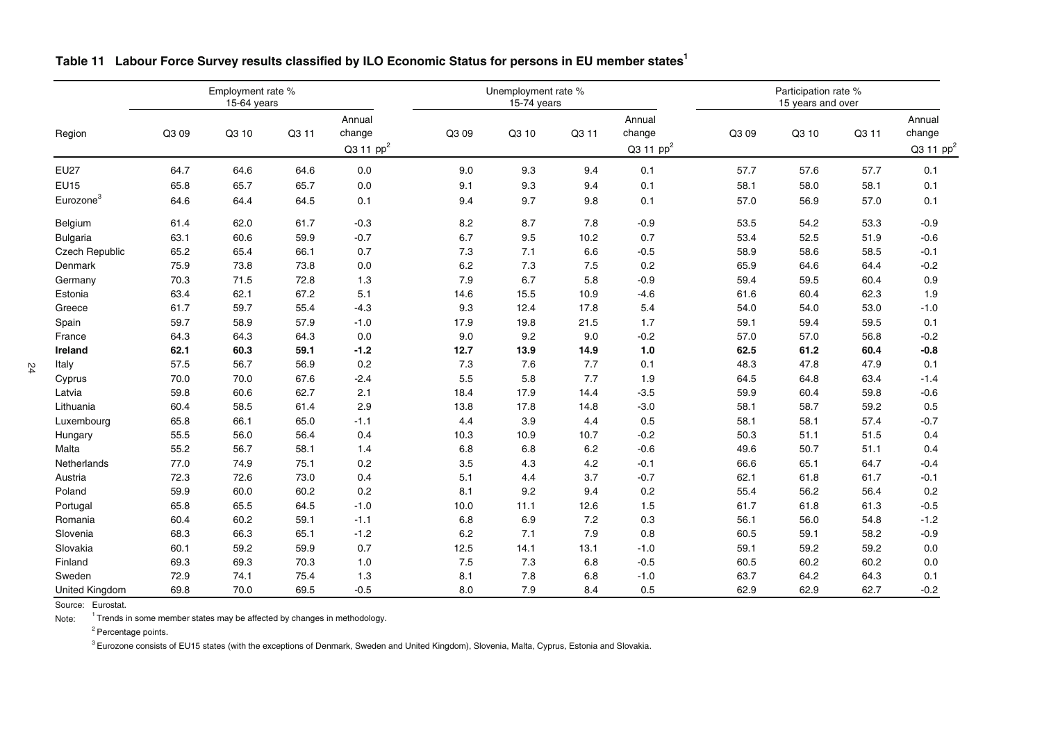|                       |       | Employment rate %<br>15-64 years |       |                                           |       | Unemployment rate %<br>15-74 years |       |                                           |       | Participation rate %<br>15 years and over<br>Annual<br>Q3 10<br>change<br>Q3 11 |      |                       |
|-----------------------|-------|----------------------------------|-------|-------------------------------------------|-------|------------------------------------|-------|-------------------------------------------|-------|---------------------------------------------------------------------------------|------|-----------------------|
| Region                | Q3 09 | Q3 10                            | Q3 11 | Annual<br>change<br>Q3 11 pp <sup>2</sup> | Q3 09 | Q3 10                              | Q3 11 | Annual<br>change<br>Q3 11 pp <sup>2</sup> | Q3 09 |                                                                                 |      | Q3 11 pp <sup>2</sup> |
| <b>EU27</b>           | 64.7  | 64.6                             | 64.6  | 0.0                                       | 9.0   | 9.3                                | 9.4   | 0.1                                       | 57.7  | 57.6                                                                            | 57.7 | 0.1                   |
| <b>EU15</b>           | 65.8  | 65.7                             | 65.7  | 0.0                                       | 9.1   | 9.3                                | 9.4   | 0.1                                       | 58.1  | 58.0                                                                            | 58.1 | 0.1                   |
| Eurozone <sup>3</sup> | 64.6  | 64.4                             | 64.5  | 0.1                                       | 9.4   | 9.7                                | 9.8   | 0.1                                       | 57.0  | 56.9                                                                            | 57.0 | 0.1                   |
| Belgium               | 61.4  | 62.0                             | 61.7  | $-0.3$                                    | 8.2   | 8.7                                | 7.8   | $-0.9$                                    | 53.5  | 54.2                                                                            | 53.3 | $-0.9$                |
| <b>Bulgaria</b>       | 63.1  | 60.6                             | 59.9  | $-0.7$                                    | 6.7   | 9.5                                | 10.2  | 0.7                                       | 53.4  | 52.5                                                                            | 51.9 | $-0.6$                |
| Czech Republic        | 65.2  | 65.4                             | 66.1  | 0.7                                       | 7.3   | 7.1                                | 6.6   | $-0.5$                                    | 58.9  | 58.6                                                                            | 58.5 | $-0.1$                |
| Denmark               | 75.9  | 73.8                             | 73.8  | 0.0                                       | 6.2   | 7.3                                | 7.5   | 0.2                                       | 65.9  | 64.6                                                                            | 64.4 | $-0.2$                |
| Germany               | 70.3  | 71.5                             | 72.8  | 1.3                                       | 7.9   | 6.7                                | 5.8   | $-0.9$                                    | 59.4  | 59.5                                                                            | 60.4 | 0.9                   |
| Estonia               | 63.4  | 62.1                             | 67.2  | 5.1                                       | 14.6  | 15.5                               | 10.9  | $-4.6$                                    | 61.6  | 60.4                                                                            | 62.3 | 1.9                   |
| Greece                | 61.7  | 59.7                             | 55.4  | $-4.3$                                    | 9.3   | 12.4                               | 17.8  | 5.4                                       | 54.0  | 54.0                                                                            | 53.0 | $-1.0$                |
| Spain                 | 59.7  | 58.9                             | 57.9  | $-1.0$                                    | 17.9  | 19.8                               | 21.5  | 1.7                                       | 59.1  | 59.4                                                                            | 59.5 | 0.1                   |
| France                | 64.3  | 64.3                             | 64.3  | 0.0                                       | 9.0   | 9.2                                | 9.0   | $-0.2$                                    | 57.0  | 57.0                                                                            | 56.8 | $-0.2$                |
| Ireland               | 62.1  | 60.3                             | 59.1  | $-1.2$                                    | 12.7  | 13.9                               | 14.9  | $1.0$                                     | 62.5  | 61.2                                                                            | 60.4 | $-0.8$                |
| Italy                 | 57.5  | 56.7                             | 56.9  | 0.2                                       | 7.3   | 7.6                                | 7.7   | 0.1                                       | 48.3  | 47.8                                                                            | 47.9 | 0.1                   |
| Cyprus                | 70.0  | 70.0                             | 67.6  | $-2.4$                                    | 5.5   | 5.8                                | 7.7   | 1.9                                       | 64.5  | 64.8                                                                            | 63.4 | $-1.4$                |
| Latvia                | 59.8  | 60.6                             | 62.7  | 2.1                                       | 18.4  | 17.9                               | 14.4  | $-3.5$                                    | 59.9  | 60.4                                                                            | 59.8 | $-0.6$                |
| Lithuania             | 60.4  | 58.5                             | 61.4  | 2.9                                       | 13.8  | 17.8                               | 14.8  | $-3.0$                                    | 58.1  | 58.7                                                                            | 59.2 | 0.5                   |
| Luxembourg            | 65.8  | 66.1                             | 65.0  | $-1.1$                                    | 4.4   | 3.9                                | 4.4   | 0.5                                       | 58.1  | 58.1                                                                            | 57.4 | $-0.7$                |
| Hungary               | 55.5  | 56.0                             | 56.4  | 0.4                                       | 10.3  | 10.9                               | 10.7  | $-0.2$                                    | 50.3  | 51.1                                                                            | 51.5 | 0.4                   |
| Malta                 | 55.2  | 56.7                             | 58.1  | 1.4                                       | 6.8   | 6.8                                | 6.2   | $-0.6$                                    | 49.6  | 50.7                                                                            | 51.1 | 0.4                   |
| Netherlands           | 77.0  | 74.9                             | 75.1  | 0.2                                       | 3.5   | 4.3                                | 4.2   | $-0.1$                                    | 66.6  | 65.1                                                                            | 64.7 | $-0.4$                |
| Austria               | 72.3  | 72.6                             | 73.0  | 0.4                                       | 5.1   | 4.4                                | 3.7   | $-0.7$                                    | 62.1  | 61.8                                                                            | 61.7 | $-0.1$                |
| Poland                | 59.9  | 60.0                             | 60.2  | 0.2                                       | 8.1   | 9.2                                | 9.4   | 0.2                                       | 55.4  | 56.2                                                                            | 56.4 | 0.2                   |
| Portugal              | 65.8  | 65.5                             | 64.5  | $-1.0$                                    | 10.0  | 11.1                               | 12.6  | 1.5                                       | 61.7  | 61.8                                                                            | 61.3 | $-0.5$                |
| Romania               | 60.4  | 60.2                             | 59.1  | $-1.1$                                    | 6.8   | 6.9                                | 7.2   | 0.3                                       | 56.1  | 56.0                                                                            | 54.8 | $-1.2$                |
| Slovenia              | 68.3  | 66.3                             | 65.1  | $-1.2$                                    | 6.2   | 7.1                                | 7.9   | 0.8                                       | 60.5  | 59.1                                                                            | 58.2 | $-0.9$                |
| Slovakia              | 60.1  | 59.2                             | 59.9  | 0.7                                       | 12.5  | 14.1                               | 13.1  | $-1.0$                                    | 59.1  | 59.2                                                                            | 59.2 | 0.0                   |
| Finland               | 69.3  | 69.3                             | 70.3  | 1.0                                       | 7.5   | 7.3                                | 6.8   | $-0.5$                                    | 60.5  | 60.2                                                                            | 60.2 | 0.0                   |
| Sweden                | 72.9  | 74.1                             | 75.4  | 1.3                                       | 8.1   | 7.8                                | 6.8   | $-1.0$                                    | 63.7  | 64.2                                                                            | 64.3 | 0.1                   |
| <b>United Kingdom</b> | 69.8  | 70.0                             | 69.5  | $-0.5$                                    | 8.0   | 7.9                                | 8.4   | 0.5                                       | 62.9  | 62.9                                                                            | 62.7 | $-0.2$                |

#### Table 11 Labour Force Survey results classified by ILO Economic Status for persons in EU member states<sup>1</sup>

Source: Eurostat.

Note: $1$  Trends in some member states may be affected by changes in methodology.

<sup>2</sup> Percentage points.

 $^3$  Eurozone consists of EU15 states (with the exceptions of Denmark, Sweden and United Kingdom), Slovenia, Malta, Cyprus, Estonia and Slovakia.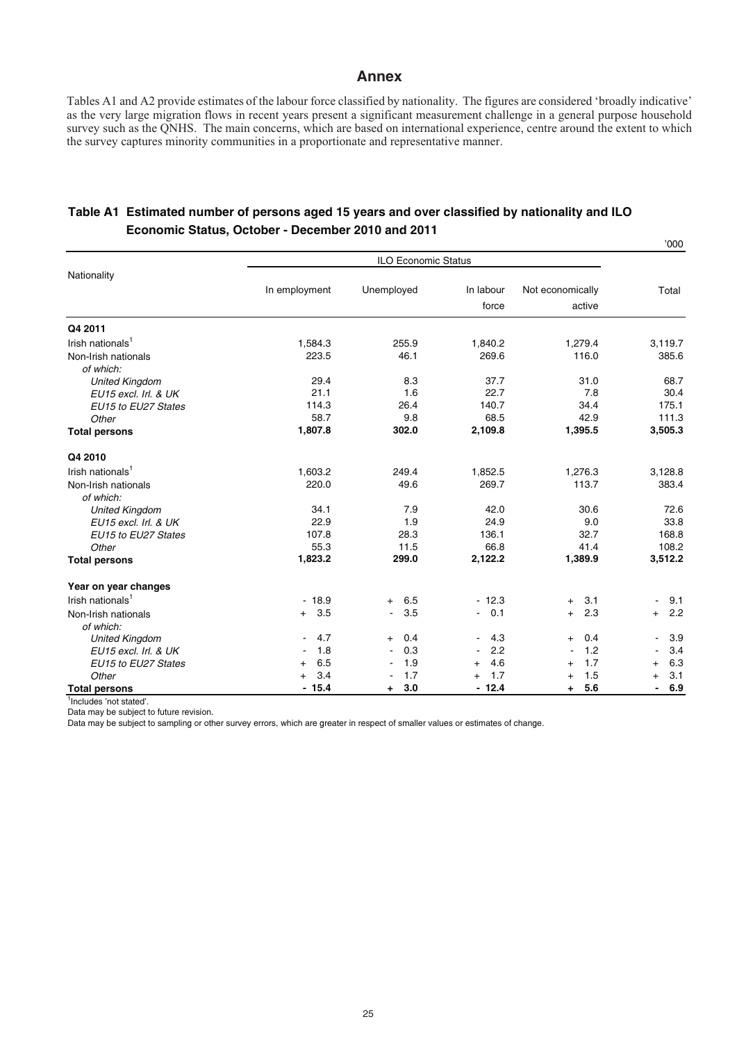#### **Annex**

Tables A1 and A2 provide estimates of the labour force classified by nationality. The figures are considered 'broadly indicative' as the very large migration flows in recent years present a significant measurement challenge in a general purpose household survey such as the QNHS. The main concerns, which are based on international experience, centre around the extent to which the survey captures minority communities in a proportionate and representative manner.

'000

|                              |                       | <b>ILO Economic Status</b>      |                       |                  | ννν                             |
|------------------------------|-----------------------|---------------------------------|-----------------------|------------------|---------------------------------|
| Nationality                  |                       |                                 |                       |                  |                                 |
|                              | In employment         | Unemployed                      | In labour             | Not economically | Total                           |
|                              |                       |                                 | force                 | active           |                                 |
| Q4 2011                      |                       |                                 |                       |                  |                                 |
| Irish nationals <sup>1</sup> | 1,584.3               | 255.9                           | 1,840.2               | 1,279.4          | 3,119.7                         |
| Non-Irish nationals          | 223.5                 | 46.1                            | 269.6                 | 116.0            | 385.6                           |
| of which:                    |                       |                                 |                       |                  |                                 |
| <b>United Kingdom</b>        | 29.4                  | 8.3                             | 37.7                  | 31.0             | 68.7                            |
| EU15 excl. Irl. & UK         | 21.1                  | 1.6                             | 22.7                  | 7.8              | 30.4                            |
| EU15 to EU27 States          | 114.3                 | 26.4                            | 140.7                 | 34.4             | 175.1                           |
| Other                        | 58.7                  | 9.8                             | 68.5                  | 42.9             | 111.3                           |
| <b>Total persons</b>         | 1,807.8               | 302.0                           | 2,109.8               | 1,395.5          | 3,505.3                         |
| Q4 2010                      |                       |                                 |                       |                  |                                 |
| Irish nationals <sup>1</sup> | 1,603.2               | 249.4                           | 1,852.5               | 1,276.3          | 3,128.8                         |
| Non-Irish nationals          | 220.0                 | 49.6                            | 269.7                 | 113.7            | 383.4                           |
| of which:                    |                       |                                 |                       |                  |                                 |
| <b>United Kingdom</b>        | 34.1                  | 7.9                             | 42.0                  | 30.6             | 72.6                            |
| EU15 excl. Irl. & UK         | 22.9                  | 1.9                             | 24.9                  | 9.0              | 33.8                            |
| EU15 to EU27 States          | 107.8                 | 28.3                            | 136.1                 | 32.7             | 168.8                           |
| Other                        | 55.3                  | 11.5                            | 66.8                  | 41.4             | 108.2                           |
| <b>Total persons</b>         | 1,823.2               | 299.0                           | 2,122.2               | 1,389.9          | 3,512.2                         |
| Year on year changes         |                       |                                 |                       |                  |                                 |
| Irish nationals <sup>1</sup> | $-18.9$               | 6.5<br>$+$                      | $-12.3$               | 3.1<br>$+$       | 9.1<br>$\blacksquare$           |
| Non-Irish nationals          | 3.5<br>$+$            | 3.5<br>$\blacksquare$           | 0.1<br>$\sim$         | 2.3<br>$^{+}$    | 2.2<br>$^{+}$                   |
| of which:                    |                       |                                 |                       |                  |                                 |
| <b>United Kingdom</b>        | 4.7                   | 0.4<br>$^{+}$                   | 4.3<br>۰              | 0.4<br>$^{+}$    | 3.9                             |
| EU15 excl. Irl. & UK         | 1.8                   | 0.3<br>$\overline{\phantom{a}}$ | 2.2<br>$\sim$         | 1.2              | 3.4                             |
| EU15 to EU27 States          | 6.5<br>$^{+}$         | 1.9                             | 4.6<br>$^{+}$         | 1.7<br>$^{+}$    | 6.3<br>$\ddot{}$                |
| Other                        | 3.4<br>$\overline{+}$ | 1.7                             | 1.7<br>$\overline{+}$ | 1.5<br>$\ddot{}$ | 3.1<br>$^{+}$                   |
| <b>Total persons</b>         | $-15.4$               | 3.0<br>٠.                       | $-12.4$               | 5.6<br>$\ddot{}$ | 6.9<br>$\overline{\phantom{a}}$ |

#### **Table A1 Estimated number of persons aged 15 years and over classified by nationality and ILO Economic Status, October - December 2010 and 2011**

<sup>1</sup>Includes 'not stated'.

Data may be subject to future revision.

Data may be subject to sampling or other survey errors, which are greater in respect of smaller values or estimates of change.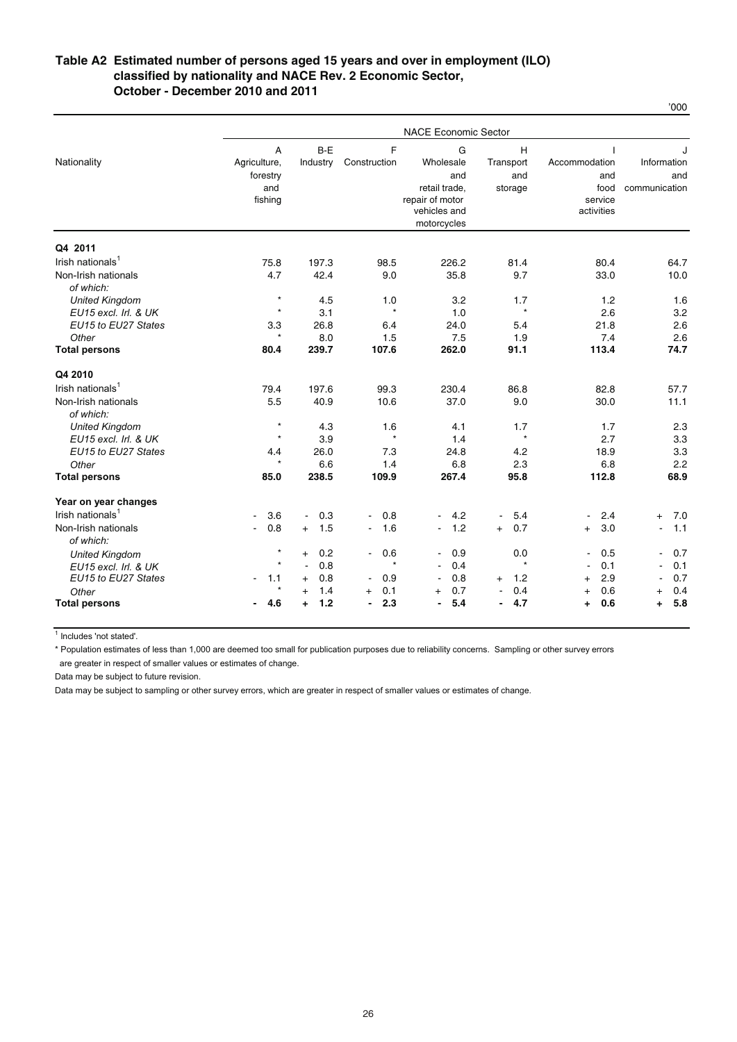#### **October - December 2010 and 2011 Table A2 Estimated number of persons aged 15 years and over in employment (ILO) classified by nationality and NACE Rev. 2 Economic Sector,**

|                                  |                                |                       |                       | <b>NACE Economic Sector</b> |                       |                                           |                       |
|----------------------------------|--------------------------------|-----------------------|-----------------------|-----------------------------|-----------------------|-------------------------------------------|-----------------------|
| Nationality                      | $\overline{A}$<br>Agriculture, | $B-E$<br>Industry     | F<br>Construction     | G<br>Wholesale              | H<br>Transport        | $\overline{\phantom{a}}$<br>Accommodation | Information           |
|                                  | forestry                       |                       |                       | and                         | and                   | and                                       | and                   |
|                                  | and                            |                       |                       | retail trade.               | storage               | food                                      | communication         |
|                                  | fishing                        |                       |                       | repair of motor             |                       | service                                   |                       |
|                                  |                                |                       |                       | vehicles and<br>motorcycles |                       | activities                                |                       |
| Q4 2011                          |                                |                       |                       |                             |                       |                                           |                       |
| Irish nationals <sup>1</sup>     | 75.8                           | 197.3                 | 98.5                  | 226.2                       | 81.4                  | 80.4                                      | 64.7                  |
| Non-Irish nationals              | 4.7                            | 42.4                  | 9.0                   | 35.8                        | 9.7                   | 33.0                                      | 10.0                  |
| of which:                        |                                |                       |                       |                             |                       |                                           |                       |
| <b>United Kingdom</b>            | $\star$                        | 4.5                   | 1.0                   | 3.2                         | 1.7                   | 1.2                                       | 1.6                   |
| EU15 excl. Irl. & UK             | $\star$                        | 3.1                   | $\star$               | 1.0                         | $\star$               | 2.6                                       | 3.2                   |
| EU15 to EU27 States              | 3.3                            | 26.8                  | 6.4                   | 24.0                        | 5.4                   | 21.8                                      | 2.6                   |
| Other                            | $^{\star}$                     | 8.0                   | 1.5                   | 7.5                         | 1.9                   | 7.4                                       | 2.6                   |
| <b>Total persons</b>             | 80.4                           | 239.7                 | 107.6                 | 262.0                       | 91.1                  | 113.4                                     | 74.7                  |
| Q4 2010                          |                                |                       |                       |                             |                       |                                           |                       |
| Irish nationals <sup>1</sup>     | 79.4                           | 197.6                 | 99.3                  | 230.4                       | 86.8                  | 82.8                                      | 57.7                  |
| Non-Irish nationals              | 5.5                            | 40.9                  | 10.6                  | 37.0                        | 9.0                   | 30.0                                      | 11.1                  |
| of which:                        |                                |                       |                       |                             |                       |                                           |                       |
| <b>United Kingdom</b>            | $\star$                        | 4.3                   | 1.6                   | 4.1                         | 1.7                   | 1.7                                       | 2.3                   |
| EU15 excl. Irl. & UK             | $\star$                        | 3.9                   | $\star$               | 1.4                         | $\star$               | 2.7                                       | 3.3                   |
| EU15 to EU27 States              | 4.4                            | 26.0                  | 7.3                   | 24.8                        | 4.2                   | 18.9                                      | 3.3                   |
| Other                            | $\star$                        | 6.6                   | 1.4                   | 6.8                         | 2.3                   | 6.8                                       | 2.2                   |
| <b>Total persons</b>             | 85.0                           | 238.5                 | 109.9                 | 267.4                       | 95.8                  | 112.8                                     | 68.9                  |
| Year on year changes             |                                |                       |                       |                             |                       |                                           |                       |
| Irish nationals <sup>1</sup>     | 3.6<br>$\blacksquare$          | 0.3<br>$\blacksquare$ | 0.8<br>$\blacksquare$ | 4.2<br>$\blacksquare$       | 5.4<br>$\blacksquare$ | 2.4<br>$\blacksquare$                     | 7.0<br>$\ddot{}$      |
| Non-Irish nationals<br>of which: | 0.8<br>$\blacksquare$          | 1.5<br>$+$            | 1.6<br>$\blacksquare$ | 1.2<br>$\blacksquare$       | 0.7<br>$+$            | 3.0<br>$\ddot{}$                          | 1.1<br>$\overline{a}$ |
| <b>United Kingdom</b>            | $\star$                        | 0.2<br>$+$            | 0.6<br>$\blacksquare$ | 0.9<br>$\blacksquare$       | 0.0                   | 0.5<br>$\blacksquare$                     | 0.7<br>$\overline{a}$ |
| EU15 excl. Irl. & UK             | $\star$                        | 0.8<br>$\blacksquare$ | $\star$               | 0.4<br>$\blacksquare$       | $\star$               | 0.1                                       | 0.1<br>$\overline{a}$ |
| EU15 to EU27 States              | 1.1<br>$\blacksquare$          | 0.8<br>$+$            | 0.9<br>$\sim$         | 0.8                         | 1.2<br>$^{+}$         | 2.9<br>$\ddot{}$                          | 0.7                   |
| Other                            | $\star$                        | 1.4<br>$+$            | 0.1<br>$+$            | 0.7<br>$+$                  | 0.4                   | 0.6<br>$+$                                | 0.4<br>$^{+}$         |
| <b>Total persons</b>             | 4.6                            | 1.2<br>÷              | 2.3<br>$\blacksquare$ | 5.4                         | 4.7<br>$\blacksquare$ | 0.6<br>÷                                  | 5.8<br>÷.             |

<sup>1</sup> Includes 'not stated'.

\* Population estimates of less than 1,000 are deemed too small for publication purposes due to reliability concerns. Sampling or other survey errors

are greater in respect of smaller values or estimates of change.

Data may be subject to future revision.

Data may be subject to sampling or other survey errors, which are greater in respect of smaller values or estimates of change.

'000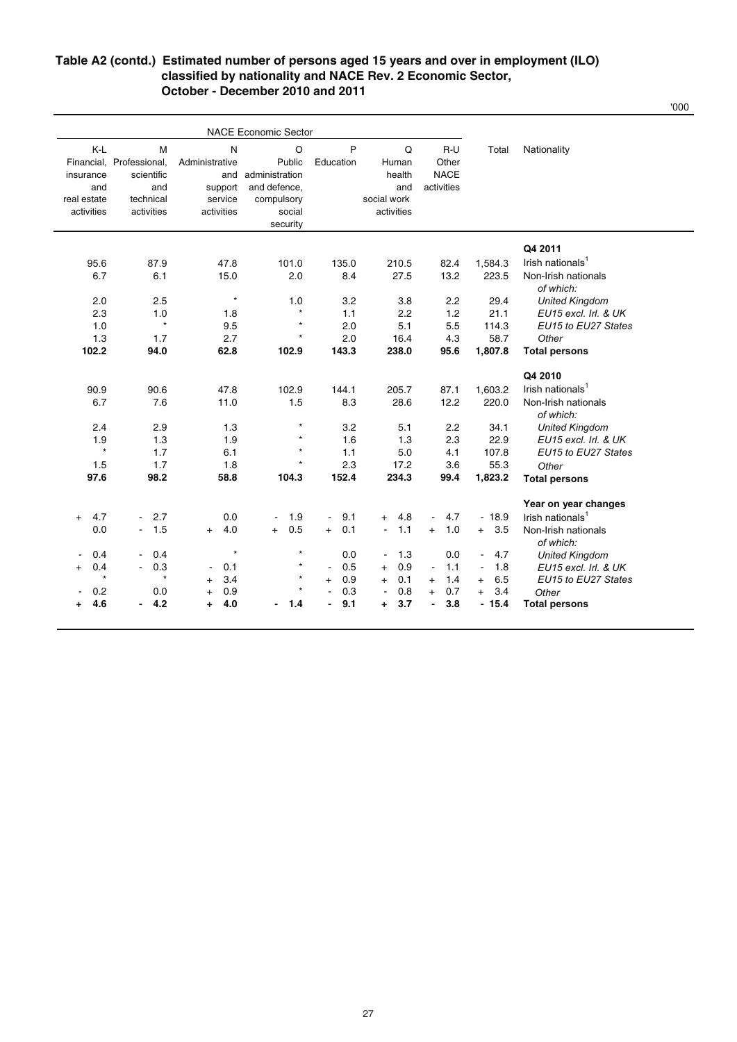#### **Table A2 (contd.) Estimated number of persons aged 15 years and over in employment (ILO) classified by nationality and NACE Rev. 2 Economic Sector, October - December 2010 and 2011**

'000

| P<br>K-L<br>N<br>O<br>Q<br>$R-U$<br>Nationality<br>М<br>Total<br>Financial, Professional,<br>Public<br>Education<br>Administrative<br>Human<br>Other<br><b>NACE</b><br>health<br>scientific<br>and administration<br>insurance<br>activities<br>support<br>and defence,<br>and<br>and<br>and<br>real estate<br>technical<br>service<br>compulsory<br>social work<br>activities<br>activities<br>activities<br>activities<br>social<br>security<br>Q4 2011<br>Irish nationals <sup>1</sup><br>1,584.3<br>95.6<br>87.9<br>47.8<br>101.0<br>135.0<br>210.5<br>82.4<br>6.7<br>6.1<br>15.0<br>2.0<br>8.4<br>27.5<br>13.2<br>223.5<br>Non-Irish nationals<br>of which:<br>$\star$<br>3.2<br>29.4<br>2.0<br>2.5<br>1.0<br>3.8<br>2.2<br><b>United Kingdom</b><br>$\star$<br>2.3<br>1.1<br>2.2<br>1.2<br>21.1<br>EU15 excl. Irl. & UK<br>1.0<br>1.8<br>$\star$<br>$\star$<br>2.0<br>5.1<br>5.5<br>EU15 to EU27 States<br>1.0<br>9.5<br>114.3<br>$\star$<br>2.7<br>2.0<br>4.3<br>58.7<br>Other<br>1.3<br>1.7<br>16.4<br>102.2<br>62.8<br>143.3<br>94.0<br>102.9<br>238.0<br>95.6<br>1,807.8<br><b>Total persons</b><br>Q4 2010<br>Irish nationals <sup>1</sup><br>90.9<br>90.6<br>47.8<br>102.9<br>144.1<br>205.7<br>87.1<br>1,603.2<br>12.2<br>220.0<br>Non-Irish nationals<br>6.7<br>7.6<br>11.0<br>1.5<br>8.3<br>28.6<br>of which:<br>$\star$<br>2.4<br>2.9<br>1.3<br>3.2<br>5.1<br>2.2<br>34.1<br><b>United Kingdom</b><br>$\star$<br>1.3<br>2.3<br>22.9<br>1.9<br>1.3<br>1.9<br>1.6<br>EU15 excl. Irl. & UK<br>$\star$<br>$\star$<br>1.1<br>1.7<br>6.1<br>5.0<br>4.1<br>107.8<br>EU15 to EU27 States<br>$\star$<br>2.3<br>55.3<br>1.5<br>1.7<br>1.8<br>17.2<br>3.6<br>Other<br>97.6<br>98.2<br>58.8<br>104.3<br>152.4<br>234.3<br>99.4<br>1,823.2<br><b>Total persons</b> |  | <b>NACE Economic Sector</b> |  |  |                      |
|-----------------------------------------------------------------------------------------------------------------------------------------------------------------------------------------------------------------------------------------------------------------------------------------------------------------------------------------------------------------------------------------------------------------------------------------------------------------------------------------------------------------------------------------------------------------------------------------------------------------------------------------------------------------------------------------------------------------------------------------------------------------------------------------------------------------------------------------------------------------------------------------------------------------------------------------------------------------------------------------------------------------------------------------------------------------------------------------------------------------------------------------------------------------------------------------------------------------------------------------------------------------------------------------------------------------------------------------------------------------------------------------------------------------------------------------------------------------------------------------------------------------------------------------------------------------------------------------------------------------------------------------------------------------------------------------------------------------------------------------------------------------------|--|-----------------------------|--|--|----------------------|
|                                                                                                                                                                                                                                                                                                                                                                                                                                                                                                                                                                                                                                                                                                                                                                                                                                                                                                                                                                                                                                                                                                                                                                                                                                                                                                                                                                                                                                                                                                                                                                                                                                                                                                                                                                       |  |                             |  |  |                      |
|                                                                                                                                                                                                                                                                                                                                                                                                                                                                                                                                                                                                                                                                                                                                                                                                                                                                                                                                                                                                                                                                                                                                                                                                                                                                                                                                                                                                                                                                                                                                                                                                                                                                                                                                                                       |  |                             |  |  |                      |
|                                                                                                                                                                                                                                                                                                                                                                                                                                                                                                                                                                                                                                                                                                                                                                                                                                                                                                                                                                                                                                                                                                                                                                                                                                                                                                                                                                                                                                                                                                                                                                                                                                                                                                                                                                       |  |                             |  |  |                      |
|                                                                                                                                                                                                                                                                                                                                                                                                                                                                                                                                                                                                                                                                                                                                                                                                                                                                                                                                                                                                                                                                                                                                                                                                                                                                                                                                                                                                                                                                                                                                                                                                                                                                                                                                                                       |  |                             |  |  |                      |
|                                                                                                                                                                                                                                                                                                                                                                                                                                                                                                                                                                                                                                                                                                                                                                                                                                                                                                                                                                                                                                                                                                                                                                                                                                                                                                                                                                                                                                                                                                                                                                                                                                                                                                                                                                       |  |                             |  |  |                      |
|                                                                                                                                                                                                                                                                                                                                                                                                                                                                                                                                                                                                                                                                                                                                                                                                                                                                                                                                                                                                                                                                                                                                                                                                                                                                                                                                                                                                                                                                                                                                                                                                                                                                                                                                                                       |  |                             |  |  |                      |
|                                                                                                                                                                                                                                                                                                                                                                                                                                                                                                                                                                                                                                                                                                                                                                                                                                                                                                                                                                                                                                                                                                                                                                                                                                                                                                                                                                                                                                                                                                                                                                                                                                                                                                                                                                       |  |                             |  |  |                      |
|                                                                                                                                                                                                                                                                                                                                                                                                                                                                                                                                                                                                                                                                                                                                                                                                                                                                                                                                                                                                                                                                                                                                                                                                                                                                                                                                                                                                                                                                                                                                                                                                                                                                                                                                                                       |  |                             |  |  |                      |
|                                                                                                                                                                                                                                                                                                                                                                                                                                                                                                                                                                                                                                                                                                                                                                                                                                                                                                                                                                                                                                                                                                                                                                                                                                                                                                                                                                                                                                                                                                                                                                                                                                                                                                                                                                       |  |                             |  |  |                      |
|                                                                                                                                                                                                                                                                                                                                                                                                                                                                                                                                                                                                                                                                                                                                                                                                                                                                                                                                                                                                                                                                                                                                                                                                                                                                                                                                                                                                                                                                                                                                                                                                                                                                                                                                                                       |  |                             |  |  |                      |
|                                                                                                                                                                                                                                                                                                                                                                                                                                                                                                                                                                                                                                                                                                                                                                                                                                                                                                                                                                                                                                                                                                                                                                                                                                                                                                                                                                                                                                                                                                                                                                                                                                                                                                                                                                       |  |                             |  |  |                      |
|                                                                                                                                                                                                                                                                                                                                                                                                                                                                                                                                                                                                                                                                                                                                                                                                                                                                                                                                                                                                                                                                                                                                                                                                                                                                                                                                                                                                                                                                                                                                                                                                                                                                                                                                                                       |  |                             |  |  |                      |
|                                                                                                                                                                                                                                                                                                                                                                                                                                                                                                                                                                                                                                                                                                                                                                                                                                                                                                                                                                                                                                                                                                                                                                                                                                                                                                                                                                                                                                                                                                                                                                                                                                                                                                                                                                       |  |                             |  |  |                      |
|                                                                                                                                                                                                                                                                                                                                                                                                                                                                                                                                                                                                                                                                                                                                                                                                                                                                                                                                                                                                                                                                                                                                                                                                                                                                                                                                                                                                                                                                                                                                                                                                                                                                                                                                                                       |  |                             |  |  |                      |
|                                                                                                                                                                                                                                                                                                                                                                                                                                                                                                                                                                                                                                                                                                                                                                                                                                                                                                                                                                                                                                                                                                                                                                                                                                                                                                                                                                                                                                                                                                                                                                                                                                                                                                                                                                       |  |                             |  |  |                      |
|                                                                                                                                                                                                                                                                                                                                                                                                                                                                                                                                                                                                                                                                                                                                                                                                                                                                                                                                                                                                                                                                                                                                                                                                                                                                                                                                                                                                                                                                                                                                                                                                                                                                                                                                                                       |  |                             |  |  |                      |
|                                                                                                                                                                                                                                                                                                                                                                                                                                                                                                                                                                                                                                                                                                                                                                                                                                                                                                                                                                                                                                                                                                                                                                                                                                                                                                                                                                                                                                                                                                                                                                                                                                                                                                                                                                       |  |                             |  |  |                      |
|                                                                                                                                                                                                                                                                                                                                                                                                                                                                                                                                                                                                                                                                                                                                                                                                                                                                                                                                                                                                                                                                                                                                                                                                                                                                                                                                                                                                                                                                                                                                                                                                                                                                                                                                                                       |  |                             |  |  |                      |
|                                                                                                                                                                                                                                                                                                                                                                                                                                                                                                                                                                                                                                                                                                                                                                                                                                                                                                                                                                                                                                                                                                                                                                                                                                                                                                                                                                                                                                                                                                                                                                                                                                                                                                                                                                       |  |                             |  |  |                      |
|                                                                                                                                                                                                                                                                                                                                                                                                                                                                                                                                                                                                                                                                                                                                                                                                                                                                                                                                                                                                                                                                                                                                                                                                                                                                                                                                                                                                                                                                                                                                                                                                                                                                                                                                                                       |  |                             |  |  |                      |
|                                                                                                                                                                                                                                                                                                                                                                                                                                                                                                                                                                                                                                                                                                                                                                                                                                                                                                                                                                                                                                                                                                                                                                                                                                                                                                                                                                                                                                                                                                                                                                                                                                                                                                                                                                       |  |                             |  |  |                      |
|                                                                                                                                                                                                                                                                                                                                                                                                                                                                                                                                                                                                                                                                                                                                                                                                                                                                                                                                                                                                                                                                                                                                                                                                                                                                                                                                                                                                                                                                                                                                                                                                                                                                                                                                                                       |  |                             |  |  |                      |
|                                                                                                                                                                                                                                                                                                                                                                                                                                                                                                                                                                                                                                                                                                                                                                                                                                                                                                                                                                                                                                                                                                                                                                                                                                                                                                                                                                                                                                                                                                                                                                                                                                                                                                                                                                       |  |                             |  |  |                      |
|                                                                                                                                                                                                                                                                                                                                                                                                                                                                                                                                                                                                                                                                                                                                                                                                                                                                                                                                                                                                                                                                                                                                                                                                                                                                                                                                                                                                                                                                                                                                                                                                                                                                                                                                                                       |  |                             |  |  |                      |
|                                                                                                                                                                                                                                                                                                                                                                                                                                                                                                                                                                                                                                                                                                                                                                                                                                                                                                                                                                                                                                                                                                                                                                                                                                                                                                                                                                                                                                                                                                                                                                                                                                                                                                                                                                       |  |                             |  |  |                      |
|                                                                                                                                                                                                                                                                                                                                                                                                                                                                                                                                                                                                                                                                                                                                                                                                                                                                                                                                                                                                                                                                                                                                                                                                                                                                                                                                                                                                                                                                                                                                                                                                                                                                                                                                                                       |  |                             |  |  | Year on year changes |
| $-18.9$<br>Irish nationals <sup>1</sup><br>4.7<br>$-2.7$<br>0.0<br>1.9<br>9.1<br>4.8<br>4.7<br>$+$<br>$\blacksquare$<br>$+$<br>$\blacksquare$<br>$\blacksquare$                                                                                                                                                                                                                                                                                                                                                                                                                                                                                                                                                                                                                                                                                                                                                                                                                                                                                                                                                                                                                                                                                                                                                                                                                                                                                                                                                                                                                                                                                                                                                                                                       |  |                             |  |  |                      |
| 1.1<br>0.0<br>1.5<br>4.0<br>0.5<br>0.1<br>1.0<br>$+ 3.5$<br>$^{+}$<br>$+$<br>Non-Irish nationals<br>$+$<br>$\blacksquare$<br>$\blacksquare$<br>$+$                                                                                                                                                                                                                                                                                                                                                                                                                                                                                                                                                                                                                                                                                                                                                                                                                                                                                                                                                                                                                                                                                                                                                                                                                                                                                                                                                                                                                                                                                                                                                                                                                    |  |                             |  |  |                      |
| of which:                                                                                                                                                                                                                                                                                                                                                                                                                                                                                                                                                                                                                                                                                                                                                                                                                                                                                                                                                                                                                                                                                                                                                                                                                                                                                                                                                                                                                                                                                                                                                                                                                                                                                                                                                             |  |                             |  |  |                      |
| $\star$<br>$\star$<br>0.4<br>0.0<br>1.3<br>0.0<br>$-4.7$<br>0.4<br><b>United Kingdom</b><br>$\blacksquare$                                                                                                                                                                                                                                                                                                                                                                                                                                                                                                                                                                                                                                                                                                                                                                                                                                                                                                                                                                                                                                                                                                                                                                                                                                                                                                                                                                                                                                                                                                                                                                                                                                                            |  |                             |  |  |                      |
| 0.4<br>0.3<br>$\star$<br>0.5<br>0.9<br>0.1<br>1.1<br>1.8<br>$+$<br>$\sim$<br>$\blacksquare$<br>$\blacksquare$<br>EU15 excl. Irl. & UK<br>$^{+}$                                                                                                                                                                                                                                                                                                                                                                                                                                                                                                                                                                                                                                                                                                                                                                                                                                                                                                                                                                                                                                                                                                                                                                                                                                                                                                                                                                                                                                                                                                                                                                                                                       |  |                             |  |  |                      |
| $\star$<br>$\star$<br>$\star$<br>3.4<br>0.9<br>0.1<br>1.4<br>6.5<br>EU15 to EU27 States<br>$+$<br>$+$<br>$\ddot{}$<br>$+$<br>$\ddot{}$                                                                                                                                                                                                                                                                                                                                                                                                                                                                                                                                                                                                                                                                                                                                                                                                                                                                                                                                                                                                                                                                                                                                                                                                                                                                                                                                                                                                                                                                                                                                                                                                                                |  |                             |  |  |                      |
| $\star$<br>0.3<br>0.8<br>3.4<br>0.2<br>0.0<br>0.9<br>0.7<br>Other<br>$\blacksquare$<br>$+$<br>$+$                                                                                                                                                                                                                                                                                                                                                                                                                                                                                                                                                                                                                                                                                                                                                                                                                                                                                                                                                                                                                                                                                                                                                                                                                                                                                                                                                                                                                                                                                                                                                                                                                                                                     |  |                             |  |  |                      |
| 4.6<br>4.2<br>4.0<br>9.1<br>3.7<br>3.8<br>$-15.4$<br>1.4<br><b>Total persons</b><br>÷<br>÷<br>-<br>٠                                                                                                                                                                                                                                                                                                                                                                                                                                                                                                                                                                                                                                                                                                                                                                                                                                                                                                                                                                                                                                                                                                                                                                                                                                                                                                                                                                                                                                                                                                                                                                                                                                                                  |  |                             |  |  |                      |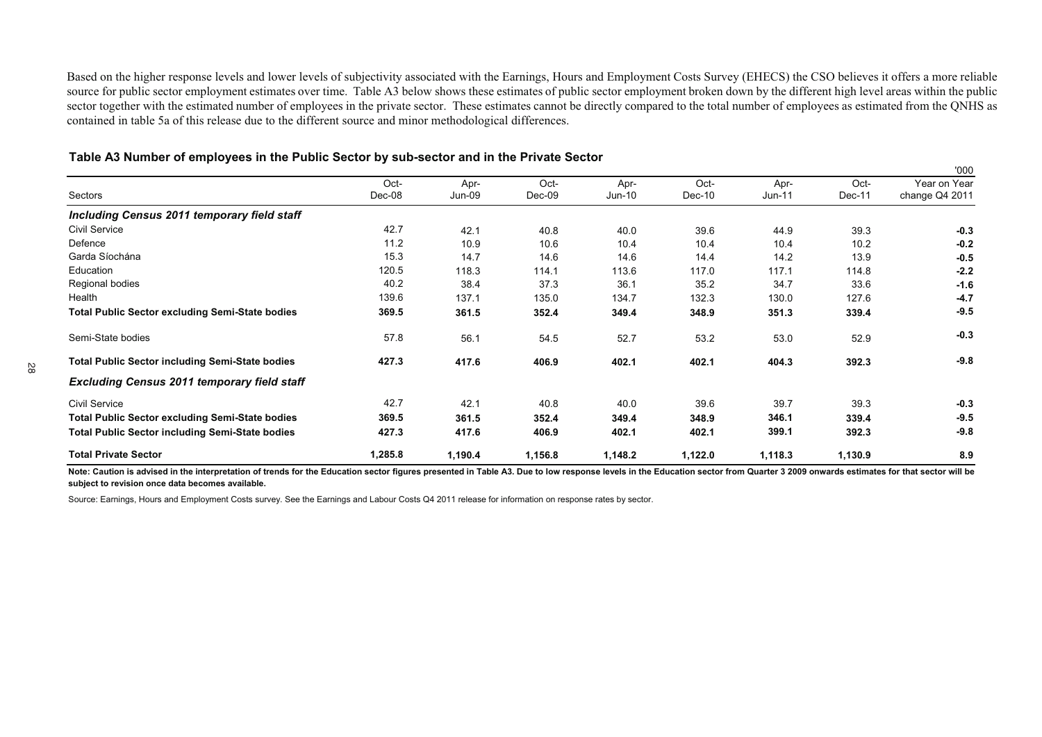Based on the higher response levels and lower levels of subjectivity associated with the Earnings, Hours and Employment Costs Survey (EHECS) the CSO believes it offers <sup>a</sup> more reliable source for public sector employment estimates over time. Table A3 below shows these estimates of public sector employment broken down by the different high level areas within the public sector together with the estimated number of employees in the private sector. These estimates cannot be directly compared to the total number of employees as estimated from the QNHS as contained in table 5a of this release due to the different source and minor methodological differences.

|                                                        |                |                |                |                  |                |                |                | '000                           |
|--------------------------------------------------------|----------------|----------------|----------------|------------------|----------------|----------------|----------------|--------------------------------|
| Sectors                                                | Oct-<br>Dec-08 | Apr-<br>Jun-09 | Oct-<br>Dec-09 | Apr-<br>$Jun-10$ | Oct-<br>Dec-10 | Apr-<br>Jun-11 | Oct-<br>Dec-11 | Year on Year<br>change Q4 2011 |
| Including Census 2011 temporary field staff            |                |                |                |                  |                |                |                |                                |
| Civil Service                                          | 42.7           | 42.1           | 40.8           | 40.0             | 39.6           | 44.9           | 39.3           | $-0.3$                         |
| Defence                                                | 11.2           | 10.9           | 10.6           | 10.4             | 10.4           | 10.4           | 10.2           | $-0.2$                         |
| Garda Síochána                                         | 15.3           | 14.7           | 14.6           | 14.6             | 14.4           | 14.2           | 13.9           | $-0.5$                         |
| Education                                              | 120.5          | 118.3          | 114.1          | 113.6            | 117.0          | 117.1          | 114.8          | $-2.2$                         |
| Regional bodies                                        | 40.2           | 38.4           | 37.3           | 36.1             | 35.2           | 34.7           | 33.6           | $-1.6$                         |
| Health                                                 | 139.6          | 137.1          | 135.0          | 134.7            | 132.3          | 130.0          | 127.6          | $-4.7$                         |
| <b>Total Public Sector excluding Semi-State bodies</b> | 369.5          | 361.5          | 352.4          | 349.4            | 348.9          | 351.3          | 339.4          | $-9.5$                         |
| Semi-State bodies                                      | 57.8           | 56.1           | 54.5           | 52.7             | 53.2           | 53.0           | 52.9           | $-0.3$                         |
| <b>Total Public Sector including Semi-State bodies</b> | 427.3          | 417.6          | 406.9          | 402.1            | 402.1          | 404.3          | 392.3          | $-9.8$                         |
| <b>Excluding Census 2011 temporary field staff</b>     |                |                |                |                  |                |                |                |                                |
| Civil Service                                          | 42.7           | 42.1           | 40.8           | 40.0             | 39.6           | 39.7           | 39.3           | $-0.3$                         |
| <b>Total Public Sector excluding Semi-State bodies</b> | 369.5          | 361.5          | 352.4          | 349.4            | 348.9          | 346.1          | 339.4          | $-9.5$                         |
| <b>Total Public Sector including Semi-State bodies</b> | 427.3          | 417.6          | 406.9          | 402.1            | 402.1          | 399.1          | 392.3          | $-9.8$                         |
| <b>Total Private Sector</b>                            | 1,285.8        | 1,190.4        | 1,156.8        | 1,148.2          | 1,122.0        | 1,118.3        | 1,130.9        | 8.9                            |

#### Table A3 Number of employees in the Public Sector by sub-sector and in the Private Sector

Note: Caution is advised in the interpretation of trends for the Education sector figures presented in Table A3. Due to low response levels in the Education sector from Quarter 3 2009 onwards estimates for that sector will **subject to revision once data becomes available.**

Source: Earnings, Hours and Employment Costs survey. See the Earnings and Labour Costs Q4 2011 release for information on response rates by sector.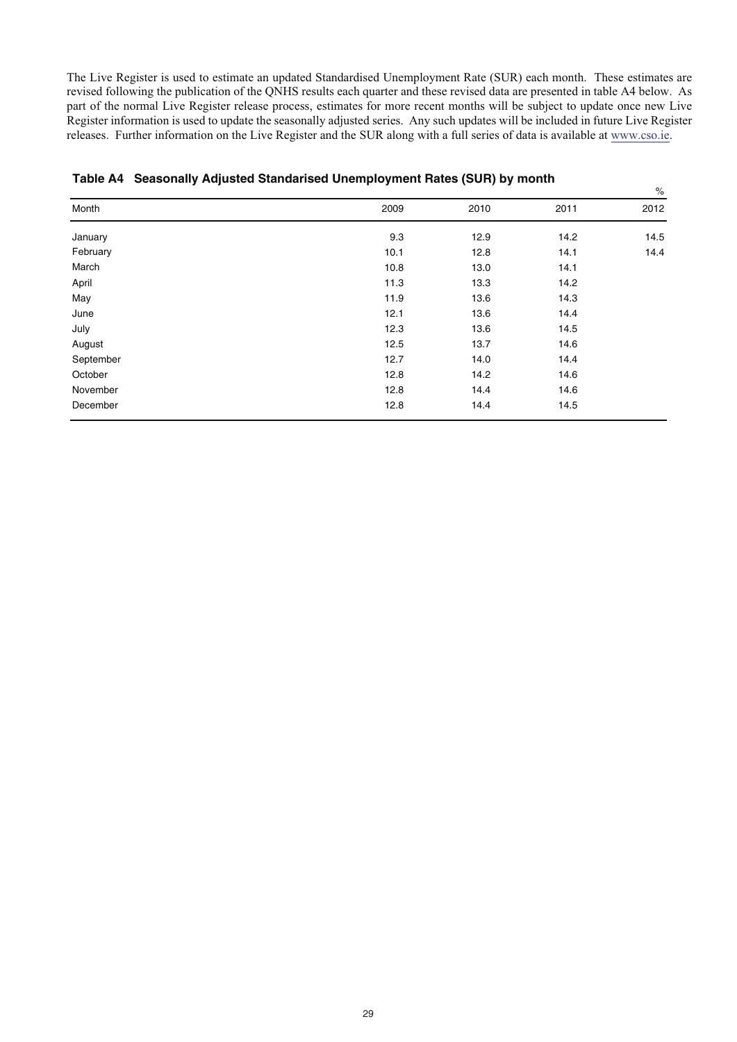The Live Register is used to estimate an updated Standardised Unemployment Rate (SUR) each month. These estimates are revised following the publication of the QNHS results each quarter and these revised data are presented in table A4 below. As part of the normal Live Register release process, estimates for more recent months will be subject to update once new Live Register information is used to update the seasonally adjusted series. Any such updates will be included in future Live Register releases. Further information on the Live Register and the SUR along with a full series of data is available at www.cso.ie.

 $\mathsf{o}$ 

| Month     | 2009 | 2010 | 2011 | $\sim$<br>2012 |
|-----------|------|------|------|----------------|
|           |      |      |      |                |
| January   | 9.3  | 12.9 | 14.2 | 14.5           |
| February  | 10.1 | 12.8 | 14.1 | 14.4           |
| March     | 10.8 | 13.0 | 14.1 |                |
| April     | 11.3 | 13.3 | 14.2 |                |
| May       | 11.9 | 13.6 | 14.3 |                |
| June      | 12.1 | 13.6 | 14.4 |                |
| July      | 12.3 | 13.6 | 14.5 |                |
| August    | 12.5 | 13.7 | 14.6 |                |
| September | 12.7 | 14.0 | 14.4 |                |
| October   | 12.8 | 14.2 | 14.6 |                |
| November  | 12.8 | 14.4 | 14.6 |                |
| December  | 12.8 | 14.4 | 14.5 |                |

#### **Table A4 Seasonally Adjusted Standarised Unemployment Rates (SUR) by month**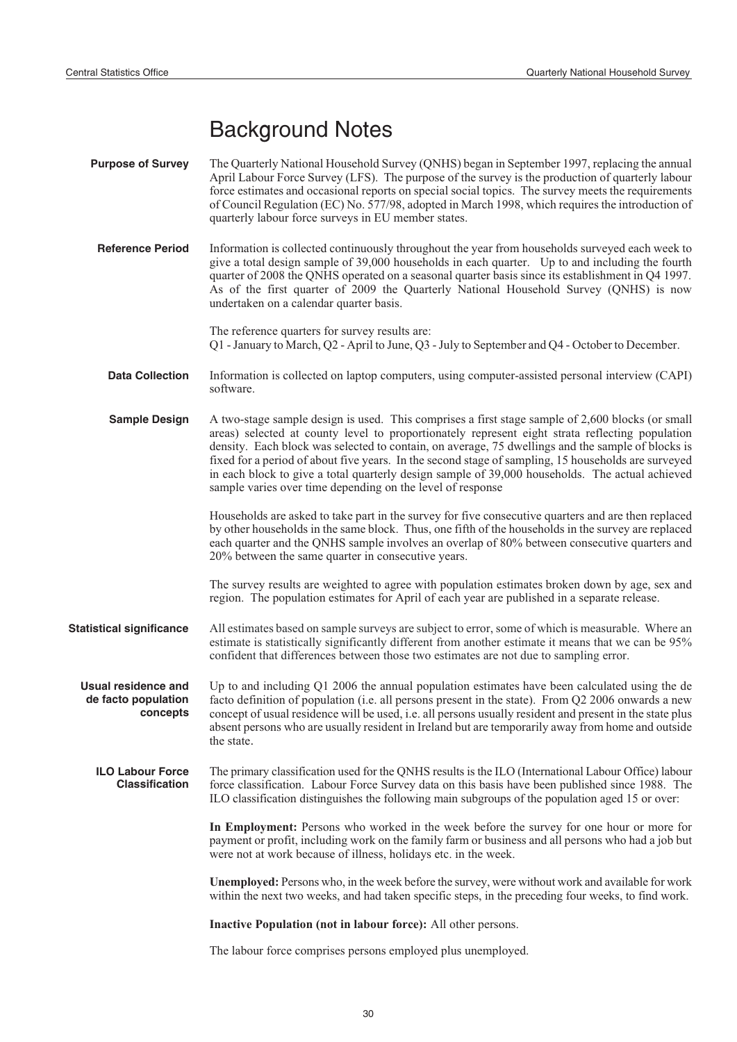# Background Notes

| <b>Purpose of Survey</b>                                      | The Quarterly National Household Survey (QNHS) began in September 1997, replacing the annual<br>April Labour Force Survey (LFS). The purpose of the survey is the production of quarterly labour<br>force estimates and occasional reports on special social topics. The survey meets the requirements<br>of Council Regulation (EC) No. 577/98, adopted in March 1998, which requires the introduction of<br>quarterly labour force surveys in EU member states.                                                                                                                |
|---------------------------------------------------------------|----------------------------------------------------------------------------------------------------------------------------------------------------------------------------------------------------------------------------------------------------------------------------------------------------------------------------------------------------------------------------------------------------------------------------------------------------------------------------------------------------------------------------------------------------------------------------------|
| <b>Reference Period</b>                                       | Information is collected continuously throughout the year from households surveyed each week to<br>give a total design sample of 39,000 households in each quarter. Up to and including the fourth<br>quarter of 2008 the QNHS operated on a seasonal quarter basis since its establishment in Q4 1997.<br>As of the first quarter of 2009 the Quarterly National Household Survey (QNHS) is now<br>undertaken on a calendar quarter basis.                                                                                                                                      |
|                                                               | The reference quarters for survey results are:<br>Q1 - January to March, Q2 - April to June, Q3 - July to September and Q4 - October to December.                                                                                                                                                                                                                                                                                                                                                                                                                                |
| <b>Data Collection</b>                                        | Information is collected on laptop computers, using computer-assisted personal interview (CAPI)<br>software.                                                                                                                                                                                                                                                                                                                                                                                                                                                                     |
| <b>Sample Design</b>                                          | A two-stage sample design is used. This comprises a first stage sample of 2,600 blocks (or small<br>areas) selected at county level to proportionately represent eight strata reflecting population<br>density. Each block was selected to contain, on average, 75 dwellings and the sample of blocks is<br>fixed for a period of about five years. In the second stage of sampling, 15 households are surveyed<br>in each block to give a total quarterly design sample of 39,000 households. The actual achieved<br>sample varies over time depending on the level of response |
|                                                               | Households are asked to take part in the survey for five consecutive quarters and are then replaced<br>by other households in the same block. Thus, one fifth of the households in the survey are replaced<br>each quarter and the QNHS sample involves an overlap of 80% between consecutive quarters and<br>20% between the same quarter in consecutive years.                                                                                                                                                                                                                 |
|                                                               | The survey results are weighted to agree with population estimates broken down by age, sex and<br>region. The population estimates for April of each year are published in a separate release.                                                                                                                                                                                                                                                                                                                                                                                   |
| <b>Statistical significance</b>                               | All estimates based on sample surveys are subject to error, some of which is measurable. Where an<br>estimate is statistically significantly different from another estimate it means that we can be 95%<br>confident that differences between those two estimates are not due to sampling error.                                                                                                                                                                                                                                                                                |
| <b>Usual residence and</b><br>de facto population<br>concepts | Up to and including Q1 2006 the annual population estimates have been calculated using the de<br>facto definition of population (i.e. all persons present in the state). From Q2 2006 onwards a new<br>concept of usual residence will be used, i.e. all persons usually resident and present in the state plus<br>absent persons who are usually resident in Ireland but are temporarily away from home and outside<br>the state.                                                                                                                                               |
| <b>ILO Labour Force</b><br><b>Classification</b>              | The primary classification used for the QNHS results is the ILO (International Labour Office) labour<br>force classification. Labour Force Survey data on this basis have been published since 1988. The<br>ILO classification distinguishes the following main subgroups of the population aged 15 or over:                                                                                                                                                                                                                                                                     |
|                                                               | In Employment: Persons who worked in the week before the survey for one hour or more for<br>payment or profit, including work on the family farm or business and all persons who had a job but<br>were not at work because of illness, holidays etc. in the week.                                                                                                                                                                                                                                                                                                                |
|                                                               | Unemployed: Persons who, in the week before the survey, were without work and available for work<br>within the next two weeks, and had taken specific steps, in the preceding four weeks, to find work.                                                                                                                                                                                                                                                                                                                                                                          |
|                                                               | Inactive Population (not in labour force): All other persons.                                                                                                                                                                                                                                                                                                                                                                                                                                                                                                                    |

The labour force comprises persons employed plus unemployed.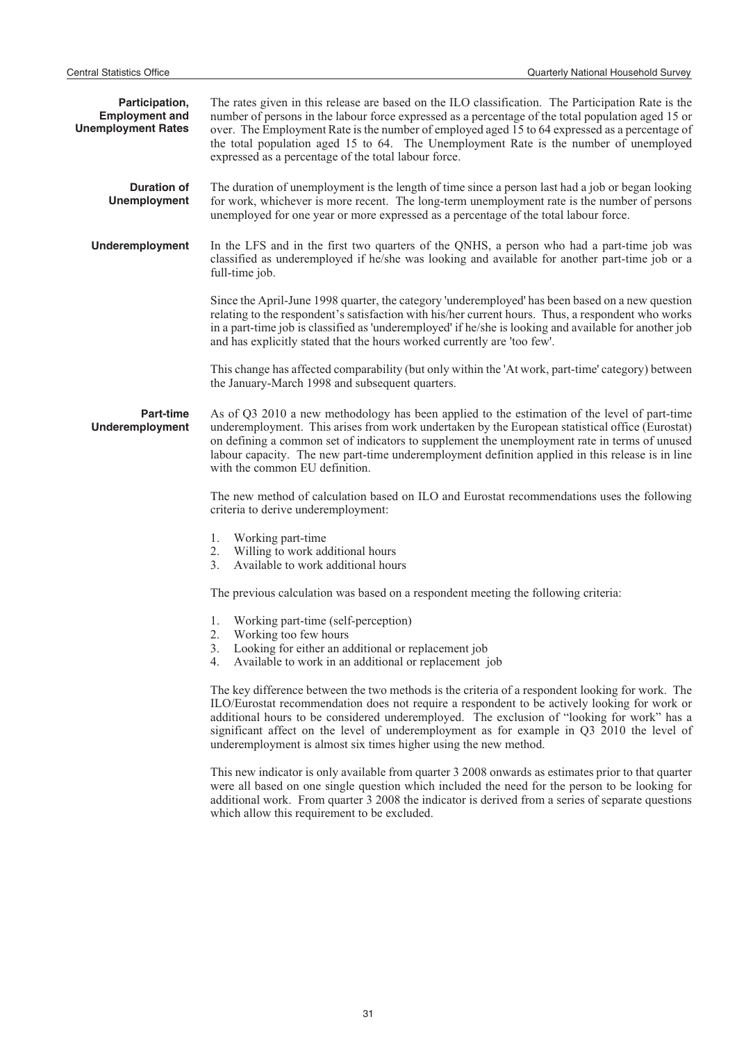| Participation,<br><b>Employment and</b><br><b>Unemployment Rates</b> | The rates given in this release are based on the ILO classification. The Participation Rate is the<br>number of persons in the labour force expressed as a percentage of the total population aged 15 or<br>over. The Employment Rate is the number of employed aged 15 to 64 expressed as a percentage of<br>the total population aged 15 to 64. The Unemployment Rate is the number of unemployed<br>expressed as a percentage of the total labour force.     |  |
|----------------------------------------------------------------------|-----------------------------------------------------------------------------------------------------------------------------------------------------------------------------------------------------------------------------------------------------------------------------------------------------------------------------------------------------------------------------------------------------------------------------------------------------------------|--|
| <b>Duration of</b><br><b>Unemployment</b>                            | The duration of unemployment is the length of time since a person last had a job or began looking<br>for work, whichever is more recent. The long-term unemployment rate is the number of persons<br>unemployed for one year or more expressed as a percentage of the total labour force.                                                                                                                                                                       |  |
| <b>Underemployment</b>                                               | In the LFS and in the first two quarters of the QNHS, a person who had a part-time job was<br>classified as underemployed if he/she was looking and available for another part-time job or a<br>full-time job.                                                                                                                                                                                                                                                  |  |
|                                                                      | Since the April-June 1998 quarter, the category 'underemployed' has been based on a new question<br>relating to the respondent's satisfaction with his/her current hours. Thus, a respondent who works<br>in a part-time job is classified as 'underemployed' if he/she is looking and available for another job<br>and has explicitly stated that the hours worked currently are 'too few'.                                                                    |  |
|                                                                      | This change has affected comparability (but only within the 'At work, part-time' category) between<br>the January-March 1998 and subsequent quarters.                                                                                                                                                                                                                                                                                                           |  |
| <b>Part-time</b><br><b>Underemployment</b>                           | As of Q3 2010 a new methodology has been applied to the estimation of the level of part-time<br>underemployment. This arises from work undertaken by the European statistical office (Eurostat)<br>on defining a common set of indicators to supplement the unemployment rate in terms of unused<br>labour capacity. The new part-time underemployment definition applied in this release is in line<br>with the common EU definition.                          |  |
|                                                                      | The new method of calculation based on ILO and Eurostat recommendations uses the following<br>criteria to derive underemployment:                                                                                                                                                                                                                                                                                                                               |  |
|                                                                      | Working part-time<br>1.<br>Willing to work additional hours<br>2.<br>Available to work additional hours<br>3.                                                                                                                                                                                                                                                                                                                                                   |  |
|                                                                      | The previous calculation was based on a respondent meeting the following criteria:                                                                                                                                                                                                                                                                                                                                                                              |  |
|                                                                      | Working part-time (self-perception)<br>1.<br>Working too few hours<br>2.                                                                                                                                                                                                                                                                                                                                                                                        |  |
|                                                                      | 3. Looking for either an additional or replacement job<br>4. Available to work in an additional or replacement job                                                                                                                                                                                                                                                                                                                                              |  |
|                                                                      | The key difference between the two methods is the criteria of a respondent looking for work. The<br>ILO/Eurostat recommendation does not require a respondent to be actively looking for work or<br>additional hours to be considered underemployed. The exclusion of "looking for work" has a<br>significant affect on the level of underemployment as for example in Q3 2010 the level of<br>underemployment is almost six times higher using the new method. |  |
|                                                                      | This new indicator is only available from quarter 3 2008 onwards as estimates prior to that quarter<br>were all based on one single question which included the need for the person to be looking for                                                                                                                                                                                                                                                           |  |

which allow this requirement to be excluded.

additional work. From quarter 3 2008 the indicator is derived from a series of separate questions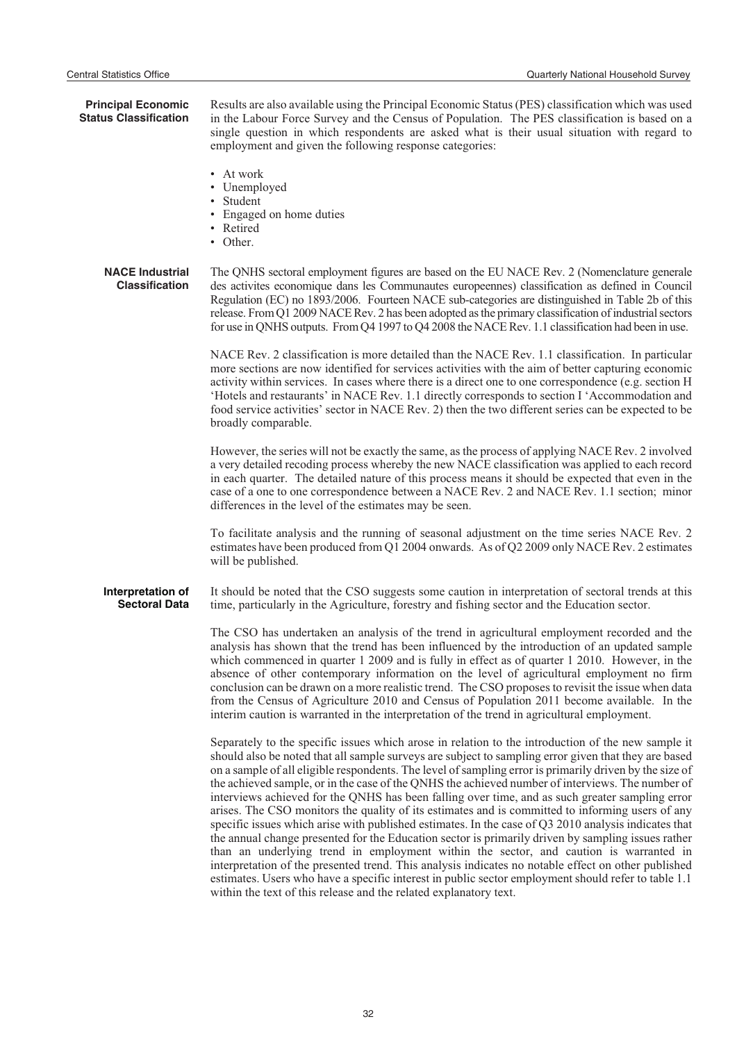Central Statistics Office Quarterly National Household Survey **Principal Economic Status Classification** Results are also available using the Principal Economic Status (PES) classification which was used in the Labour Force Survey and the Census of Population. The PES classification is based on a single question in which respondents are asked what is their usual situation with regard to employment and given the following response categories: • At work • Unemployed **Student** • Engaged on home duties • Retired • Other. **NACE Industrial Classification** The QNHS sectoral employment figures are based on the EU NACE Rev. 2 (Nomenclature generale des activites economique dans les Communautes europeennes) classification as defined in Council Regulation (EC) no 1893/2006. Fourteen NACE sub-categories are distinguished in Table 2b of this release. From Q1 2009 NACE Rev. 2 has been adopted as the primary classification of industrial sectors for use in QNHS outputs. From Q4 1997 to Q4 2008 the NACE Rev. 1.1 classification had been in use. NACE Rev. 2 classification is more detailed than the NACE Rev. 1.1 classification. In particular more sections are now identified for services activities with the aim of better capturing economic activity within services. In cases where there is a direct one to one correspondence (e.g. section H 'Hotels and restaurants' in NACE Rev. 1.1 directly corresponds to section I 'Accommodation and food service activities' sector in NACE Rev. 2) then the two different series can be expected to be broadly comparable. However, the series will not be exactly the same, as the process of applying NACE Rev. 2 involved a very detailed recoding process whereby the new NACE classification was applied to each record in each quarter. The detailed nature of this process means it should be expected that even in the case of a one to one correspondence between a NACE Rev. 2 and NACE Rev. 1.1 section; minor differences in the level of the estimates may be seen. To facilitate analysis and the running of seasonal adjustment on the time series NACE Rev. 2 estimates have been produced from Q1 2004 onwards. As of Q2 2009 only NACE Rev. 2 estimates will be published. **Interpretation of Sectoral Data** It should be noted that the CSO suggests some caution in interpretation of sectoral trends at this time, particularly in the Agriculture, forestry and fishing sector and the Education sector. The CSO has undertaken an analysis of the trend in agricultural employment recorded and the analysis has shown that the trend has been influenced by the introduction of an updated sample which commenced in quarter 1 2009 and is fully in effect as of quarter 1 2010. However, in the absence of other contemporary information on the level of agricultural employment no firm conclusion can be drawn on a more realistic trend. The CSO proposes to revisit the issue when data from the Census of Agriculture 2010 and Census of Population 2011 become available. In the interim caution is warranted in the interpretation of the trend in agricultural employment. Separately to the specific issues which arose in relation to the introduction of the new sample it should also be noted that all sample surveys are subject to sampling error given that they are based on a sample of all eligible respondents. The level of sampling error is primarily driven by the size of the achieved sample, or in the case of the QNHS the achieved number of interviews. The number of interviews achieved for the QNHS has been falling over time, and as such greater sampling error arises. The CSO monitors the quality of its estimates and is committed to informing users of any specific issues which arise with published estimates. In the case of Q3 2010 analysis indicates that the annual change presented for the Education sector is primarily driven by sampling issues rather than an underlying trend in employment within the sector, and caution is warranted in interpretation of the presented trend. This analysis indicates no notable effect on other published estimates. Users who have a specific interest in public sector employment should refer to table 1.1 within the text of this release and the related explanatory text.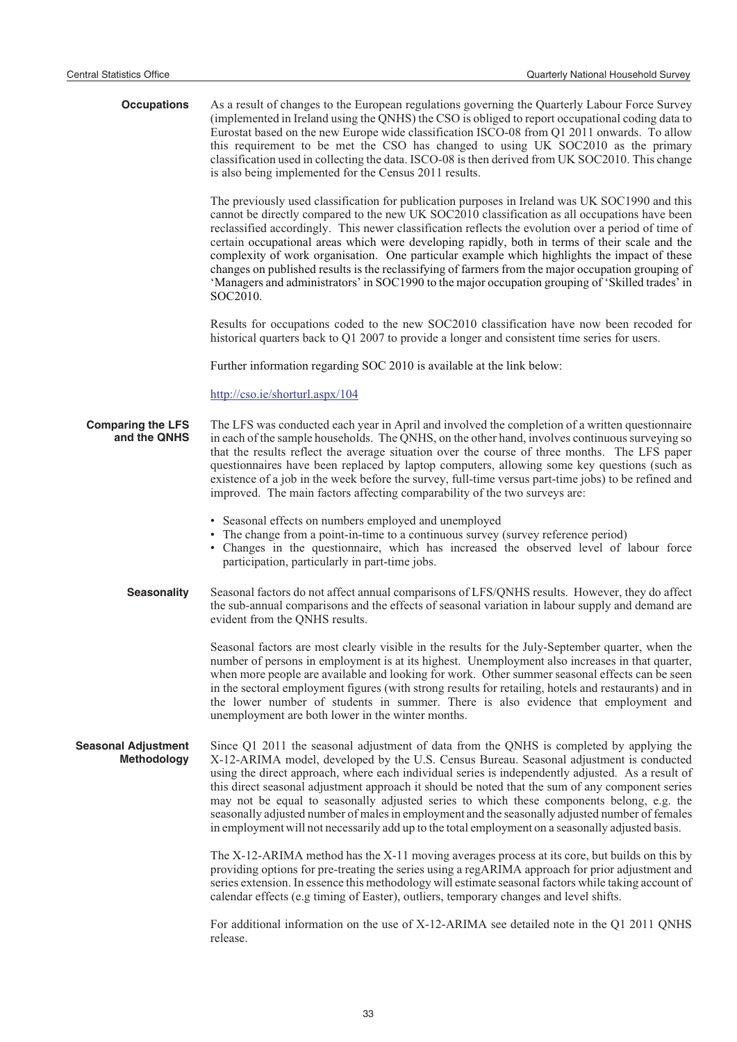| <b>Occupations</b>                               | As a result of changes to the European regulations governing the Quarterly Labour Force Survey<br>(implemented in Ireland using the QNHS) the CSO is obliged to report occupational coding data to<br>Eurostat based on the new Europe wide classification ISCO-08 from Q1 2011 onwards. To allow<br>this requirement to be met the CSO has changed to using UK SOC2010 as the primary<br>classification used in collecting the data. ISCO-08 is then derived from UK SOC2010. This change<br>is also being implemented for the Census 2011 results.                                                                                                                                                                           |
|--------------------------------------------------|--------------------------------------------------------------------------------------------------------------------------------------------------------------------------------------------------------------------------------------------------------------------------------------------------------------------------------------------------------------------------------------------------------------------------------------------------------------------------------------------------------------------------------------------------------------------------------------------------------------------------------------------------------------------------------------------------------------------------------|
|                                                  | The previously used classification for publication purposes in Ireland was UK SOC1990 and this<br>cannot be directly compared to the new UK SOC2010 classification as all occupations have been<br>reclassified accordingly. This newer classification reflects the evolution over a period of time of<br>certain occupational areas which were developing rapidly, both in terms of their scale and the<br>complexity of work organisation. One particular example which highlights the impact of these<br>changes on published results is the reclassifying of farmers from the major occupation grouping of<br>'Managers and administrators' in SOC1990 to the major occupation grouping of 'Skilled trades' in<br>SOC2010. |
|                                                  | Results for occupations coded to the new SOC2010 classification have now been recoded for<br>historical quarters back to Q1 2007 to provide a longer and consistent time series for users.                                                                                                                                                                                                                                                                                                                                                                                                                                                                                                                                     |
|                                                  | Further information regarding SOC 2010 is available at the link below:                                                                                                                                                                                                                                                                                                                                                                                                                                                                                                                                                                                                                                                         |
|                                                  | http://cso.ie/shorturl.aspx/104                                                                                                                                                                                                                                                                                                                                                                                                                                                                                                                                                                                                                                                                                                |
| <b>Comparing the LFS</b><br>and the QNHS         | The LFS was conducted each year in April and involved the completion of a written questionnaire<br>in each of the sample households. The QNHS, on the other hand, involves continuous surveying so<br>that the results reflect the average situation over the course of three months. The LFS paper<br>questionnaires have been replaced by laptop computers, allowing some key questions (such as<br>existence of a job in the week before the survey, full-time versus part-time jobs) to be refined and<br>improved. The main factors affecting comparability of the two surveys are:                                                                                                                                       |
|                                                  | • Seasonal effects on numbers employed and unemployed<br>• The change from a point-in-time to a continuous survey (survey reference period)<br>• Changes in the questionnaire, which has increased the observed level of labour force<br>participation, particularly in part-time jobs.                                                                                                                                                                                                                                                                                                                                                                                                                                        |
| <b>Seasonality</b>                               | Seasonal factors do not affect annual comparisons of LFS/QNHS results. However, they do affect<br>the sub-annual comparisons and the effects of seasonal variation in labour supply and demand are<br>evident from the QNHS results.                                                                                                                                                                                                                                                                                                                                                                                                                                                                                           |
|                                                  | Seasonal factors are most clearly visible in the results for the July-September quarter, when the<br>number of persons in employment is at its highest. Unemployment also increases in that quarter,<br>when more people are available and looking for work. Other summer seasonal effects can be seen<br>in the sectoral employment figures (with strong results for retailing, hotels and restaurants) and in<br>the lower number of students in summer. There is also evidence that employment and<br>unemployment are both lower in the winter months.                                                                                                                                                                     |
| <b>Seasonal Adjustment</b><br><b>Methodology</b> | Since Q1 2011 the seasonal adjustment of data from the QNHS is completed by applying the<br>X-12-ARIMA model, developed by the U.S. Census Bureau. Seasonal adjustment is conducted<br>using the direct approach, where each individual series is independently adjusted. As a result of<br>this direct seasonal adjustment approach it should be noted that the sum of any component series<br>may not be equal to seasonally adjusted series to which these components belong, e.g. the<br>seasonally adjusted number of males in employment and the seasonally adjusted number of females<br>in employment will not necessarily add up to the total employment on a seasonally adjusted basis.                              |
|                                                  | The X-12-ARIMA method has the X-11 moving averages process at its core, but builds on this by<br>providing options for pre-treating the series using a regARIMA approach for prior adjustment and<br>series extension. In essence this methodology will estimate seasonal factors while taking account of<br>calendar effects (e.g timing of Easter), outliers, temporary changes and level shifts.                                                                                                                                                                                                                                                                                                                            |
|                                                  | For additional information on the use of X-12-ARIMA see detailed note in the Q1 2011 QNHS<br>release.                                                                                                                                                                                                                                                                                                                                                                                                                                                                                                                                                                                                                          |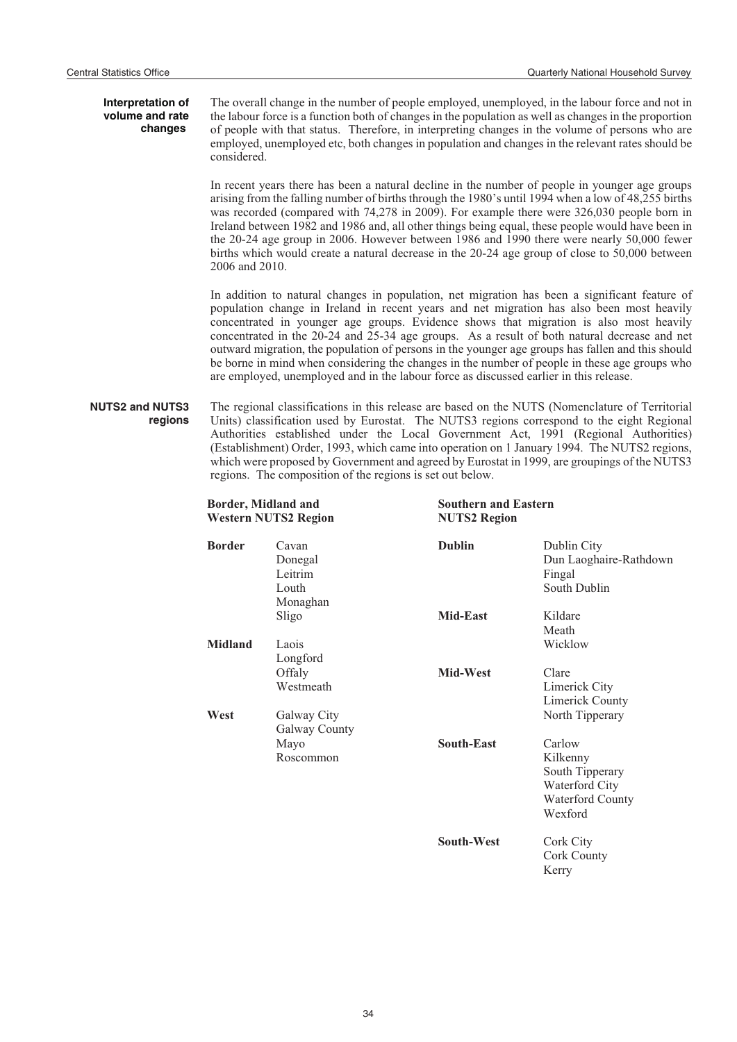#### **Interpretation of volume and rate changes**

The overall change in the number of people employed, unemployed, in the labour force and not in the labour force is a function both of changes in the population as well as changes in the proportion of people with that status. Therefore, in interpreting changes in the volume of persons who are employed, unemployed etc, both changes in population and changes in the relevant rates should be considered.

In recent years there has been a natural decline in the number of people in younger age groups arising from the falling number of births through the 1980's until 1994 when a low of 48,255 births was recorded (compared with 74,278 in 2009). For example there were 326,030 people born in Ireland between 1982 and 1986 and, all other things being equal, these people would have been in the 20-24 age group in 2006. However between 1986 and 1990 there were nearly 50,000 fewer births which would create a natural decrease in the 20-24 age group of close to 50,000 between 2006 and 2010.

In addition to natural changes in population, net migration has been a significant feature of population change in Ireland in recent years and net migration has also been most heavily concentrated in younger age groups. Evidence shows that migration is also most heavily concentrated in the 20-24 and 25-34 age groups. As a result of both natural decrease and net outward migration, the population of persons in the younger age groups has fallen and this should be borne in mind when considering the changes in the number of people in these age groups who are employed, unemployed and in the labour force as discussed earlier in this release.

#### **NUTS2 and NUTS3 regions** The regional classifications in this release are based on the NUTS (Nomenclature of Territorial Units) classification used by Eurostat. The NUTS3 regions correspond to the eight Regional Authorities established under the Local Government Act, 1991 (Regional Authorities) (Establishment) Order, 1993, which came into operation on 1 January 1994. The NUTS2 regions, which were proposed by Government and agreed by Eurostat in 1999, are groupings of the NUTS3 regions. The composition of the regions is set out below.

| Border, Midland and<br><b>Western NUTS2 Region</b> |                                                  | <b>NUTS2 Region</b> | <b>Southern and Eastern</b>                                                            |  |
|----------------------------------------------------|--------------------------------------------------|---------------------|----------------------------------------------------------------------------------------|--|
| <b>Border</b>                                      | Cavan<br>Donegal<br>Leitrim<br>Louth<br>Monaghan | <b>Dublin</b>       | Dublin City<br>Dun Laoghaire-Rathdown<br>Fingal<br>South Dublin                        |  |
|                                                    | Sligo                                            | <b>Mid-East</b>     | Kildare<br>Meath                                                                       |  |
| <b>Midland</b>                                     | Laois<br>Longford                                |                     | Wicklow                                                                                |  |
|                                                    | Offaly<br>Westmeath                              | Mid-West            | Clare<br>Limerick City<br><b>Limerick County</b>                                       |  |
| West                                               | Galway City<br>Galway County                     |                     | North Tipperary                                                                        |  |
|                                                    | Mayo<br>Roscommon                                | South-East          | Carlow<br>Kilkenny<br>South Tipperary<br>Waterford City<br>Waterford County<br>Wexford |  |
|                                                    |                                                  | <b>South-West</b>   | Cork City<br>Cork County                                                               |  |

Kerry

34